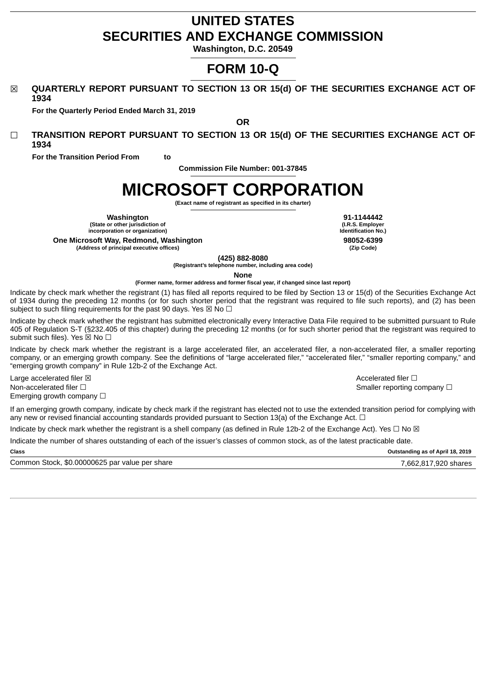## **UNITED STATES SECURITIES AND EXCHANGE COMMISSION**

**Washington, D.C. 20549**

## **FORM 10-Q**

☒ **QUARTERLY REPORT PURSUANT TO SECTION 13 OR 15(d) OF THE SECURITIES EXCHANGE ACT OF 1934**

**For the Quarterly Period Ended March 31, 2019**

**OR**

☐ **TRANSITION REPORT PURSUANT TO SECTION 13 OR 15(d) OF THE SECURITIES EXCHANGE ACT OF 1934**

**For the Transition Period From to**

**Commission File Number: 001-37845**

# **MICROSOFT CORPORATION**

**(Exact name of registrant as specified in its charter)**

**Washington 91-1144442 (State or other jurisdiction of**

**incorporation or organization)**

**One Microsoft Way, Redmond, Washington 98052-6399 (Address of principal executive offices) (Zip Code)**

**(I.R.S. Employer Identification No.)**

**(425) 882-8080 (Registrant's telephone number, including area code)**

**None**

#### **(Former name, former address and former fiscal year, if changed since last report)**

Indicate by check mark whether the registrant (1) has filed all reports required to be filed by Section 13 or 15(d) of the Securities Exchange Act of 1934 during the preceding 12 months (or for such shorter period that the registrant was required to file such reports), and (2) has been subject to such filing requirements for the past 90 days. Yes  $\boxtimes$  No  $\Box$ 

Indicate by check mark whether the registrant has submitted electronically every Interactive Data File required to be submitted pursuant to Rule 405 of Regulation S-T (§232.405 of this chapter) during the preceding 12 months (or for such shorter period that the registrant was required to submit such files). Yes  $\boxtimes$  No  $\Box$ 

Indicate by check mark whether the registrant is a large accelerated filer, an accelerated filer, a non-accelerated filer, a smaller reporting company, or an emerging growth company. See the definitions of "large accelerated filer," "accelerated filer," "smaller reporting company," and "emerging growth company" in Rule 12b-2 of the Exchange Act.

Large accelerated filer ⊠ and the state of the state of the state of the state of the state of the state of the D

Non-accelerated filer □ state of the state of the state of the state of the Smaller reporting company □

Emerging growth company  $\Box$ 

If an emerging growth company, indicate by check mark if the registrant has elected not to use the extended transition period for complying with any new or revised financial accounting standards provided pursuant to Section 13(a) of the Exchange Act.  $\Box$ 

Indicate by check mark whether the registrant is a shell company (as defined in Rule 12b-2 of the Exchange Act). Yes  $\Box$  No  $\boxtimes$ 

Indicate the number of shares outstanding of each of the issuer's classes of common stock, as of the latest practicable date.

**Class Outstanding as of April 18, 2019**

Common Stock, \$0.00000625 par value per share 7,662,817,920 shares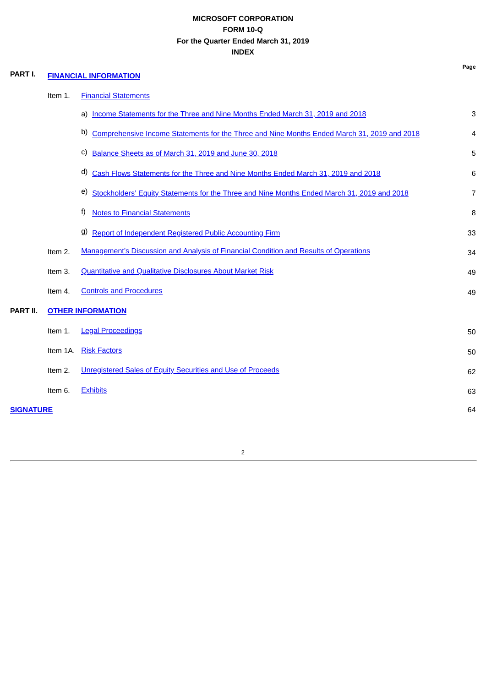## **MICROSOFT CORPORATION FORM 10-Q For the Quarter Ended March 31, 2019 INDEX**

## **PART I. FINANCIAL [INFORMATION](#page-2-0)**

**PART II.** 

|                  | Item 1.  | <b>Financial Statements</b>                                                                       |                |
|------------------|----------|---------------------------------------------------------------------------------------------------|----------------|
|                  |          | a) Income Statements for the Three and Nine Months Ended March 31, 2019 and 2018                  | 3              |
|                  |          | b)<br>Comprehensive Income Statements for the Three and Nine Months Ended March 31, 2019 and 2018 | 4              |
|                  |          | Balance Sheets as of March 31, 2019 and June 30, 2018<br>C)                                       | 5              |
|                  |          | d)<br>Cash Flows Statements for the Three and Nine Months Ended March 31, 2019 and 2018           | 6              |
|                  |          | Stockholders' Equity Statements for the Three and Nine Months Ended March 31, 2019 and 2018<br>e) | $\overline{7}$ |
|                  |          | f)<br><b>Notes to Financial Statements</b>                                                        | 8              |
|                  |          | 9) Report of Independent Registered Public Accounting Firm                                        | 33             |
|                  | Item 2.  | Management's Discussion and Analysis of Financial Condition and Results of Operations             | 34             |
|                  | Item 3.  | <b>Quantitative and Qualitative Disclosures About Market Risk</b>                                 | 49             |
|                  | Item 4.  | <b>Controls and Procedures</b>                                                                    | 49             |
| PART II.         |          | <b>OTHER INFORMATION</b>                                                                          |                |
|                  | Item 1.  | <b>Legal Proceedings</b>                                                                          | 50             |
|                  | Item 1A. | <b>Risk Factors</b>                                                                               | 50             |
|                  | Item 2.  | Unregistered Sales of Equity Securities and Use of Proceeds                                       | 62             |
|                  | Item 6.  | <b>Exhibits</b>                                                                                   | 63             |
| <b>SIGNATURE</b> |          |                                                                                                   | 64             |
|                  |          |                                                                                                   |                |

**Page**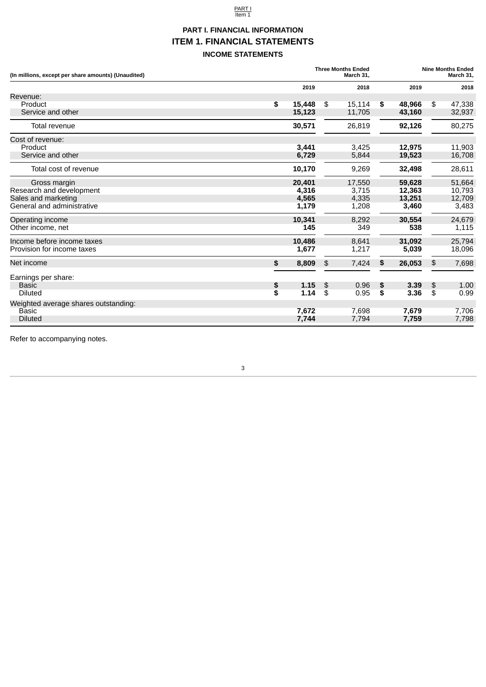## PART I<br>Item 1

## **PART I. FINANCIAL INFORMATION ITEM 1. FINANCIAL STATEMENTS INCOME STATEMENTS**

<span id="page-2-2"></span><span id="page-2-1"></span><span id="page-2-0"></span>

| (In millions, except per share amounts) (Unaudited) |              | <b>Three Months Ended</b><br>March 31. |              | <b>Nine Months Ended</b><br>March 31, |  |
|-----------------------------------------------------|--------------|----------------------------------------|--------------|---------------------------------------|--|
|                                                     | 2019         | 2018                                   | 2019         | 2018                                  |  |
| Revenue:                                            |              |                                        |              |                                       |  |
| Product                                             | \$<br>15,448 | \$<br>15,114                           | \$<br>48.966 | \$<br>47,338                          |  |
| Service and other                                   | 15,123       | 11,705                                 | 43,160       | 32,937                                |  |
| <b>Total revenue</b>                                | 30,571       | 26,819                                 | 92,126       | 80,275                                |  |
| Cost of revenue:                                    |              |                                        |              |                                       |  |
| Product                                             | 3,441        | 3.425                                  | 12,975       | 11,903                                |  |
| Service and other                                   | 6,729        | 5,844                                  | 19,523       | 16,708                                |  |
| Total cost of revenue                               | 10,170       | 9,269                                  | 32,498       | 28,611                                |  |
| Gross margin                                        | 20,401       | 17,550                                 | 59,628       | 51,664                                |  |
| Research and development                            | 4,316        | 3.715                                  | 12,363       | 10,793                                |  |
| Sales and marketing                                 | 4,565        | 4,335                                  | 13,251       | 12,709                                |  |
| General and administrative                          | 1,179        | 1,208                                  | 3,460        | 3,483                                 |  |
| Operating income                                    | 10,341       | 8,292                                  | 30,554       | 24,679                                |  |
| Other income, net                                   | 145          | 349                                    | 538          | 1,115                                 |  |
| Income before income taxes                          | 10,486       | 8.641                                  | 31,092       | 25,794                                |  |
| Provision for income taxes                          | 1,677        | 1,217                                  | 5,039        | 18,096                                |  |
| Net income                                          | \$<br>8,809  | \$<br>7,424                            | \$<br>26,053 | \$<br>7,698                           |  |
| Earnings per share:                                 |              |                                        |              |                                       |  |
| <b>Basic</b>                                        | \$<br>1.15   | \$<br>0.96                             | \$<br>3.39   | \$<br>1.00                            |  |
| <b>Diluted</b>                                      | \$<br>1.14   | \$<br>0.95                             | \$<br>3.36   | \$<br>0.99                            |  |
| Weighted average shares outstanding:                |              |                                        |              |                                       |  |
| <b>Basic</b>                                        | 7,672        | 7,698                                  | 7,679        | 7,706                                 |  |
| <b>Diluted</b>                                      | 7,744        | 7,794                                  | 7,759        | 7,798                                 |  |

Refer to accompanying notes.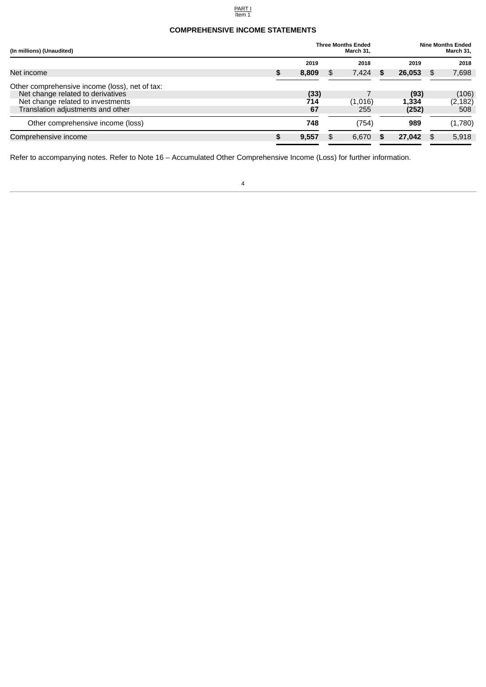## PART I<br>Item 1

## **COMPREHENSIVE INCOME STATEMENTS**

<span id="page-3-0"></span>

| (In millions) (Unaudited)                                              |   | <b>Three Months Ended</b><br>March 31. |     |                |      |                |    | <b>Nine Months Ended</b><br>March 31, |
|------------------------------------------------------------------------|---|----------------------------------------|-----|----------------|------|----------------|----|---------------------------------------|
|                                                                        |   | 2019                                   |     | 2018           |      | 2019           |    | 2018                                  |
| Net income                                                             | S | 8.809                                  | \$. | 7,424          | - \$ | 26.053         | \$ | 7,698                                 |
| Other comprehensive income (loss), net of tax:                         |   |                                        |     |                |      |                |    |                                       |
| Net change related to derivatives                                      |   | (33)<br>714                            |     |                |      | (93)           |    | (106)                                 |
| Net change related to investments<br>Translation adjustments and other |   | 67                                     |     | (1,016)<br>255 |      | 1,334<br>(252) |    | (2, 182)<br>508                       |
| Other comprehensive income (loss)                                      |   | 748                                    |     | (754)          |      | 989            |    | (1,780)                               |
| Comprehensive income                                                   |   | 9,557                                  | £.  | 6,670          |      | 27,042         | \$ | 5,918                                 |

Refer to accompanying notes. Refer to Note 16 – Accumulated Other Comprehensive Income (Loss) for further information.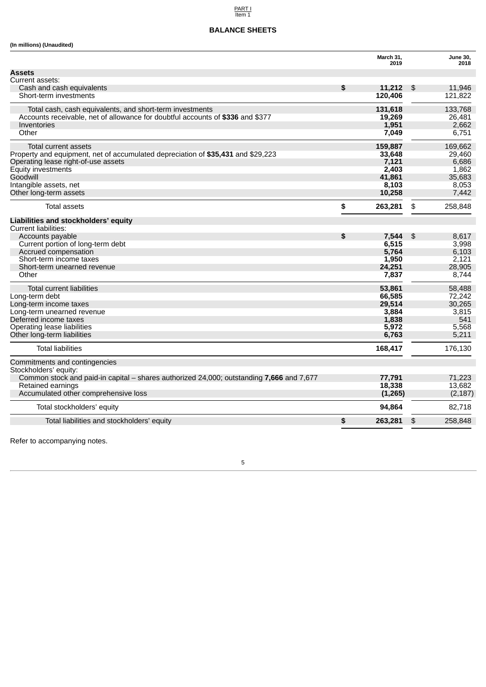## **BALANCE SHEETS**

PART I<br>Item 1

<span id="page-4-0"></span>

|                                                                                                                   | March 31.<br>2019 | <b>June 30,</b><br>2018 |
|-------------------------------------------------------------------------------------------------------------------|-------------------|-------------------------|
| Assets                                                                                                            |                   |                         |
| Current assets:                                                                                                   |                   |                         |
| Cash and cash equivalents                                                                                         | \$<br>11,212      | \$<br>11,946            |
| Short-term investments                                                                                            | 120,406           | 121.822                 |
| Total cash, cash equivalents, and short-term investments                                                          | 131,618           | 133.768                 |
| Accounts receivable, net of allowance for doubtful accounts of \$336 and \$377                                    | 19,269            | 26,481                  |
| Inventories                                                                                                       | 1,951             | 2,662                   |
| Other                                                                                                             | 7.049             | 6.751                   |
| Total current assets                                                                                              | 159,887           | 169,662                 |
| Property and equipment, net of accumulated depreciation of \$35,431 and \$29,223                                  | 33.648            | 29.460                  |
| Operating lease right-of-use assets                                                                               | 7,121             | 6,686                   |
| Equity investments                                                                                                | 2.403             | 1.862                   |
| Goodwill                                                                                                          | 41,861            | 35.683                  |
| Intangible assets, net                                                                                            | 8,103             | 8,053                   |
| Other long-term assets                                                                                            | 10,258            | 7,442                   |
| <b>Total assets</b>                                                                                               | \$<br>263,281     | \$<br>258,848           |
| Liabilities and stockholders' equity                                                                              |                   |                         |
| <b>Current liabilities:</b>                                                                                       |                   |                         |
| Accounts payable                                                                                                  | \$<br>7.544       | \$<br>8.617             |
| Current portion of long-term debt                                                                                 | 6,515             | 3,998                   |
| Accrued compensation                                                                                              | 5.764             | 6.103                   |
| Short-term income taxes                                                                                           | 1,950             | 2,121                   |
| Short-term unearned revenue                                                                                       | 24.251            | 28.905                  |
| Other                                                                                                             | 7,837             | 8,744                   |
| Total current liabilities                                                                                         | 53.861            | 58.488                  |
| Long-term debt                                                                                                    | 66,585            | 72,242                  |
| Long-term income taxes                                                                                            | 29,514            | 30,265                  |
| Long-term unearned revenue                                                                                        | 3,884             | 3.815                   |
| Deferred income taxes                                                                                             | 1,838<br>5,972    | 541<br>5,568            |
| Operating lease liabilities<br>Other long-term liabilities                                                        | 6,763             | 5,211                   |
|                                                                                                                   |                   |                         |
| <b>Total liabilities</b>                                                                                          | 168,417           | 176,130                 |
| Commitments and contingencies                                                                                     |                   |                         |
| Stockholders' equity:<br>Common stock and paid-in capital – shares authorized 24,000; outstanding 7,666 and 7,677 | 77,791            | 71,223                  |
| Retained earnings                                                                                                 | 18,338            | 13,682                  |
| Accumulated other comprehensive loss                                                                              | (1, 265)          | (2, 187)                |
| Total stockholders' equity                                                                                        | 94,864            | 82,718                  |
|                                                                                                                   |                   |                         |
| Total liabilities and stockholders' equity                                                                        | \$<br>263,281     | \$<br>258,848           |

Refer to accompanying notes.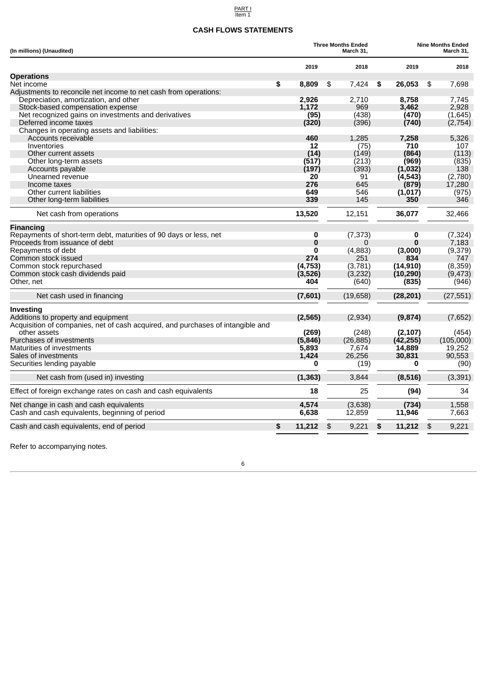## PART I<br>Item 1

## **CASH FLOWS STATEMENTS**

<span id="page-5-0"></span>

| (In millions) (Unaudited)                                                       |              | <b>Three Months Ended</b> | March 31, |              |               | <b>Nine Months Ended</b><br>March 31. |
|---------------------------------------------------------------------------------|--------------|---------------------------|-----------|--------------|---------------|---------------------------------------|
|                                                                                 | 2019         |                           | 2018      | 2019         |               | 2018                                  |
| <b>Operations</b>                                                               |              |                           |           |              |               |                                       |
| Net income                                                                      | \$<br>8,809  | \$                        | 7,424     | \$<br>26,053 | \$            | 7,698                                 |
| Adjustments to reconcile net income to net cash from operations:                |              |                           |           |              |               |                                       |
| Depreciation, amortization, and other                                           | 2,926        |                           | 2,710     | 8,758        |               | 7,745                                 |
| Stock-based compensation expense                                                | 1,172        |                           | 969       | 3,462        |               | 2,928                                 |
| Net recognized gains on investments and derivatives                             | (95)         |                           | (438)     | (470)        |               | (1,645)                               |
| Deferred income taxes                                                           | (320)        |                           | (396)     | (740)        |               | (2,754)                               |
| Changes in operating assets and liabilities:                                    |              |                           |           |              |               |                                       |
| Accounts receivable                                                             | 460          |                           | 1,285     | 7,258        |               | 5,326                                 |
| Inventories                                                                     | 12           |                           | (75)      | 710          |               | 107                                   |
| Other current assets                                                            | (14)         |                           | (149)     | (864)        |               | (113)                                 |
| Other long-term assets                                                          | (517)        |                           | (213)     | (969)        |               | (835)                                 |
| Accounts payable                                                                | (197)        |                           | (393)     | (1, 032)     |               | 138                                   |
| Unearned revenue                                                                | 20           |                           | 91        | (4, 543)     |               | (2,780)                               |
| Income taxes                                                                    | 276          |                           | 645       | (879)        |               | 17,280                                |
| Other current liabilities                                                       | 649          |                           | 546       | (1,017)      |               | (975)                                 |
| Other long-term liabilities                                                     | 339          |                           | 145       | 350          |               | 346                                   |
| Net cash from operations                                                        | 13,520       |                           | 12,151    | 36,077       |               | 32,466                                |
| <b>Financing</b>                                                                |              |                           |           |              |               |                                       |
| Repayments of short-term debt, maturities of 90 days or less, net               | 0            |                           | (7, 373)  | 0            |               | (7, 324)                              |
| Proceeds from issuance of debt                                                  | 0            |                           | 0         | $\bf{0}$     |               | 7,183                                 |
| Repayments of debt                                                              | 0            |                           | (4,883)   | (3,000)      |               | (9, 379)                              |
| Common stock issued                                                             | 274          |                           | 251       | 834          |               | 747                                   |
| Common stock repurchased                                                        | (4,753)      |                           | (3,781)   | (14, 910)    |               | (8, 359)                              |
| Common stock cash dividends paid                                                | (3,526)      |                           | (3,232)   | (10, 290)    |               | (9, 473)                              |
| Other, net                                                                      | 404          |                           | (640)     | (835)        |               | (946)                                 |
| Net cash used in financing                                                      | (7,601)      |                           | (19, 658) | (28, 201)    |               | (27, 551)                             |
|                                                                                 |              |                           |           |              |               |                                       |
| Investing<br>Additions to property and equipment                                | (2, 565)     |                           | (2,934)   | (9,874)      |               | (7,652)                               |
| Acquisition of companies, net of cash acquired, and purchases of intangible and |              |                           |           |              |               |                                       |
| other assets                                                                    | (269)        |                           | (248)     | (2,107)      |               | (454)                                 |
| Purchases of investments                                                        | (5, 846)     |                           | (26, 885) | (42, 255)    |               | (105,000)                             |
| Maturities of investments                                                       | 5,893        |                           | 7,674     | 14,889       |               | 19,252                                |
| Sales of investments                                                            | 1,424        |                           | 26,256    | 30,831       |               | 90,553                                |
| Securities lending payable                                                      | 0            |                           | (19)      | 0            |               | (90)                                  |
|                                                                                 |              |                           |           |              |               |                                       |
| Net cash from (used in) investing                                               | (1, 363)     |                           | 3.844     | (8,516)      |               | (3, 391)                              |
| Effect of foreign exchange rates on cash and cash equivalents                   | 18           |                           | 25        | (94)         |               | 34                                    |
| Net change in cash and cash equivalents                                         | 4,574        |                           | (3,638)   | (734)        |               | 1,558                                 |
| Cash and cash equivalents, beginning of period                                  | 6,638        |                           | 12,859    | 11,946       |               | 7,663                                 |
| Cash and cash equivalents, end of period                                        | \$<br>11,212 | \$                        | 9,221     | \$<br>11,212 | $\frac{1}{2}$ | 9,221                                 |

Refer to accompanying notes.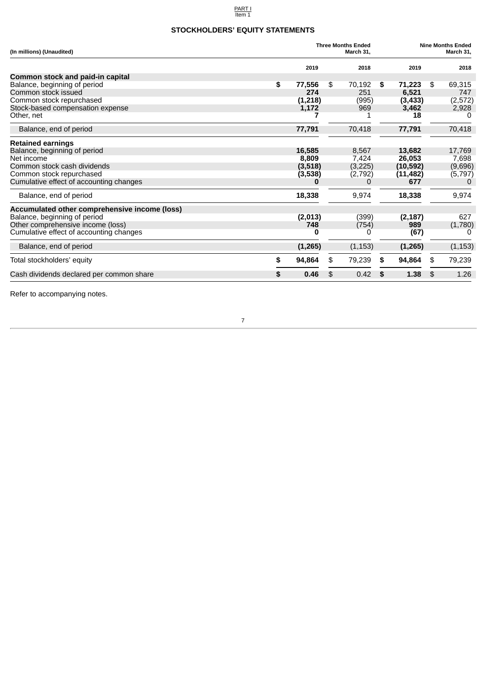## PART I<br>Item 1

## **STOCKHOLDERS' EQUITY STATEMENTS**

<span id="page-6-0"></span>

| (In millions) (Unaudited)                     |    |          | <b>Three Months Ended</b><br>March 31. | <b>Nine Months Ended</b><br>March 31. |           |    |          |  |
|-----------------------------------------------|----|----------|----------------------------------------|---------------------------------------|-----------|----|----------|--|
|                                               |    | 2019     | 2018                                   |                                       | 2019      |    | 2018     |  |
| Common stock and paid-in capital              |    |          |                                        |                                       |           |    |          |  |
| Balance, beginning of period                  | \$ | 77,556   | \$<br>70,192                           | \$                                    | 71.223    | \$ | 69,315   |  |
| Common stock issued                           |    | 274      | 251                                    |                                       | 6,521     |    | 747      |  |
| Common stock repurchased                      |    | (1, 218) | (995)                                  |                                       | (3, 433)  |    | (2, 572) |  |
| Stock-based compensation expense              |    | 1,172    | 969                                    |                                       | 3,462     |    | 2,928    |  |
| Other, net                                    |    |          |                                        |                                       | 18        |    | 0        |  |
| Balance, end of period                        |    | 77,791   | 70,418                                 |                                       | 77,791    |    | 70,418   |  |
| <b>Retained earnings</b>                      |    |          |                                        |                                       |           |    |          |  |
| Balance, beginning of period                  |    | 16,585   | 8,567                                  |                                       | 13,682    |    | 17,769   |  |
| Net income                                    |    | 8,809    | 7,424                                  |                                       | 26,053    |    | 7,698    |  |
| Common stock cash dividends                   |    | (3,518)  | (3,225)                                |                                       | (10,592)  |    | (9,696)  |  |
| Common stock repurchased                      |    | (3,538)  | (2, 792)                               |                                       | (11, 482) |    | (5, 797) |  |
| Cumulative effect of accounting changes       |    | 0        | 0                                      |                                       | 677       |    | 0        |  |
| Balance, end of period                        |    | 18,338   | 9,974                                  |                                       | 18,338    |    | 9,974    |  |
| Accumulated other comprehensive income (loss) |    |          |                                        |                                       |           |    |          |  |
| Balance, beginning of period                  |    | (2,013)  | (399)                                  |                                       | (2, 187)  |    | 627      |  |
| Other comprehensive income (loss)             |    | 748      | (754)                                  |                                       | 989       |    | (1,780)  |  |
| Cumulative effect of accounting changes       |    | 0        | 0                                      |                                       | (67)      |    | υ        |  |
| Balance, end of period                        |    | (1, 265) | (1, 153)                               |                                       | (1,265)   |    | (1, 153) |  |
| Total stockholders' equity                    | \$ | 94,864   | \$<br>79,239                           | \$                                    | 94,864    | \$ | 79,239   |  |
| Cash dividends declared per common share      | S  | 0.46     | \$<br>0.42                             | S                                     | 1.38      | \$ | 1.26     |  |

Refer to accompanying notes.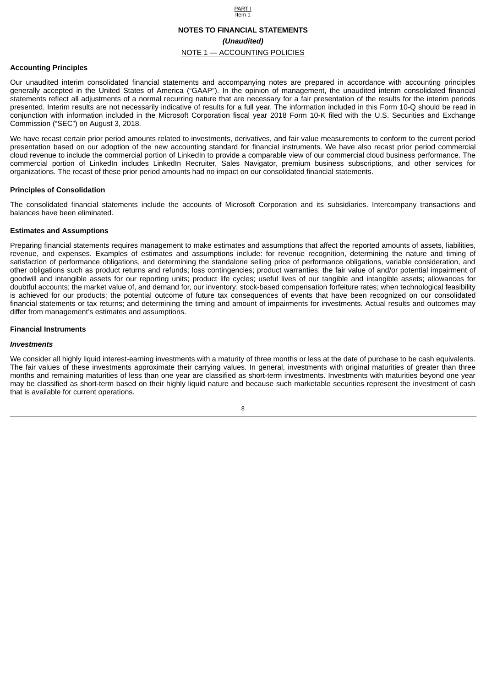**NOTES TO FINANCIAL STATEMENTS** *(Unaudited)* NOTE 1 — ACCOUNTING POLICIES

PART I Item 1

#### <span id="page-7-0"></span>**Accounting Principles**

Our unaudited interim consolidated financial statements and accompanying notes are prepared in accordance with accounting principles generally accepted in the United States of America ("GAAP"). In the opinion of management, the unaudited interim consolidated financial statements reflect all adjustments of a normal recurring nature that are necessary for a fair presentation of the results for the interim periods presented. Interim results are not necessarily indicative of results for a full year. The information included in this Form 10-Q should be read in conjunction with information included in the Microsoft Corporation fiscal year 2018 Form 10-K filed with the U.S. Securities and Exchange Commission ("SEC") on August 3, 2018.

We have recast certain prior period amounts related to investments, derivatives, and fair value measurements to conform to the current period presentation based on our adoption of the new accounting standard for financial instruments. We have also recast prior period commercial cloud revenue to include the commercial portion of LinkedIn to provide a comparable view of our commercial cloud business performance. The commercial portion of LinkedIn includes LinkedIn Recruiter, Sales Navigator, premium business subscriptions, and other services for organizations. The recast of these prior period amounts had no impact on our consolidated financial statements.

#### **Principles of Consolidation**

The consolidated financial statements include the accounts of Microsoft Corporation and its subsidiaries. Intercompany transactions and balances have been eliminated.

#### **Estimates and Assumptions**

Preparing financial statements requires management to make estimates and assumptions that affect the reported amounts of assets, liabilities, revenue, and expenses. Examples of estimates and assumptions include: for revenue recognition, determining the nature and timing of satisfaction of performance obligations, and determining the standalone selling price of performance obligations, variable consideration, and other obligations such as product returns and refunds; loss contingencies; product warranties; the fair value of and/or potential impairment of goodwill and intangible assets for our reporting units; product life cycles; useful lives of our tangible and intangible assets; allowances for doubtful accounts; the market value of, and demand for, our inventory; stock-based compensation forfeiture rates; when technological feasibility is achieved for our products; the potential outcome of future tax consequences of events that have been recognized on our consolidated financial statements or tax returns; and determining the timing and amount of impairments for investments. Actual results and outcomes may differ from management's estimates and assumptions.

#### **Financial Instruments**

#### *Investments*

We consider all highly liquid interest-earning investments with a maturity of three months or less at the date of purchase to be cash equivalents. The fair values of these investments approximate their carrying values. In general, investments with original maturities of greater than three months and remaining maturities of less than one year are classified as short-term investments. Investments with maturities beyond one year may be classified as short-term based on their highly liquid nature and because such marketable securities represent the investment of cash that is available for current operations.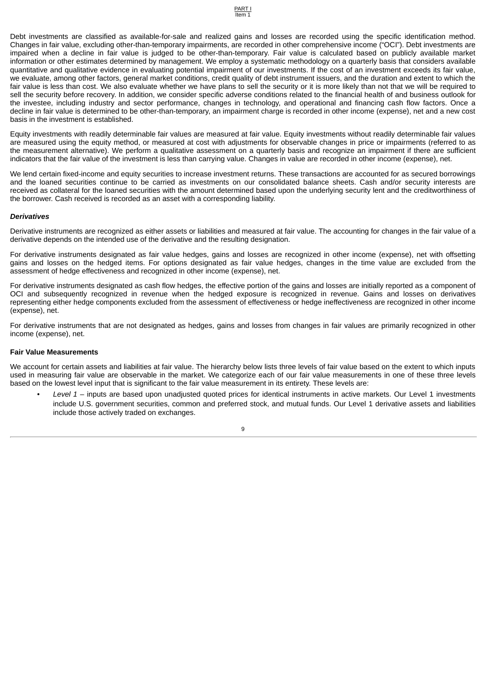Debt investments are classified as available-for-sale and realized gains and losses are recorded using the specific identification method. Changes in fair value, excluding other-than-temporary impairments, are recorded in other comprehensive income ("OCI"). Debt investments are impaired when a decline in fair value is judged to be other-than-temporary. Fair value is calculated based on publicly available market information or other estimates determined by management. We employ a systematic methodology on a quarterly basis that considers available quantitative and qualitative evidence in evaluating potential impairment of our investments. If the cost of an investment exceeds its fair value, we evaluate, among other factors, general market conditions, credit quality of debt instrument issuers, and the duration and extent to which the fair value is less than cost. We also evaluate whether we have plans to sell the security or it is more likely than not that we will be required to sell the security before recovery. In addition, we consider specific adverse conditions related to the financial health of and business outlook for the investee, including industry and sector performance, changes in technology, and operational and financing cash flow factors. Once a decline in fair value is determined to be other-than-temporary, an impairment charge is recorded in other income (expense), net and a new cost basis in the investment is established.

Equity investments with readily determinable fair values are measured at fair value. Equity investments without readily determinable fair values are measured using the equity method, or measured at cost with adjustments for observable changes in price or impairments (referred to as the measurement alternative). We perform a qualitative assessment on a quarterly basis and recognize an impairment if there are sufficient indicators that the fair value of the investment is less than carrying value. Changes in value are recorded in other income (expense), net.

We lend certain fixed-income and equity securities to increase investment returns. These transactions are accounted for as secured borrowings and the loaned securities continue to be carried as investments on our consolidated balance sheets. Cash and/or security interests are received as collateral for the loaned securities with the amount determined based upon the underlying security lent and the creditworthiness of the borrower. Cash received is recorded as an asset with a corresponding liability.

## *Derivatives*

Derivative instruments are recognized as either assets or liabilities and measured at fair value. The accounting for changes in the fair value of a derivative depends on the intended use of the derivative and the resulting designation.

For derivative instruments designated as fair value hedges, gains and losses are recognized in other income (expense), net with offsetting gains and losses on the hedged items. For options designated as fair value hedges, changes in the time value are excluded from the assessment of hedge effectiveness and recognized in other income (expense), net.

For derivative instruments designated as cash flow hedges, the effective portion of the gains and losses are initially reported as a component of OCI and subsequently recognized in revenue when the hedged exposure is recognized in revenue. Gains and losses on derivatives representing either hedge components excluded from the assessment of effectiveness or hedge ineffectiveness are recognized in other income (expense), net.

For derivative instruments that are not designated as hedges, gains and losses from changes in fair values are primarily recognized in other income (expense), net.

#### **Fair Value Measurements**

We account for certain assets and liabilities at fair value. The hierarchy below lists three levels of fair value based on the extent to which inputs used in measuring fair value are observable in the market. We categorize each of our fair value measurements in one of these three levels based on the lowest level input that is significant to the fair value measurement in its entirety. These levels are:

• *Level 1* – inputs are based upon unadjusted quoted prices for identical instruments in active markets. Our Level 1 investments include U.S. government securities, common and preferred stock, and mutual funds. Our Level 1 derivative assets and liabilities include those actively traded on exchanges.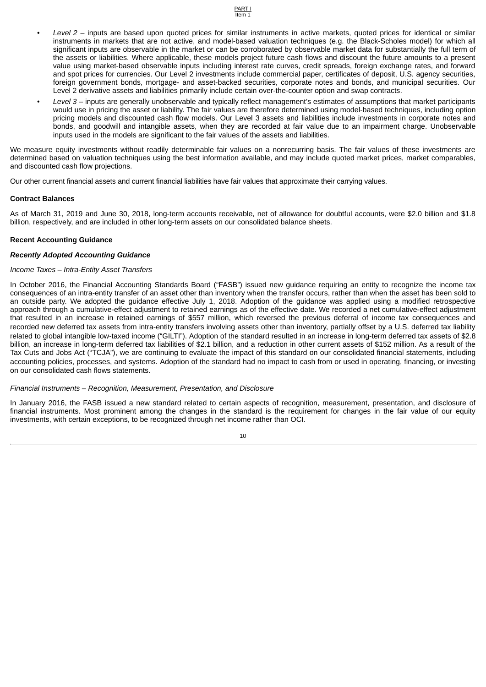- *Level 2* inputs are based upon quoted prices for similar instruments in active markets, quoted prices for identical or similar instruments in markets that are not active, and model-based valuation techniques (e.g. the Black-Scholes model) for which all significant inputs are observable in the market or can be corroborated by observable market data for substantially the full term of the assets or liabilities. Where applicable, these models project future cash flows and discount the future amounts to a present value using market-based observable inputs including interest rate curves, credit spreads, foreign exchange rates, and forward and spot prices for currencies. Our Level 2 investments include commercial paper, certificates of deposit, U.S. agency securities, foreign government bonds, mortgage- and asset-backed securities, corporate notes and bonds, and municipal securities. Our Level 2 derivative assets and liabilities primarily include certain over-the-counter option and swap contracts.
- *Level 3* inputs are generally unobservable and typically reflect management's estimates of assumptions that market participants would use in pricing the asset or liability. The fair values are therefore determined using model-based techniques, including option pricing models and discounted cash flow models. Our Level 3 assets and liabilities include investments in corporate notes and bonds, and goodwill and intangible assets, when they are recorded at fair value due to an impairment charge. Unobservable inputs used in the models are significant to the fair values of the assets and liabilities.

We measure equity investments without readily determinable fair values on a nonrecurring basis. The fair values of these investments are determined based on valuation techniques using the best information available, and may include quoted market prices, market comparables, and discounted cash flow projections.

Our other current financial assets and current financial liabilities have fair values that approximate their carrying values.

#### **Contract Balances**

As of March 31, 2019 and June 30, 2018, long-term accounts receivable, net of allowance for doubtful accounts, were \$2.0 billion and \$1.8 billion, respectively, and are included in other long-term assets on our consolidated balance sheets.

#### **Recent Accounting Guidance**

#### *Recently Adopted Accounting Guidance*

#### *Income Taxes – Intra-Entity Asset Transfers*

In October 2016, the Financial Accounting Standards Board ("FASB") issued new guidance requiring an entity to recognize the income tax consequences of an intra-entity transfer of an asset other than inventory when the transfer occurs, rather than when the asset has been sold to an outside party. We adopted the guidance effective July 1, 2018. Adoption of the guidance was applied using a modified retrospective approach through a cumulative-effect adjustment to retained earnings as of the effective date. We recorded a net cumulative-effect adjustment that resulted in an increase in retained earnings of \$557 million, which reversed the previous deferral of income tax consequences and recorded new deferred tax assets from intra-entity transfers involving assets other than inventory, partially offset by a U.S. deferred tax liability related to global intangible low-taxed income ("GILTI"). Adoption of the standard resulted in an increase in long-term deferred tax assets of \$2.8 billion, an increase in long-term deferred tax liabilities of \$2.1 billion, and a reduction in other current assets of \$152 million. As a result of the Tax Cuts and Jobs Act ("TCJA"), we are continuing to evaluate the impact of this standard on our consolidated financial statements, including accounting policies, processes, and systems. Adoption of the standard had no impact to cash from or used in operating, financing, or investing on our consolidated cash flows statements.

### *Financial Instruments – Recognition, Measurement, Presentation, and Disclosure*

In January 2016, the FASB issued a new standard related to certain aspects of recognition, measurement, presentation, and disclosure of financial instruments. Most prominent among the changes in the standard is the requirement for changes in the fair value of our equity investments, with certain exceptions, to be recognized through net income rather than OCI.

 $1<sub>0</sub>$ 

#### PART I Item 1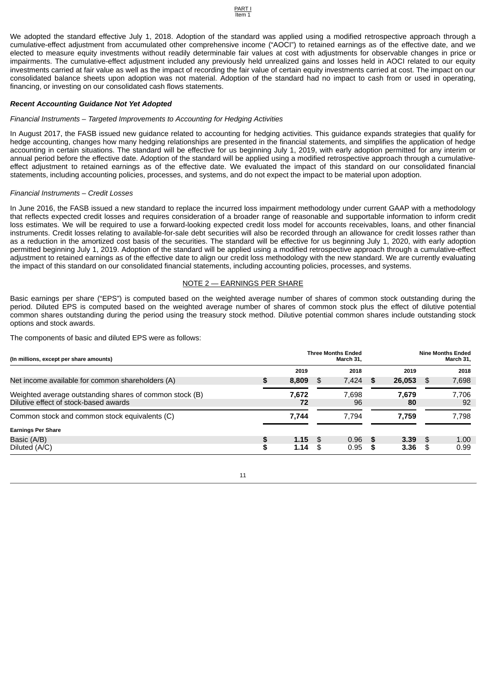We adopted the standard effective July 1, 2018. Adoption of the standard was applied using a modified retrospective approach through a cumulative-effect adjustment from accumulated other comprehensive income ("AOCI") to retained earnings as of the effective date, and we elected to measure equity investments without readily determinable fair values at cost with adjustments for observable changes in price or impairments. The cumulative-effect adjustment included any previously held unrealized gains and losses held in AOCI related to our equity investments carried at fair value as well as the impact of recording the fair value of certain equity investments carried at cost. The impact on our consolidated balance sheets upon adoption was not material. Adoption of the standard had no impact to cash from or used in operating, financing, or investing on our consolidated cash flows statements.

PART I Item 1

#### *Recent Accounting Guidance Not Yet Adopted*

#### *Financial Instruments – Targeted Improvements to Accounting for Hedging Activities*

In August 2017, the FASB issued new guidance related to accounting for hedging activities. This guidance expands strategies that qualify for hedge accounting, changes how many hedging relationships are presented in the financial statements, and simplifies the application of hedge accounting in certain situations. The standard will be effective for us beginning July 1, 2019, with early adoption permitted for any interim or annual period before the effective date. Adoption of the standard will be applied using a modified retrospective approach through a cumulativeeffect adjustment to retained earnings as of the effective date. We evaluated the impact of this standard on our consolidated financial statements, including accounting policies, processes, and systems, and do not expect the impact to be material upon adoption.

#### *Financial Instruments – Credit Losses*

In June 2016, the FASB issued a new standard to replace the incurred loss impairment methodology under current GAAP with a methodology that reflects expected credit losses and requires consideration of a broader range of reasonable and supportable information to inform credit loss estimates. We will be required to use a forward-looking expected credit loss model for accounts receivables, loans, and other financial instruments. Credit losses relating to available-for-sale debt securities will also be recorded through an allowance for credit losses rather than as a reduction in the amortized cost basis of the securities. The standard will be effective for us beginning July 1, 2020, with early adoption permitted beginning July 1, 2019. Adoption of the standard will be applied using a modified retrospective approach through a cumulative-effect adjustment to retained earnings as of the effective date to align our credit loss methodology with the new standard. We are currently evaluating the impact of this standard on our consolidated financial statements, including accounting policies, processes, and systems.

#### NOTE 2 — EARNINGS PER SHARE

Basic earnings per share ("EPS") is computed based on the weighted average number of shares of common stock outstanding during the period. Diluted EPS is computed based on the weighted average number of shares of common stock plus the effect of dilutive potential common shares outstanding during the period using the treasury stock method. Dilutive potential common shares include outstanding stock options and stock awards.

The components of basic and diluted EPS were as follows:

| (In millions, except per share amounts)                                                          |   |             | <b>Three Months Ended</b><br>March 31. | <b>Nine Months Ended</b><br>March 31, |             |     |             |  |
|--------------------------------------------------------------------------------------------------|---|-------------|----------------------------------------|---------------------------------------|-------------|-----|-------------|--|
|                                                                                                  |   | 2019        | 2018                                   |                                       | 2019        |     | 2018        |  |
| Net income available for common shareholders (A)                                                 |   | 8.809       | \$<br>7.424                            | - S                                   | 26.053      | \$. | 7,698       |  |
| Weighted average outstanding shares of common stock (B)<br>Dilutive effect of stock-based awards |   | 7.672<br>72 | 7.698<br>96                            |                                       | 7.679<br>80 |     | 7,706<br>92 |  |
| Common stock and common stock equivalents (C)                                                    |   | 7.744       | 7.794                                  |                                       | 7.759       |     | 7,798       |  |
| <b>Earnings Per Share</b>                                                                        |   |             |                                        |                                       |             |     |             |  |
| Basic (A/B)                                                                                      |   | $1.15$ \$   | 0.96                                   | - \$                                  | 3.39        | \$  | 1.00        |  |
| Diluted (A/C)                                                                                    | S | 1.14        | \$<br>0.95                             |                                       | 3.36        | \$. | 0.99        |  |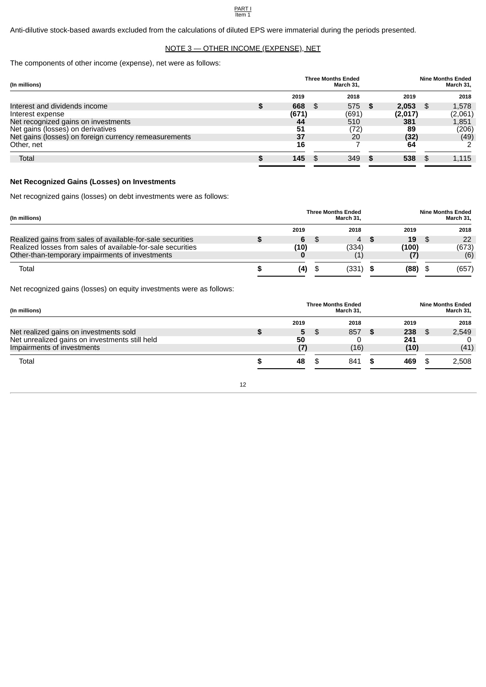## PART I<br>Item 1

Anti-dilutive stock-based awards excluded from the calculations of diluted EPS were immaterial during the periods presented.

## NOTE 3 — OTHER INCOME (EXPENSE), NET

The components of other income (expense), net were as follows:

| (In millions)                                         |    |       | <b>Three Months Ended</b><br>March 31, |         |     | Nine Months Ended<br>March 31, |
|-------------------------------------------------------|----|-------|----------------------------------------|---------|-----|--------------------------------|
|                                                       |    | 2019  | 2018                                   | 2019    |     | 2018                           |
| Interest and dividends income                         | \$ | 668   | \$<br>575S                             | 2,053   | \$  | 1,578                          |
| Interest expense                                      |    | (671) | (691)                                  | (2,017) |     | (2,061)                        |
| Net recognized gains on investments                   |    | 44    | 510                                    | 381     |     | 1,851                          |
| Net gains (losses) on derivatives                     |    | 51    | (72)                                   | 89      |     | (206)                          |
| Net gains (losses) on foreign currency remeasurements |    | 37    | 20                                     | (32)    |     | (49)                           |
| Other, net                                            |    | 16    |                                        | 64      |     |                                |
| Total                                                 | S  | 145   | \$<br>349                              | 538     | \$. | 1,115                          |
|                                                       |    |       |                                        |         |     |                                |

## **Net Recognized Gains (Losses) on Investments**

Net recognized gains (losses) on debt investments were as follows:

| (In millions)                                               |   |      |     | <b>Three Months Ended</b><br>March 31. | Nine Months Ended<br>March 31, |       |     |       |  |
|-------------------------------------------------------------|---|------|-----|----------------------------------------|--------------------------------|-------|-----|-------|--|
|                                                             |   | 2019 |     | 2018                                   |                                | 2019  |     | 2018  |  |
| Realized gains from sales of available-for-sale securities  | S | 6    | \$. | $\overline{4}$                         | \$                             | 19    | \$. | 22    |  |
| Realized losses from sales of available-for-sale securities |   | (10) |     | (334)                                  |                                | (100) |     | (673) |  |
| Other-than-temporary impairments of investments             |   |      |     | (1)                                    |                                |       |     | (6)   |  |
| Total                                                       |   | (4)  |     | (331)                                  |                                | (88)  |     | (657) |  |

Net recognized gains (losses) on equity investments were as follows:

| (In millions)                                  |   |      |     | <b>Three Months Ended</b><br>March 31. | Nine Months Ended<br>March 31, |    |       |  |  |
|------------------------------------------------|---|------|-----|----------------------------------------|--------------------------------|----|-------|--|--|
|                                                |   | 2019 |     | 2018                                   | 2019                           |    | 2018  |  |  |
| Net realized gains on investments sold         | æ | 5.   | \$. | 857                                    | 238                            | \$ | 2,549 |  |  |
| Net unrealized gains on investments still held |   | 50   |     |                                        | 241                            |    |       |  |  |
| Impairments of investments                     |   |      |     | (16)                                   | (10)                           |    | (41)  |  |  |
| Total                                          |   | 48   | \$  | 841                                    | 469                            |    | 2,508 |  |  |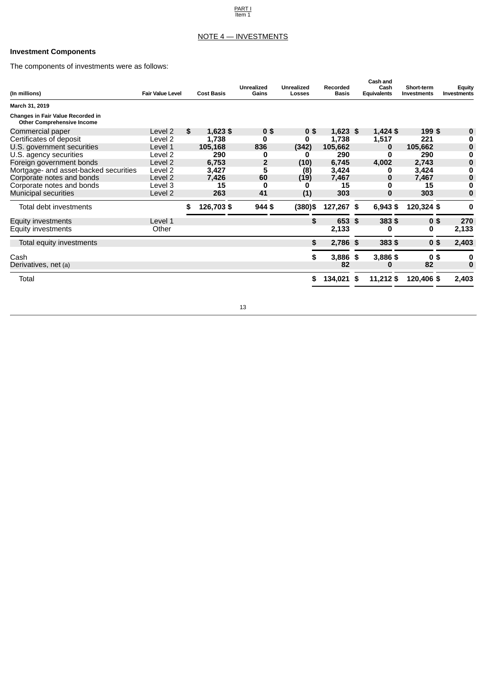## PART I<br>Item 1

## NOTE 4 — INVESTMENTS

## **Investment Components**

The components of investments were as follows:

| (In millions)                                                          | <b>Fair Value Level</b> | <b>Cost Basis</b> | Unrealized<br>Gains | Unrealized<br>Losses | Recorded<br><b>Basis</b> | <b>Cash and</b><br>Cash<br><b>Equivalents</b> | Short-term<br><b>Investments</b> | <b>Equity</b><br>Investments |
|------------------------------------------------------------------------|-------------------------|-------------------|---------------------|----------------------|--------------------------|-----------------------------------------------|----------------------------------|------------------------------|
| March 31, 2019                                                         |                         |                   |                     |                      |                          |                                               |                                  |                              |
| Changes in Fair Value Recorded in<br><b>Other Comprehensive Income</b> |                         |                   |                     |                      |                          |                                               |                                  |                              |
| Commercial paper                                                       | Level 2                 | \$<br>$1,623$ \$  | 0 <sup>5</sup>      | 0 <sup>5</sup>       | $1,623$ \$               | $1,424$ \$                                    | 199 \$                           | 0                            |
| Certificates of deposit                                                | Level 2                 | 1,738             | 0                   | 0                    | 1,738                    | 1,517                                         | 221                              | 0                            |
| U.S. government securities                                             | Level 1                 | 105,168           | 836                 | (342)                | 105,662                  | 0                                             | 105,662                          | 0                            |
| U.S. agency securities                                                 | Level 2                 | 290               |                     | 0                    | 290                      | O                                             | 290                              | 0                            |
| Foreign government bonds                                               | Level <sub>2</sub>      | 6,753             | 2                   | (10)                 | 6,745                    | 4,002                                         | 2,743                            | 0                            |
| Mortgage- and asset-backed securities                                  | Level <sub>2</sub>      | 3,427             | 5                   | (8)                  | 3,424                    | o                                             | 3,424                            | 0                            |
| Corporate notes and bonds                                              | Level <sub>2</sub>      | 7,426             | 60                  | (19)                 | 7,467                    | 0                                             | 7,467                            | 0                            |
| Corporate notes and bonds                                              | Level 3                 | 15                |                     | 0                    | 15                       |                                               | 15                               | 0                            |
| Municipal securities                                                   | Level <sub>2</sub>      | 263               | 41                  | (1)                  | 303                      | 0                                             | 303                              | 0                            |
| Total debt investments                                                 |                         | \$<br>126,703\$   | 944\$               | $(380)$ \$           | 127,267 \$               | $6,943$ \$                                    | 120,324 \$                       | 0                            |
| Equity investments                                                     | Level 1                 |                   |                     | \$                   | 653 \$                   | 383\$                                         | 0 <sup>5</sup>                   | 270                          |
| Equity investments                                                     | Other                   |                   |                     |                      | 2,133                    | 0                                             | 0                                | 2,133                        |
| Total equity investments                                               |                         |                   |                     | \$                   | 2,786 \$                 | 383\$                                         | 0 <sup>5</sup>                   | 2,403                        |
| Cash                                                                   |                         |                   |                     | \$                   | 3,886 \$                 | 3,886 \$                                      | 0\$                              | 0                            |
| Derivatives, net (a)                                                   |                         |                   |                     |                      | 82                       | O                                             | 82                               | 0                            |
| Total                                                                  |                         |                   |                     | S                    | 134,021 \$               | 11,212 \$                                     | 120,406 \$                       | 2,403                        |
|                                                                        |                         |                   |                     |                      |                          |                                               |                                  |                              |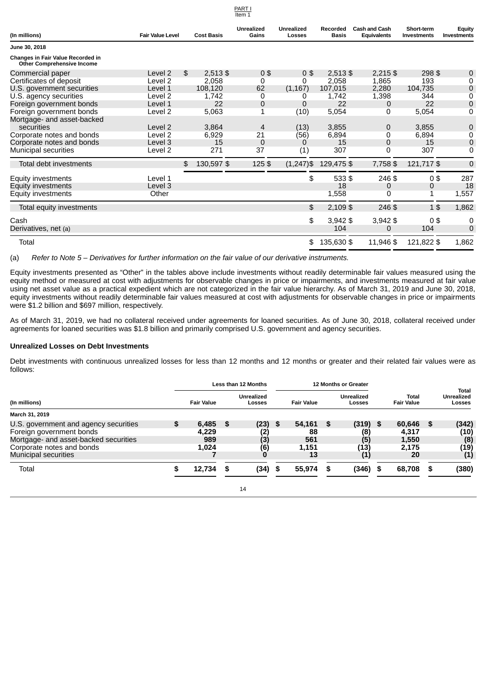| (In millions)                                                                 | <b>Fair Value Level</b> | <b>Cost Basis</b> | <b>Unrealized</b><br>Gains | <b>Unrealized</b><br>Losses | Recorded<br><b>Basis</b> | <b>Cash and Cash</b><br><b>Equivalents</b> | Short-term<br><b>Investments</b> | <b>Equity</b><br><b>Investments</b> |
|-------------------------------------------------------------------------------|-------------------------|-------------------|----------------------------|-----------------------------|--------------------------|--------------------------------------------|----------------------------------|-------------------------------------|
| <b>June 30. 2018</b>                                                          |                         |                   |                            |                             |                          |                                            |                                  |                                     |
| <b>Changes in Fair Value Recorded in</b><br><b>Other Comprehensive Income</b> |                         |                   |                            |                             |                          |                                            |                                  |                                     |
| Commercial paper                                                              | \$<br>Level 2           | $2,513$ \$        | $0$ \$                     | $0$ \$                      | $2,513$ \$               | $2,215$ \$                                 | 298\$                            | 0                                   |
| Certificates of deposit                                                       | Level <sub>2</sub>      | 2,058             | 0                          | 0                           | 2,058                    | 1,865                                      | 193                              | 0                                   |
| U.S. government securities                                                    | Level 1                 | 108,120           | 62                         | (1, 167)                    | 107,015                  | 2,280                                      | 104,735                          | 0                                   |
| U.S. agency securities                                                        | Level 2                 | 1,742             | 0                          | 0                           | 1,742                    | 1,398                                      | 344                              | 0                                   |
| Foreign government bonds                                                      | Level 1                 | 22                | 0                          | 0                           | 22                       | 0                                          | 22                               | 0                                   |
| Foreign government bonds                                                      | Level <sub>2</sub>      | 5,063             | 1                          | (10)                        | 5,054                    | 0                                          | 5,054                            | 0                                   |
| Mortgage- and asset-backed                                                    |                         |                   |                            |                             |                          |                                            |                                  |                                     |
| securities                                                                    | Level 2                 | 3,864             | 4                          | (13)                        | 3,855                    | 0                                          | 3,855                            | 0                                   |
| Corporate notes and bonds                                                     | Level 2                 | 6,929             | 21                         | (56)                        | 6,894                    | 0                                          | 6,894                            | 0                                   |
| Corporate notes and bonds                                                     | Level 3                 | 15                | 0                          | 0                           | 15                       | $\Omega$                                   | 15                               | 0                                   |
| Municipal securities                                                          | Level <sub>2</sub>      | 271               | 37                         | (1)                         | 307                      | 0                                          | 307                              | 0                                   |
| Total debt investments                                                        | \$                      | 130,597 \$        | 125\$                      | $(1,247)$ \$                | 129,475 \$               | 7,758\$                                    | 121,717 \$                       | 0                                   |
| Equity investments                                                            | Level 1                 |                   |                            | \$                          | 533\$                    | 246 \$                                     | 0\$                              | 287                                 |
| Equity investments                                                            | Level 3                 |                   |                            |                             | 18                       | 0                                          | 0                                | 18                                  |
| Equity investments                                                            | Other                   |                   |                            |                             | 1,558                    | 0                                          | 1                                | 1,557                               |
| Total equity investments                                                      |                         |                   |                            | \$                          | $2,109$ \$               | 246 \$                                     | 1\$                              | 1,862                               |
| Cash                                                                          |                         |                   |                            | \$                          | $3,942$ \$               | $3,942$ \$                                 | 0\$                              | 0                                   |
| Derivatives, net (a)                                                          |                         |                   |                            |                             | 104                      | 0                                          | 104                              | 0                                   |
| Total                                                                         |                         |                   |                            | \$                          | 135,630 \$               | 11,946 \$                                  | 121,822 \$                       | 1,862                               |

(a) Refer to Note 5 – Derivatives for further information on the fair value of our derivative instruments.

Equity investments presented as "Other" in the tables above include investments without readily determinable fair values measured using the equity method or measured at cost with adjustments for observable changes in price or impairments, and investments measured at fair value using net asset value as a practical expedient which are not categorized in the fair value hierarchy. As of March 31, 2019 and June 30, 2018, equity investments without readily determinable fair values measured at cost with adjustments for observable changes in price or impairments were \$1.2 billion and \$697 million, respectively.

As of March 31, 2019, we had no collateral received under agreements for loaned securities. As of June 30, 2018, collateral received under agreements for loaned securities was \$1.8 billion and primarily comprised U.S. government and agency securities.

## **Unrealized Losses on Debt Investments**

Debt investments with continuous unrealized losses for less than 12 months and 12 months or greater and their related fair values were as follows:

|                                       |   | Less than 12 Months |   |                             |    |                   | <b>12 Months or Greater</b> |                             |                            |        |      |                               |
|---------------------------------------|---|---------------------|---|-----------------------------|----|-------------------|-----------------------------|-----------------------------|----------------------------|--------|------|-------------------------------|
| (In millions)                         |   | <b>Fair Value</b>   |   | <b>Unrealized</b><br>Losses |    | <b>Fair Value</b> |                             | <b>Unrealized</b><br>Losses | Total<br><b>Fair Value</b> |        |      | Total<br>Unrealized<br>Losses |
| March 31, 2019                        |   |                     |   |                             |    |                   |                             |                             |                            |        |      |                               |
| U.S. government and agency securities | S | 6,485               | S | (23)                        | \$ | 54,161            | \$                          | (319)                       | - \$                       | 60,646 | - \$ | (342)                         |
| Foreign government bonds              |   | 4.229               |   | (2)                         |    | 88                |                             | (8)                         |                            | 4,317  |      | (10)                          |
| Mortgage- and asset-backed securities |   | 989                 |   | (3)                         |    | 561               |                             | (5)                         |                            | 1,550  |      | (8)                           |
| Corporate notes and bonds             |   | 1.024               |   | (6)                         |    | 1,151             |                             | (13)                        |                            | 2,175  |      | (19)                          |
| <b>Municipal securities</b>           |   |                     |   | o                           |    | 13                |                             | $\left( 1\right)$           |                            | 20     |      | (1)                           |
| Total                                 | S | 12,734              | S | (34)                        | \$ | 55,974            | S                           | (346)                       | - \$                       | 68,708 | - \$ | (380)                         |
|                                       |   |                     |   | $\overline{a}$              |    |                   |                             |                             |                            |        |      |                               |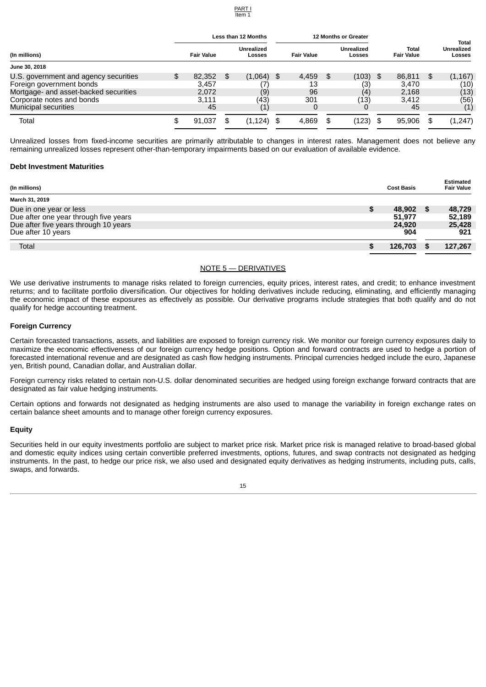

| (In millions)                         |    | <b>Less than 12 Months</b> |    |                             |    | <b>12 Months or Greater</b> |    |                             |     |                            |      |                                      |
|---------------------------------------|----|----------------------------|----|-----------------------------|----|-----------------------------|----|-----------------------------|-----|----------------------------|------|--------------------------------------|
|                                       |    | <b>Fair Value</b>          |    | <b>Unrealized</b><br>Losses |    | <b>Fair Value</b>           |    | <b>Unrealized</b><br>Losses |     | Total<br><b>Fair Value</b> |      | Total<br><b>Unrealized</b><br>Losses |
| June 30, 2018                         |    |                            |    |                             |    |                             |    |                             |     |                            |      |                                      |
| U.S. government and agency securities | \$ | 82,352                     | \$ | (1,064)                     | \$ | 4,459                       | \$ | (103)                       | -\$ | 86,811                     | - \$ | (1, 167)                             |
| Foreign government bonds              |    | 3.457                      |    |                             |    | 13                          |    | (3)                         |     | 3,470                      |      | (10)                                 |
| Mortgage- and asset-backed securities |    | 2.072                      |    | (9)                         |    | 96                          |    | (4)                         |     | 2.168                      |      | (13)                                 |
| Corporate notes and bonds             |    | 3,111                      |    | (43)                        |    | 301                         |    | (13)                        |     | 3.412                      |      | (56)                                 |
| <b>Municipal securities</b>           |    | 45                         |    | (1)                         |    |                             |    |                             |     | 45                         |      | (1)                                  |
| Total                                 |    | 91,037                     |    | (1, 124)                    | \$ | 4,869                       | \$ | (123)                       | \$  | 95,906                     | \$   | (1,247)                              |

Unrealized losses from fixed-income securities are primarily attributable to changes in interest rates. Management does not believe any remaining unrealized losses represent other-than-temporary impairments based on our evaluation of available evidence.

#### **Debt Investment Maturities**

| (In millions)                         |   | <b>Cost Basis</b> |   | Estimated<br><b>Fair Value</b> |
|---------------------------------------|---|-------------------|---|--------------------------------|
| March 31, 2019                        |   |                   |   |                                |
| Due in one year or less               | S | 48,902            | S | 48,729                         |
| Due after one year through five years |   | 51,977            |   | 52,189                         |
| Due after five years through 10 years |   | 24,920            |   | 25,428                         |
| Due after 10 years                    |   | 904               |   | 921                            |
| <b>Total</b>                          |   | 126,703           |   | 127,267                        |

#### NOTE 5 — DERIVATIVES

We use derivative instruments to manage risks related to foreign currencies, equity prices, interest rates, and credit; to enhance investment returns; and to facilitate portfolio diversification. Our objectives for holding derivatives include reducing, eliminating, and efficiently managing the economic impact of these exposures as effectively as possible. Our derivative programs include strategies that both qualify and do not qualify for hedge accounting treatment.

## **Foreign Currency**

Certain forecasted transactions, assets, and liabilities are exposed to foreign currency risk. We monitor our foreign currency exposures daily to maximize the economic effectiveness of our foreign currency hedge positions. Option and forward contracts are used to hedge a portion of forecasted international revenue and are designated as cash flow hedging instruments. Principal currencies hedged include the euro, Japanese yen, British pound, Canadian dollar, and Australian dollar.

Foreign currency risks related to certain non-U.S. dollar denominated securities are hedged using foreign exchange forward contracts that are designated as fair value hedging instruments.

Certain options and forwards not designated as hedging instruments are also used to manage the variability in foreign exchange rates on certain balance sheet amounts and to manage other foreign currency exposures.

### **Equity**

Securities held in our equity investments portfolio are subject to market price risk. Market price risk is managed relative to broad-based global and domestic equity indices using certain convertible preferred investments, options, futures, and swap contracts not designated as hedging instruments. In the past, to hedge our price risk, we also used and designated equity derivatives as hedging instruments, including puts, calls, swaps, and forwards.

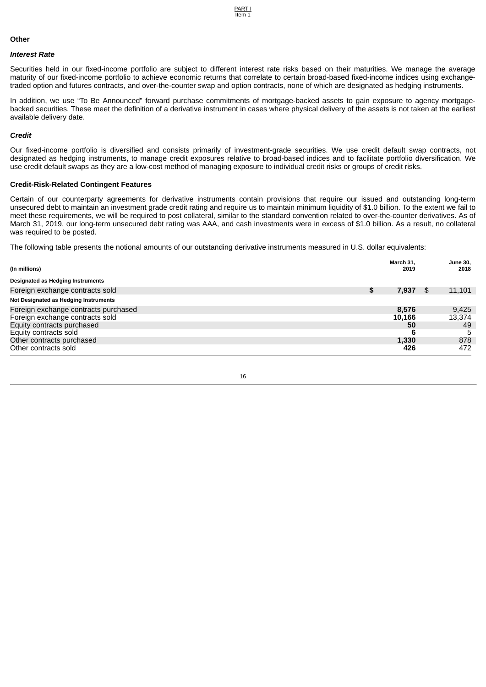#### **Other**

#### *Interest Rate*

Securities held in our fixed-income portfolio are subject to different interest rate risks based on their maturities. We manage the average maturity of our fixed-income portfolio to achieve economic returns that correlate to certain broad-based fixed-income indices using exchangetraded option and futures contracts, and over-the-counter swap and option contracts, none of which are designated as hedging instruments.

PART I Item 1

In addition, we use "To Be Announced" forward purchase commitments of mortgage-backed assets to gain exposure to agency mortgagebacked securities. These meet the definition of a derivative instrument in cases where physical delivery of the assets is not taken at the earliest available delivery date.

#### *Credit*

Our fixed-income portfolio is diversified and consists primarily of investment-grade securities. We use credit default swap contracts, not designated as hedging instruments, to manage credit exposures relative to broad-based indices and to facilitate portfolio diversification. We use credit default swaps as they are a low-cost method of managing exposure to individual credit risks or groups of credit risks.

#### **Credit-Risk-Related Contingent Features**

Certain of our counterparty agreements for derivative instruments contain provisions that require our issued and outstanding long-term unsecured debt to maintain an investment grade credit rating and require us to maintain minimum liquidity of \$1.0 billion. To the extent we fail to meet these requirements, we will be required to post collateral, similar to the standard convention related to over-the-counter derivatives. As of March 31, 2019, our long-term unsecured debt rating was AAA, and cash investments were in excess of \$1.0 billion. As a result, no collateral was required to be posted.

The following table presents the notional amounts of our outstanding derivative instruments measured in U.S. dollar equivalents:

| (In millions)                         | March 31.<br>2019 |      | <b>June 30,</b><br>2018 |
|---------------------------------------|-------------------|------|-------------------------|
| Designated as Hedging Instruments     |                   |      |                         |
| Foreign exchange contracts sold       | \$<br>7,937       | - 36 | 11,101                  |
| Not Designated as Hedging Instruments |                   |      |                         |
| Foreign exchange contracts purchased  | 8,576             |      | 9,425                   |
| Foreign exchange contracts sold       | 10,166            |      | 13,374                  |
| Equity contracts purchased            | 50                |      | 49                      |
| Equity contracts sold                 | 6                 |      | 5                       |
| Other contracts purchased             | 1,330             |      | 878                     |
| Other contracts sold                  | 426               |      | 472                     |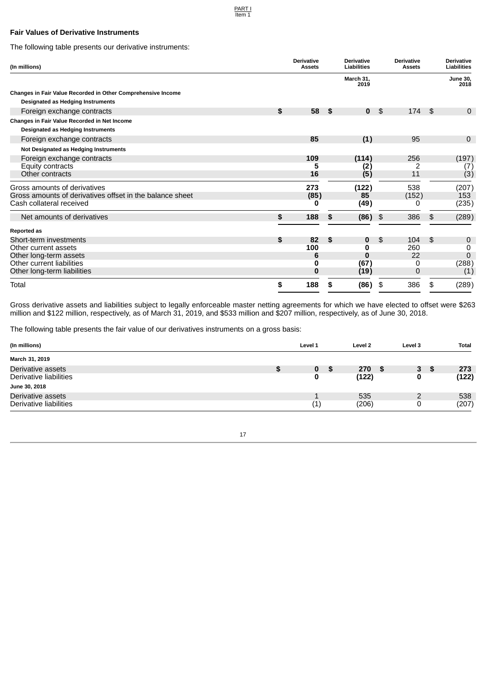## PART I<br>Item 1

## **Fair Values of Derivative Instruments**

The following table presents our derivative instruments:

| (In millions)                                                                                     | Derivative<br><b>Assets</b> |      | <b>Derivative</b><br>Liabilities | <b>Derivative</b><br><b>Assets</b> | <b>Derivative</b><br>Liabilities |
|---------------------------------------------------------------------------------------------------|-----------------------------|------|----------------------------------|------------------------------------|----------------------------------|
|                                                                                                   |                             |      | March 31,<br>2019                |                                    | June 30.<br>2018                 |
| Changes in Fair Value Recorded in Other Comprehensive Income<br>Designated as Hedging Instruments |                             |      |                                  |                                    |                                  |
| Foreign exchange contracts                                                                        | \$<br>58                    | - \$ | $\bf{0}$                         | \$<br>174                          | \$<br>$\Omega$                   |
| Changes in Fair Value Recorded in Net Income                                                      |                             |      |                                  |                                    |                                  |
| <b>Designated as Hedging Instruments</b>                                                          |                             |      |                                  |                                    |                                  |
| Foreign exchange contracts                                                                        | 85                          |      | (1)                              | 95                                 | $\Omega$                         |
| Not Designated as Hedging Instruments                                                             |                             |      |                                  |                                    |                                  |
| Foreign exchange contracts                                                                        | 109                         |      | (114)                            | 256                                | (197)                            |
| Equity contracts                                                                                  | 5                           |      | (2)                              |                                    | (7)                              |
| Other contracts                                                                                   | 16                          |      | (5)                              | 11                                 | (3)                              |
| Gross amounts of derivatives                                                                      | 273                         |      | (122)                            | 538                                | (207)                            |
| Gross amounts of derivatives offset in the balance sheet                                          | (85)                        |      | 85                               | (152)                              | 153                              |
| Cash collateral received                                                                          | 0                           |      | (49)                             | 0                                  | (235)                            |
| Net amounts of derivatives                                                                        | \$<br>188                   | \$   | (86)                             | \$<br>386                          | \$<br>(289)                      |
| <b>Reported as</b>                                                                                |                             |      |                                  |                                    |                                  |
| Short-term investments                                                                            | \$<br>82                    | \$   | 0                                | \$<br>104                          | \$<br>0                          |
| Other current assets                                                                              | 100                         |      | 0                                | 260                                | 0                                |
| Other long-term assets                                                                            | 6                           |      | 0                                | 22                                 | $\Omega$                         |
| Other current liabilities                                                                         | 0                           |      | (67)                             | 0                                  | (288)                            |
| Other long-term liabilities                                                                       | $\bf{0}$                    |      | (19)                             | $\mathbf 0$                        | (1)                              |
| Total                                                                                             | \$<br>188                   | \$   | (86)                             | \$<br>386                          | \$<br>(289)                      |

Gross derivative assets and liabilities subject to legally enforceable master netting agreements for which we have elected to offset were \$263 million and \$122 million, respectively, as of March 31, 2019, and \$533 million and \$207 million, respectively, as of June 30, 2018.

The following table presents the fair value of our derivatives instruments on a gross basis:

| (In millions)                               | Level 1             | Level 2             | Level 3        | <b>Total</b> |
|---------------------------------------------|---------------------|---------------------|----------------|--------------|
| March 31, 2019                              |                     |                     |                |              |
| Derivative assets<br>Derivative liabilities | \$<br>0             | 270<br>- S<br>(122) | 3<br>- 36<br>0 | 273<br>(122) |
| June 30, 2018                               |                     |                     |                |              |
| Derivative assets<br>Derivative liabilities | $\scriptstyle{(1)}$ | 535<br>(206)        |                | 538<br>(207) |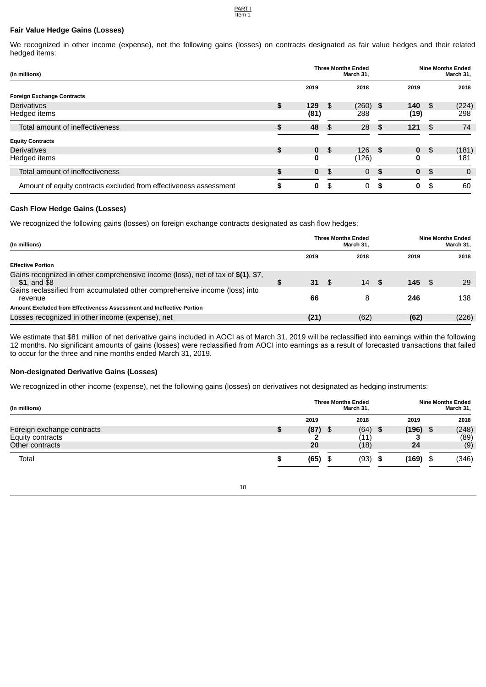#### **Fair Value Hedge Gains (Losses)**

We recognized in other income (expense), net the following gains (losses) on contracts designated as fair value hedges and their related hedged items:

| (In millions)                                                     |     |          | <b>Three Months Ended</b><br>March 31, |             |     | <b>Nine Months Ended</b><br>March 31, |      |          |  |
|-------------------------------------------------------------------|-----|----------|----------------------------------------|-------------|-----|---------------------------------------|------|----------|--|
|                                                                   |     | 2019     |                                        | 2018        |     | 2019                                  |      | 2018     |  |
| <b>Foreign Exchange Contracts</b>                                 |     |          |                                        |             |     |                                       |      |          |  |
| <b>Derivatives</b>                                                | S   | 129      | -\$                                    | $(260)$ \$  |     | 140                                   | - \$ | (224)    |  |
| Hedged items                                                      |     | (81)     |                                        | 288         |     | (19)                                  |      | 298      |  |
| Total amount of ineffectiveness                                   | \$  | 48       | \$                                     | 28          | \$  | 121                                   | - \$ | 74       |  |
| <b>Equity Contracts</b>                                           |     |          |                                        |             |     |                                       |      |          |  |
| <b>Derivatives</b>                                                | \$  | $\bf{0}$ | \$                                     | 126         | -\$ | 0                                     | \$   | (181)    |  |
| Hedged items                                                      |     |          |                                        | (126)       |     | 0                                     |      | 181      |  |
| Total amount of ineffectiveness                                   | \$. | $\bf{0}$ | \$                                     | $\mathbf 0$ | \$  | $\bf{0}$                              | \$   | $\Omega$ |  |
| Amount of equity contracts excluded from effectiveness assessment | \$  | 0        | \$                                     | 0           | \$  | 0                                     | \$   | 60       |  |

## **Cash Flow Hedge Gains (Losses)**

We recognized the following gains (losses) on foreign exchange contracts designated as cash flow hedges:

| (In millions)                                                                                    |   |      |      | <b>Three Months Ended</b><br>March 31. | Nine Months Ended<br>March 31, |      |      |       |
|--------------------------------------------------------------------------------------------------|---|------|------|----------------------------------------|--------------------------------|------|------|-------|
|                                                                                                  |   | 2019 |      | 2018                                   |                                | 2019 |      | 2018  |
| <b>Effective Portion</b>                                                                         |   |      |      |                                        |                                |      |      |       |
| Gains recognized in other comprehensive income (loss), net of tax of \$(1), \$7,<br>\$1, and \$8 | S | 31   | - \$ | 14                                     | - \$                           | 145  | - SI | 29    |
| Gains reclassified from accumulated other comprehensive income (loss) into<br>revenue            |   | 66   |      | 8                                      |                                | 246  |      | 138   |
| Amount Excluded from Effectiveness Assessment and Ineffective Portion                            |   |      |      |                                        |                                |      |      |       |
| Losses recognized in other income (expense), net                                                 |   | (21) |      | (62)                                   |                                | (62) |      | (226) |

We estimate that \$81 million of net derivative gains included in AOCI as of March 31, 2019 will be reclassified into earnings within the following 12 months. No significant amounts of gains (losses) were reclassified from AOCI into earnings as a result of forecasted transactions that failed to occur for the three and nine months ended March 31, 2019.

## **Non-designated Derivative Gains (Losses)**

We recognized in other income (expense), net the following gains (losses) on derivatives not designated as hedging instruments:

| (In millions)              |  |      | <b>Three Months Ended</b><br>March 31. |      |      | Nine Months Ended<br>March 31, |  |       |  |
|----------------------------|--|------|----------------------------------------|------|------|--------------------------------|--|-------|--|
|                            |  | 2019 |                                        | 2018 |      | 2019                           |  | 2018  |  |
| Foreign exchange contracts |  | (87) | - \$                                   | (64) | - \$ | $(196)$ \$                     |  | (248) |  |
| Equity contracts           |  |      |                                        | (11  |      |                                |  | (89)  |  |
| Other contracts            |  | 20   |                                        | (18) |      | 24                             |  | (9)   |  |
| Total                      |  | (65) | - \$                                   | (93) | - \$ | $(169)$ \$                     |  | (346) |  |

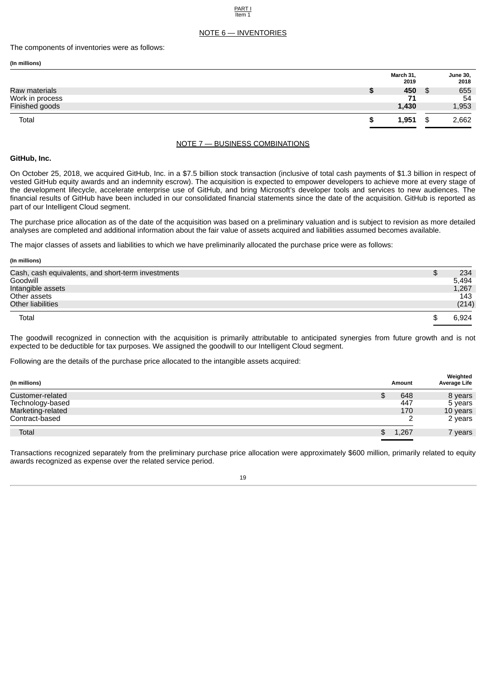## Item 1 NOTE 6 — INVENTORIES

PART I

## The components of inventories were as follows:

**(In millions)**

|                 |   | March 31,<br>2019 | <b>June 30,</b><br>2018 |
|-----------------|---|-------------------|-------------------------|
| Raw materials   |   | 450               | \$<br>655               |
| Work in process |   | 71                | 54                      |
| Finished goods  |   | 1,430             | 1,953                   |
| Total           | S | 1,951             | 2,662                   |

### NOTE 7 — BUSINESS COMBINATIONS

## **GitHub, Inc.**

On October 25, 2018, we acquired GitHub, Inc. in a \$7.5 billion stock transaction (inclusive of total cash payments of \$1.3 billion in respect of vested GitHub equity awards and an indemnity escrow). The acquisition is expected to empower developers to achieve more at every stage of the development lifecycle, accelerate enterprise use of GitHub, and bring Microsoft's developer tools and services to new audiences. The financial results of GitHub have been included in our consolidated financial statements since the date of the acquisition. GitHub is reported as part of our Intelligent Cloud segment.

The purchase price allocation as of the date of the acquisition was based on a preliminary valuation and is subject to revision as more detailed analyses are completed and additional information about the fair value of assets acquired and liabilities assumed becomes available.

The major classes of assets and liabilities to which we have preliminarily allocated the purchase price were as follows:

| (In millions)                                      |           |
|----------------------------------------------------|-----------|
| Cash, cash equivalents, and short-term investments | \$<br>234 |
| Goodwill                                           | 5,494     |
| Intangible assets                                  | 1,267     |
| Other assets                                       | 143       |
| Other liabilities                                  | (214)     |
| Total                                              | 6,924     |

The goodwill recognized in connection with the acquisition is primarily attributable to anticipated synergies from future growth and is not expected to be deductible for tax purposes. We assigned the goodwill to our Intelligent Cloud segment.

Following are the details of the purchase price allocated to the intangible assets acquired:

| (In millions)     |    | Amount | Weighted<br><b>Average Life</b> |
|-------------------|----|--------|---------------------------------|
| Customer-related  | J  | 648    | 8 years                         |
| Technology-based  |    | 447    | 5 years                         |
| Marketing-related |    | 170    | 10 years                        |
| Contract-based    |    |        | 2 years                         |
| Total             | \$ | 1,267  | 7 years                         |

Transactions recognized separately from the preliminary purchase price allocation were approximately \$600 million, primarily related to equity awards recognized as expense over the related service period.

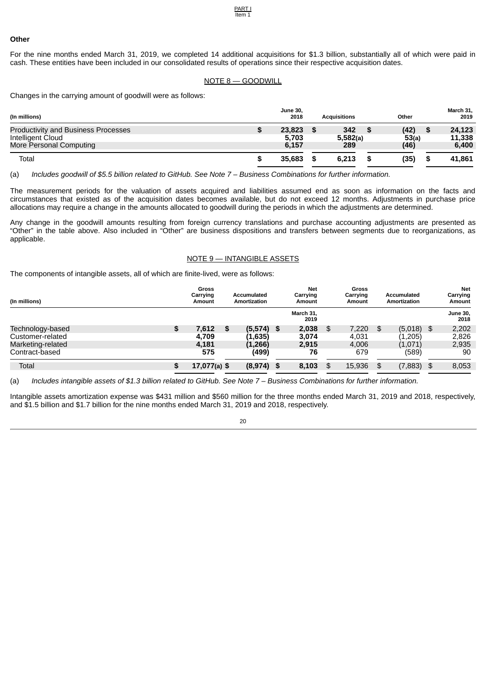### **Other**

For the nine months ended March 31, 2019, we completed 14 additional acquisitions for \$1.3 billion, substantially all of which were paid in cash. These entities have been included in our consolidated results of operations since their respective acquisition dates.

#### NOTE 8 — GOODWILL

Changes in the carrying amount of goodwill were as follows:

| (In millions)                                                                              | June 30.<br>2018               | <b>Acquisitions</b>    | Other                 | March 31,<br>2019         |
|--------------------------------------------------------------------------------------------|--------------------------------|------------------------|-----------------------|---------------------------|
| <b>Productivity and Business Processes</b><br>Intelligent Cloud<br>More Personal Computing | \$<br>23,823<br>5,703<br>6.157 | 342<br>5,582(a)<br>289 | (42)<br>53(a)<br>(46) | 24,123<br>11,338<br>6,400 |
| Total                                                                                      | \$<br>35.683                   | 6.213                  | (35)                  | 41,861                    |

(a) Includes goodwill of \$5.5 billion related to GitHub. See Note 7 - Business Combinations for further information.

The measurement periods for the valuation of assets acquired and liabilities assumed end as soon as information on the facts and circumstances that existed as of the acquisition dates becomes available, but do not exceed 12 months. Adjustments in purchase price allocations may require a change in the amounts allocated to goodwill during the periods in which the adjustments are determined.

Any change in the goodwill amounts resulting from foreign currency translations and purchase accounting adjustments are presented as "Other" in the table above. Also included in "Other" are business dispositions and transfers between segments due to reorganizations, as applicable.

#### NOTE 9 — INTANGIBLE ASSETS

The components of intangible assets, all of which are finite-lived, were as follows:

| (In millions)     |    | <b>Gross</b><br>Carrying<br>Amount |   | <b>Accumulated</b><br>Amortization | Net<br>Carrying<br>Amount | Gross<br>Carrying<br>Amount | <b>Accumulated</b><br>Amortization | <b>Net</b><br>Carrying<br>Amount |
|-------------------|----|------------------------------------|---|------------------------------------|---------------------------|-----------------------------|------------------------------------|----------------------------------|
|                   |    |                                    |   |                                    | March 31,<br>2019         |                             |                                    | June 30,<br>2018                 |
| Technology-based  | \$ | 7.612                              | S | (5,574)                            | \$<br>2,038               | \$<br>7.220                 | \$<br>$(5,018)$ \$                 | 2,202                            |
| Customer-related  |    | 4,709                              |   | (1,635)                            | 3,074                     | 4,031                       | (1,205)                            | 2,826                            |
| Marketing-related |    | 4,181                              |   | (1,266)                            | 2,915                     | 4.006                       | (1,071)                            | 2,935                            |
| Contract-based    |    | 575                                |   | (499)                              | 76                        | 679                         | (589)                              | 90                               |
| Total             | S. | $17,077(a)$ \$                     |   | (8,974)                            | \$<br>8,103               | \$<br>15,936                | \$<br>$(7,883)$ \$                 | 8,053                            |

(a) Includes intangible assets of \$1.3 billion related to GitHub. See Note 7 - Business Combinations for further information.

Intangible assets amortization expense was \$431 million and \$560 million for the three months ended March 31, 2019 and 2018, respectively, and \$1.5 billion and \$1.7 billion for the nine months ended March 31, 2019 and 2018, respectively.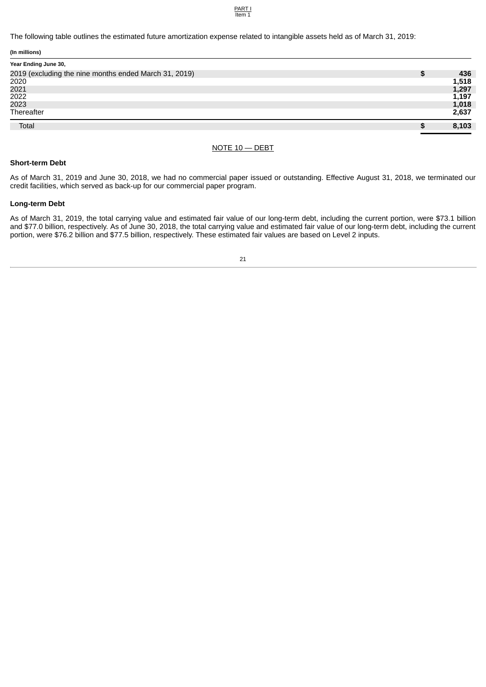The following table outlines the estimated future amortization expense related to intangible assets held as of March 31, 2019:

| \$<br>436 |
|-----------|
| 1,518     |
| 1,297     |
| 1,197     |
| 1,018     |
| 2,637     |
| 8,103     |
|           |

## NOTE 10 — DEBT

#### **Short-term Debt**

As of March 31, 2019 and June 30, 2018, we had no commercial paper issued or outstanding. Effective August 31, 2018, we terminated our credit facilities, which served as back-up for our commercial paper program.

#### **Long-term Debt**

As of March 31, 2019, the total carrying value and estimated fair value of our long-term debt, including the current portion, were \$73.1 billion and \$77.0 billion, respectively. As of June 30, 2018, the total carrying value and estimated fair value of our long-term debt, including the current portion, were \$76.2 billion and \$77.5 billion, respectively. These estimated fair values are based on Level 2 inputs.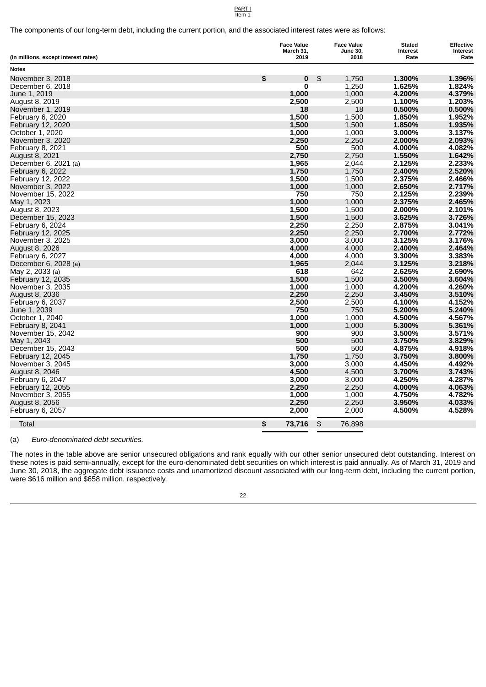PART I<br>Item 1

The components of our long-term debt, including the current portion, and the associated interest rates were as follows:

| (In millions, except interest rates) | <b>Face Value</b><br>March 31,<br>2019 | <b>Face Value</b><br><b>June 30,</b><br>2018 | <b>Stated</b><br><b>Interest</b><br>Rate | <b>Effective</b><br>Interest<br>Rate |
|--------------------------------------|----------------------------------------|----------------------------------------------|------------------------------------------|--------------------------------------|
| <b>Notes</b>                         |                                        |                                              |                                          |                                      |
| November 3, 2018                     | \$<br>$\bf{0}$                         | \$<br>1,750                                  | 1.300%                                   | 1.396%                               |
| December 6, 2018                     | 0                                      | 1,250                                        | 1.625%                                   | 1.824%                               |
| June 1, 2019                         | 1,000                                  | 1,000                                        | 4.200%                                   | 4.379%                               |
| August 8, 2019                       | 2,500                                  | 2,500                                        | 1.100%                                   | 1.203%                               |
| November 1, 2019                     | 18                                     | 18                                           | 0.500%                                   | 0.500%                               |
| February 6, 2020                     | 1,500                                  | 1,500                                        | 1.850%                                   | 1.952%                               |
| <b>February 12, 2020</b>             | 1,500                                  | 1,500                                        | 1.850%                                   | 1.935%                               |
| October 1, 2020                      | 1,000                                  | 1,000                                        | 3.000%                                   | 3.137%                               |
| November 3, 2020                     | 2,250                                  | 2,250                                        | 2.000%                                   | 2.093%                               |
| February 8, 2021                     | 500                                    | 500                                          | 4.000%                                   | 4.082%                               |
| August 8, 2021                       | 2,750                                  | 2,750                                        | 1.550%                                   | 1.642%                               |
| December 6, 2021 (a)                 | 1,965                                  | 2,044                                        | 2.125%                                   | 2.233%                               |
| February 6, 2022                     | 1,750                                  | 1.750                                        | 2.400%                                   | 2.520%                               |
| February 12, 2022                    | 1,500                                  | 1,500                                        | 2.375%                                   | 2.466%                               |
| November 3, 2022                     | 1,000                                  | 1.000                                        | 2.650%                                   | 2.717%                               |
| November 15, 2022                    | 750                                    | 750                                          | 2.125%                                   | 2.239%                               |
| May 1, 2023                          | 1,000                                  | 1.000                                        | 2.375%                                   | 2.465%                               |
| August 8, 2023                       | 1,500                                  | 1,500                                        | 2.000%                                   | 2.101%                               |
| December 15, 2023                    | 1,500                                  | 1,500                                        | 3.625%                                   | 3.726%                               |
| February 6, 2024                     |                                        | 2,250                                        | 2.875%                                   | 3.041%                               |
|                                      | 2,250                                  |                                              |                                          | 2.772%                               |
| <b>February 12, 2025</b>             | 2,250                                  | 2,250                                        | 2.700%                                   |                                      |
| November 3, 2025                     | 3,000                                  | 3,000                                        | 3.125%                                   | 3.176%                               |
| August 8, 2026                       | 4,000                                  | 4,000                                        | 2.400%                                   | 2.464%                               |
| February 6, 2027                     | 4,000                                  | 4.000                                        | 3.300%                                   | 3.383%                               |
| December 6, 2028 (a)                 | 1,965                                  | 2,044                                        | 3.125%                                   | 3.218%                               |
| May 2, 2033 (a)                      | 618                                    | 642                                          | 2.625%                                   | 2.690%                               |
| <b>February 12, 2035</b>             | 1,500                                  | 1,500                                        | 3.500%                                   | 3.604%                               |
| November 3, 2035                     | 1,000                                  | 1,000                                        | 4.200%                                   | 4.260%                               |
| August 8, 2036                       | 2,250                                  | 2,250                                        | 3.450%                                   | 3.510%                               |
| February 6, 2037                     | 2,500                                  | 2,500                                        | 4.100%                                   | 4.152%                               |
| June 1, 2039                         | 750                                    | 750                                          | 5.200%                                   | 5.240%                               |
| October 1, 2040                      | 1,000                                  | 1,000                                        | 4.500%                                   | 4.567%                               |
| <b>February 8, 2041</b>              | 1,000                                  | 1,000                                        | 5.300%                                   | 5.361%                               |
| November 15, 2042                    | 900                                    | 900                                          | 3.500%                                   | 3.571%                               |
| May 1, 2043                          | 500                                    | 500                                          | 3.750%                                   | 3.829%                               |
| December 15, 2043                    | 500                                    | 500                                          | 4.875%                                   | 4.918%                               |
| February 12, 2045                    | 1,750                                  | 1,750                                        | 3.750%                                   | 3.800%                               |
| November 3, 2045                     | 3,000                                  | 3,000                                        | 4.450%                                   | 4.492%                               |
| August 8, 2046                       | 4,500                                  | 4,500                                        | 3.700%                                   | 3.743%                               |
| February 6, 2047                     | 3,000                                  | 3,000                                        | 4.250%                                   | 4.287%                               |
| <b>February 12, 2055</b>             | 2,250                                  | 2,250                                        | 4.000%                                   | 4.063%                               |
| November 3, 2055                     | 1,000                                  | 1,000                                        | 4.750%                                   | 4.782%                               |
| August 8, 2056                       | 2,250                                  | 2,250                                        | 3.950%                                   | 4.033%                               |
| February 6, 2057                     | 2,000                                  | 2,000                                        | 4.500%                                   | 4.528%                               |
| Total                                | \$<br>73,716                           | \$<br>76.898                                 |                                          |                                      |

(a) *Euro-denominated debt securities.*

The notes in the table above are senior unsecured obligations and rank equally with our other senior unsecured debt outstanding. Interest on these notes is paid semi-annually, except for the euro-denominated debt securities on which interest is paid annually. As of March 31, 2019 and June 30, 2018, the aggregate debt issuance costs and unamortized discount associated with our long-term debt, including the current portion, were \$616 million and \$658 million, respectively.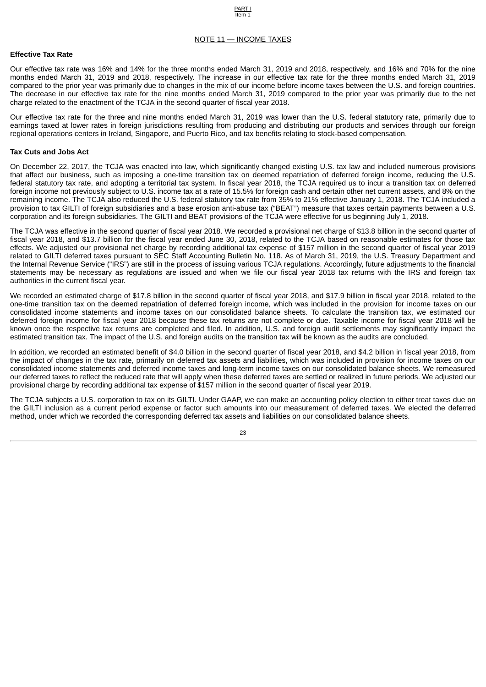## NOTE 11 — INCOME TAXES

#### **Effective Tax Rate**

Our effective tax rate was 16% and 14% for the three months ended March 31, 2019 and 2018, respectively, and 16% and 70% for the nine months ended March 31, 2019 and 2018, respectively. The increase in our effective tax rate for the three months ended March 31, 2019 compared to the prior year was primarily due to changes in the mix of our income before income taxes between the U.S. and foreign countries. The decrease in our effective tax rate for the nine months ended March 31, 2019 compared to the prior year was primarily due to the net charge related to the enactment of the TCJA in the second quarter of fiscal year 2018.

Our effective tax rate for the three and nine months ended March 31, 2019 was lower than the U.S. federal statutory rate, primarily due to earnings taxed at lower rates in foreign jurisdictions resulting from producing and distributing our products and services through our foreign regional operations centers in Ireland, Singapore, and Puerto Rico, and tax benefits relating to stock-based compensation.

#### **Tax Cuts and Jobs Act**

On December 22, 2017, the TCJA was enacted into law, which significantly changed existing U.S. tax law and included numerous provisions that affect our business, such as imposing a one-time transition tax on deemed repatriation of deferred foreign income, reducing the U.S. federal statutory tax rate, and adopting a territorial tax system. In fiscal year 2018, the TCJA required us to incur a transition tax on deferred foreign income not previously subject to U.S. income tax at a rate of 15.5% for foreign cash and certain other net current assets, and 8% on the remaining income. The TCJA also reduced the U.S. federal statutory tax rate from 35% to 21% effective January 1, 2018. The TCJA included a provision to tax GILTI of foreign subsidiaries and a base erosion anti-abuse tax ("BEAT") measure that taxes certain payments between a U.S. corporation and its foreign subsidiaries. The GILTI and BEAT provisions of the TCJA were effective for us beginning July 1, 2018.

The TCJA was effective in the second quarter of fiscal year 2018. We recorded a provisional net charge of \$13.8 billion in the second quarter of fiscal year 2018, and \$13.7 billion for the fiscal year ended June 30, 2018, related to the TCJA based on reasonable estimates for those tax effects. We adjusted our provisional net charge by recording additional tax expense of \$157 million in the second quarter of fiscal year 2019 related to GILTI deferred taxes pursuant to SEC Staff Accounting Bulletin No. 118. As of March 31, 2019, the U.S. Treasury Department and the Internal Revenue Service ("IRS") are still in the process of issuing various TCJA regulations. Accordingly, future adjustments to the financial statements may be necessary as regulations are issued and when we file our fiscal year 2018 tax returns with the IRS and foreign tax authorities in the current fiscal year.

We recorded an estimated charge of \$17.8 billion in the second quarter of fiscal year 2018, and \$17.9 billion in fiscal year 2018, related to the one-time transition tax on the deemed repatriation of deferred foreign income, which was included in the provision for income taxes on our consolidated income statements and income taxes on our consolidated balance sheets. To calculate the transition tax, we estimated our deferred foreign income for fiscal year 2018 because these tax returns are not complete or due. Taxable income for fiscal year 2018 will be known once the respective tax returns are completed and filed. In addition, U.S. and foreign audit settlements may significantly impact the estimated transition tax. The impact of the U.S. and foreign audits on the transition tax will be known as the audits are concluded.

In addition, we recorded an estimated benefit of \$4.0 billion in the second quarter of fiscal year 2018, and \$4.2 billion in fiscal year 2018, from the impact of changes in the tax rate, primarily on deferred tax assets and liabilities, which was included in provision for income taxes on our consolidated income statements and deferred income taxes and long-term income taxes on our consolidated balance sheets. We remeasured our deferred taxes to reflect the reduced rate that will apply when these deferred taxes are settled or realized in future periods. We adjusted our provisional charge by recording additional tax expense of \$157 million in the second quarter of fiscal year 2019.

The TCJA subjects a U.S. corporation to tax on its GILTI. Under GAAP, we can make an accounting policy election to either treat taxes due on the GILTI inclusion as a current period expense or factor such amounts into our measurement of deferred taxes. We elected the deferred method, under which we recorded the corresponding deferred tax assets and liabilities on our consolidated balance sheets.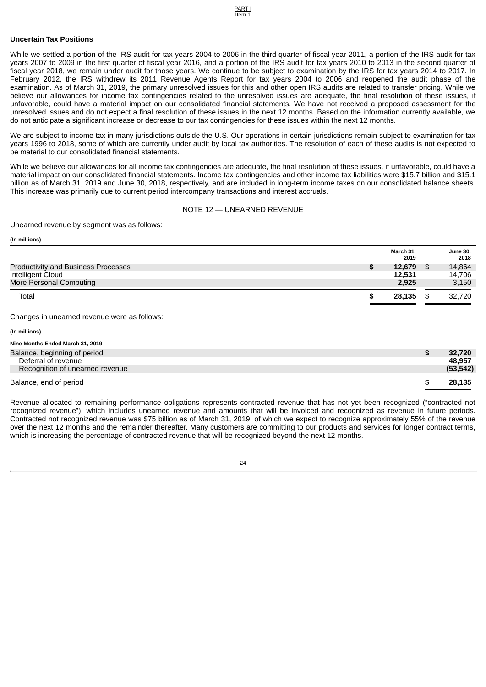## **Uncertain Tax Positions**

While we settled a portion of the IRS audit for tax years 2004 to 2006 in the third quarter of fiscal year 2011, a portion of the IRS audit for tax years 2007 to 2009 in the first quarter of fiscal year 2016, and a portion of the IRS audit for tax years 2010 to 2013 in the second quarter of fiscal year 2018, we remain under audit for those years. We continue to be subject to examination by the IRS for tax years 2014 to 2017. In February 2012, the IRS withdrew its 2011 Revenue Agents Report for tax years 2004 to 2006 and reopened the audit phase of the examination. As of March 31, 2019, the primary unresolved issues for this and other open IRS audits are related to transfer pricing. While we believe our allowances for income tax contingencies related to the unresolved issues are adequate, the final resolution of these issues, if unfavorable, could have a material impact on our consolidated financial statements. We have not received a proposed assessment for the unresolved issues and do not expect a final resolution of these issues in the next 12 months. Based on the information currently available, we do not anticipate a significant increase or decrease to our tax contingencies for these issues within the next 12 months.

We are subject to income tax in many jurisdictions outside the U.S. Our operations in certain jurisdictions remain subject to examination for tax years 1996 to 2018, some of which are currently under audit by local tax authorities. The resolution of each of these audits is not expected to be material to our consolidated financial statements.

While we believe our allowances for all income tax contingencies are adequate, the final resolution of these issues, if unfavorable, could have a material impact on our consolidated financial statements. Income tax contingencies and other income tax liabilities were \$15.7 billion and \$15.1 billion as of March 31, 2019 and June 30, 2018, respectively, and are included in long-term income taxes on our consolidated balance sheets. This increase was primarily due to current period intercompany transactions and interest accruals.

#### NOTE 12 — UNEARNED REVENUE

Unearned revenue by segment was as follows:

|  | (In millions) |  |
|--|---------------|--|
|--|---------------|--|

|                                            | March 31.<br>2019 | <b>June 30,</b><br>2018 |
|--------------------------------------------|-------------------|-------------------------|
| <b>Productivity and Business Processes</b> | \$<br>12.679      | \$<br>14,864            |
| Intelligent Cloud                          | 12,531            | 14,706                  |
| More Personal Computing                    | 2,925             | 3,150                   |
| Total                                      | 28.135            | 32.720                  |

Changes in unearned revenue were as follows:

| (In millions)                    |           |
|----------------------------------|-----------|
| Nine Months Ended March 31, 2019 |           |
| Balance, beginning of period     | 32,720    |
| Deferral of revenue              | 48.957    |
| Recognition of unearned revenue  | (53, 542) |
| Balance, end of period           | 28.135    |

Revenue allocated to remaining performance obligations represents contracted revenue that has not yet been recognized ("contracted not recognized revenue"), which includes unearned revenue and amounts that will be invoiced and recognized as revenue in future periods. Contracted not recognized revenue was \$75 billion as of March 31, 2019, of which we expect to recognize approximately 55% of the revenue over the next 12 months and the remainder thereafter. Many customers are committing to our products and services for longer contract terms, which is increasing the percentage of contracted revenue that will be recognized beyond the next 12 months.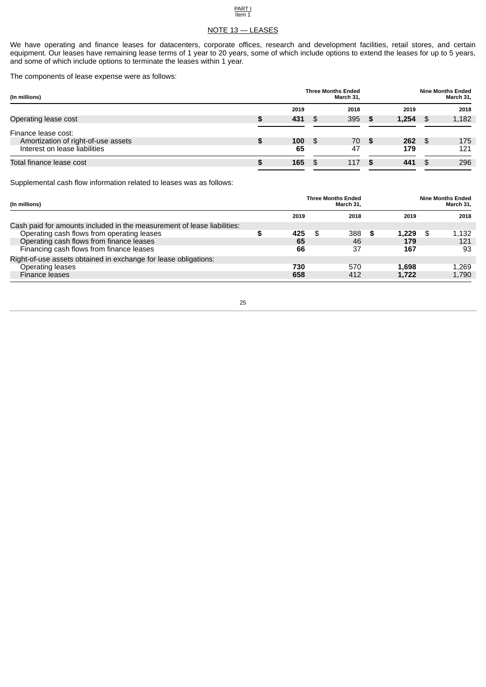## PART I<br>Item 1

#### NOTE 13 — LEASES

We have operating and finance leases for datacenters, corporate offices, research and development facilities, retail stores, and certain equipment. Our leases have remaining lease terms of 1 year to 20 years, some of which include options to extend the leases for up to 5 years, and some of which include options to terminate the leases within 1 year.

The components of lease expense were as follows:

| (In millions)                                                                               |   |           |           | <b>Three Months Ended</b><br>March 31, |      |            |      | <b>Nine Months Ended</b><br>March 31, |
|---------------------------------------------------------------------------------------------|---|-----------|-----------|----------------------------------------|------|------------|------|---------------------------------------|
|                                                                                             |   | 2019      |           | 2018                                   |      | 2019       |      | 2018                                  |
| Operating lease cost                                                                        | S | 431       | \$        | 395                                    | - \$ | 1,254      | \$   | 1,182                                 |
| Finance lease cost:<br>Amortization of right-of-use assets<br>Interest on lease liabilities | S | 100<br>65 | <b>\$</b> | 70 \$<br>47                            |      | 262<br>179 | - \$ | 175<br>121                            |
| Total finance lease cost                                                                    | c | 165       | \$        | 117                                    |      | 441        | -\$  | 296                                   |

Supplemental cash flow information related to leases was as follows:

| (In millions)                                                           |   |      | <b>Three Months Ended</b> | March 31. |    |       | Nine Months Ended<br>March 31, |
|-------------------------------------------------------------------------|---|------|---------------------------|-----------|----|-------|--------------------------------|
|                                                                         |   | 2019 |                           | 2018      |    | 2019  | 2018                           |
| Cash paid for amounts included in the measurement of lease liabilities: |   |      |                           |           |    |       |                                |
| Operating cash flows from operating leases                              | S | 425  | \$                        | 388       | S. | 1.229 | \$<br>1,132                    |
| Operating cash flows from finance leases                                |   | 65   |                           | 46        |    | 179   | 121                            |
| Financing cash flows from finance leases                                |   | 66   |                           | 37        |    | 167   | 93                             |
| Right-of-use assets obtained in exchange for lease obligations:         |   |      |                           |           |    |       |                                |
| Operating leases                                                        |   | 730  |                           | 570       |    | 1.698 | 1,269                          |
| Finance leases                                                          |   | 658  |                           | 412       |    | 1,722 | 1,790                          |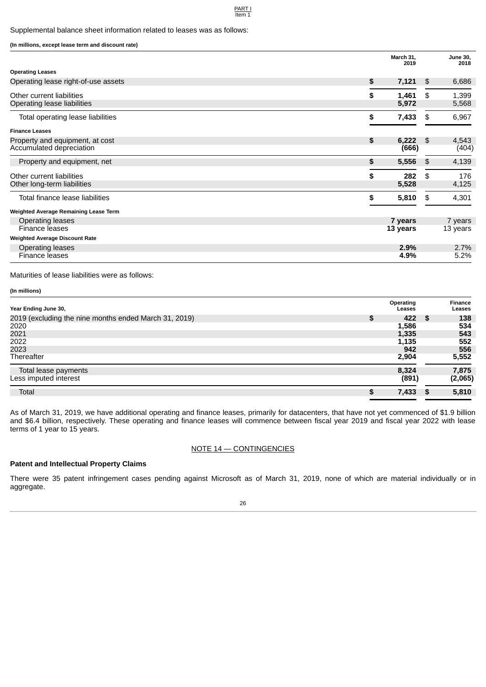#### Supplemental balance sheet information related to leases was as follows:

|  |  |  |  |  |  | (In millions, except lease term and discount rate) |  |
|--|--|--|--|--|--|----------------------------------------------------|--|
|--|--|--|--|--|--|----------------------------------------------------|--|

|                                       | March 31,<br>2019 |               | <b>June 30,</b><br>2018 |
|---------------------------------------|-------------------|---------------|-------------------------|
| <b>Operating Leases</b>               |                   |               |                         |
| Operating lease right-of-use assets   | \$<br>7,121       | $\frac{3}{2}$ | 6,686                   |
| Other current liabilities             | \$<br>1,461       | \$            | 1,399                   |
| Operating lease liabilities           | 5,972             |               | 5,568                   |
| Total operating lease liabilities     | \$<br>7,433       | \$            | 6,967                   |
| <b>Finance Leases</b>                 |                   |               |                         |
| Property and equipment, at cost       | \$<br>6,222       | \$            | 4,543                   |
| Accumulated depreciation              | (666)             |               | (404)                   |
| Property and equipment, net           | \$<br>5,556       | \$            | 4,139                   |
| Other current liabilities             | \$<br>282         | \$            | 176                     |
| Other long-term liabilities           | 5,528             |               | 4,125                   |
| Total finance lease liabilities       | \$<br>5,810       | \$            | 4,301                   |
| Weighted Average Remaining Lease Term |                   |               |                         |
| Operating leases                      | 7 years           |               | 7 years                 |
| Finance leases                        | 13 years          |               | 13 years                |
| <b>Weighted Average Discount Rate</b> |                   |               |                         |
| <b>Operating leases</b>               | 2.9%              |               | 2.7%                    |
| <b>Finance leases</b>                 | 4.9%              |               | 5.2%                    |

## Maturities of lease liabilities were as follows:

**(In millions)**

| Year Ending June 30,                                  | Operating<br>Leases |      | <b>Finance</b><br>Leases |
|-------------------------------------------------------|---------------------|------|--------------------------|
| 2019 (excluding the nine months ended March 31, 2019) | \$<br>422           | - \$ | 138                      |
| 2020                                                  | 1,586               |      | 534                      |
| 2021                                                  | 1,335               |      | 543                      |
| 2022                                                  | 1,135               |      | 552                      |
| 2023                                                  | 942                 |      | 556                      |
| Thereafter                                            | 2,904               |      | 5,552                    |
| Total lease payments                                  | 8,324               |      | 7,875                    |
| Less imputed interest                                 | (891)               |      | (2,065)                  |
| <b>Total</b>                                          | \$<br>7,433         | - 56 | 5,810                    |

As of March 31, 2019, we have additional operating and finance leases, primarily for datacenters, that have not yet commenced of \$1.9 billion and \$6.4 billion, respectively. These operating and finance leases will commence between fiscal year 2019 and fiscal year 2022 with lease terms of 1 year to 15 years.

#### NOTE 14 — CONTINGENCIES

## **Patent and Intellectual Property Claims**

There were 35 patent infringement cases pending against Microsoft as of March 31, 2019, none of which are material individually or in aggregate.

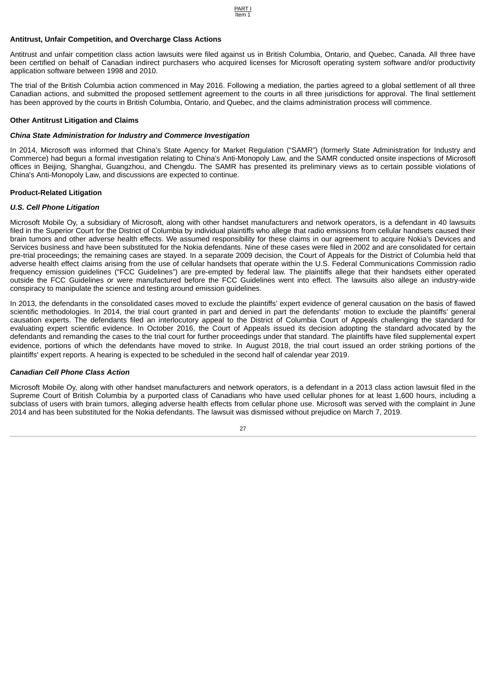## **Antitrust, Unfair Competition, and Overcharge Class Actions**

Antitrust and unfair competition class action lawsuits were filed against us in British Columbia, Ontario, and Quebec, Canada. All three have been certified on behalf of Canadian indirect purchasers who acquired licenses for Microsoft operating system software and/or productivity application software between 1998 and 2010.

The trial of the British Columbia action commenced in May 2016. Following a mediation, the parties agreed to a global settlement of all three Canadian actions, and submitted the proposed settlement agreement to the courts in all three jurisdictions for approval. The final settlement has been approved by the courts in British Columbia, Ontario, and Quebec, and the claims administration process will commence.

#### **Other Antitrust Litigation and Claims**

#### *China State Administration for Industry and Commerce Investigation*

In 2014, Microsoft was informed that China's State Agency for Market Regulation ("SAMR") (formerly State Administration for Industry and Commerce) had begun a formal investigation relating to China's Anti-Monopoly Law, and the SAMR conducted onsite inspections of Microsoft offices in Beijing, Shanghai, Guangzhou, and Chengdu. The SAMR has presented its preliminary views as to certain possible violations of China's Anti-Monopoly Law, and discussions are expected to continue.

#### **Product-Related Litigation**

#### *U.S. Cell Phone Litigation*

Microsoft Mobile Oy, a subsidiary of Microsoft, along with other handset manufacturers and network operators, is a defendant in 40 lawsuits filed in the Superior Court for the District of Columbia by individual plaintiffs who allege that radio emissions from cellular handsets caused their brain tumors and other adverse health effects. We assumed responsibility for these claims in our agreement to acquire Nokia's Devices and Services business and have been substituted for the Nokia defendants. Nine of these cases were filed in 2002 and are consolidated for certain pre-trial proceedings; the remaining cases are stayed. In a separate 2009 decision, the Court of Appeals for the District of Columbia held that adverse health effect claims arising from the use of cellular handsets that operate within the U.S. Federal Communications Commission radio frequency emission guidelines ("FCC Guidelines") are pre-empted by federal law. The plaintiffs allege that their handsets either operated outside the FCC Guidelines or were manufactured before the FCC Guidelines went into effect. The lawsuits also allege an industry-wide conspiracy to manipulate the science and testing around emission guidelines.

In 2013, the defendants in the consolidated cases moved to exclude the plaintiffs' expert evidence of general causation on the basis of flawed scientific methodologies. In 2014, the trial court granted in part and denied in part the defendants' motion to exclude the plaintiffs' general causation experts. The defendants filed an interlocutory appeal to the District of Columbia Court of Appeals challenging the standard for evaluating expert scientific evidence. In October 2016, the Court of Appeals issued its decision adopting the standard advocated by the defendants and remanding the cases to the trial court for further proceedings under that standard. The plaintiffs have filed supplemental expert evidence, portions of which the defendants have moved to strike. In August 2018, the trial court issued an order striking portions of the plaintiffs' expert reports. A hearing is expected to be scheduled in the second half of calendar year 2019.

#### *Canadian Cell Phone Class Action*

Microsoft Mobile Oy, along with other handset manufacturers and network operators, is a defendant in a 2013 class action lawsuit filed in the Supreme Court of British Columbia by a purported class of Canadians who have used cellular phones for at least 1,600 hours, including a subclass of users with brain tumors, alleging adverse health effects from cellular phone use. Microsoft was served with the complaint in June 2014 and has been substituted for the Nokia defendants. The lawsuit was dismissed without prejudice on March 7, 2019.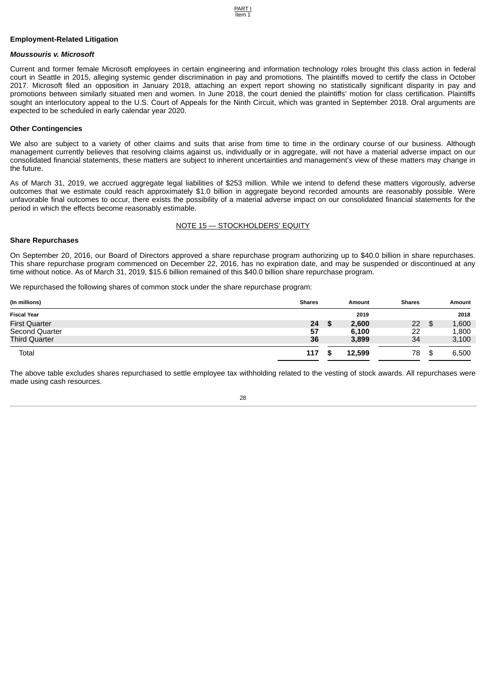

## **Employment-Related Litigation**

#### *Moussouris v. Microsoft*

Current and former female Microsoft employees in certain engineering and information technology roles brought this class action in federal court in Seattle in 2015, alleging systemic gender discrimination in pay and promotions. The plaintiffs moved to certify the class in October 2017. Microsoft filed an opposition in January 2018, attaching an expert report showing no statistically significant disparity in pay and promotions between similarly situated men and women. In June 2018, the court denied the plaintiffs' motion for class certification. Plaintiffs sought an interlocutory appeal to the U.S. Court of Appeals for the Ninth Circuit, which was granted in September 2018. Oral arguments are expected to be scheduled in early calendar year 2020.

#### **Other Contingencies**

We also are subject to a variety of other claims and suits that arise from time to time in the ordinary course of our business. Although management currently believes that resolving claims against us, individually or in aggregate, will not have a material adverse impact on our consolidated financial statements, these matters are subject to inherent uncertainties and management's view of these matters may change in the future.

As of March 31, 2019, we accrued aggregate legal liabilities of \$253 million. While we intend to defend these matters vigorously, adverse outcomes that we estimate could reach approximately \$1.0 billion in aggregate beyond recorded amounts are reasonably possible. Were unfavorable final outcomes to occur, there exists the possibility of a material adverse impact on our consolidated financial statements for the period in which the effects become reasonably estimable.

#### NOTE 15 — STOCKHOLDERS' EQUITY

#### **Share Repurchases**

On September 20, 2016, our Board of Directors approved a share repurchase program authorizing up to \$40.0 billion in share repurchases. This share repurchase program commenced on December 22, 2016, has no expiration date, and may be suspended or discontinued at any time without notice. As of March 31, 2019, \$15.6 billion remained of this \$40.0 billion share repurchase program.

We repurchased the following shares of common stock under the share repurchase program:

| (In millions)        | <b>Shares</b> | <b>Amount</b> | <b>Shares</b> | Amount      |
|----------------------|---------------|---------------|---------------|-------------|
| <b>Fiscal Year</b>   |               | 2019          |               | 2018        |
| <b>First Quarter</b> | 24            | \$<br>2,600   | 22            | \$<br>1,600 |
| Second Quarter       | 57            | 6,100         | 22            | 1,800       |
| <b>Third Quarter</b> | 36            | 3,899         | 34            | 3,100       |
| Total                | 117           | 12,599        | 78            | \$<br>6,500 |

The above table excludes shares repurchased to settle employee tax withholding related to the vesting of stock awards. All repurchases were made using cash resources.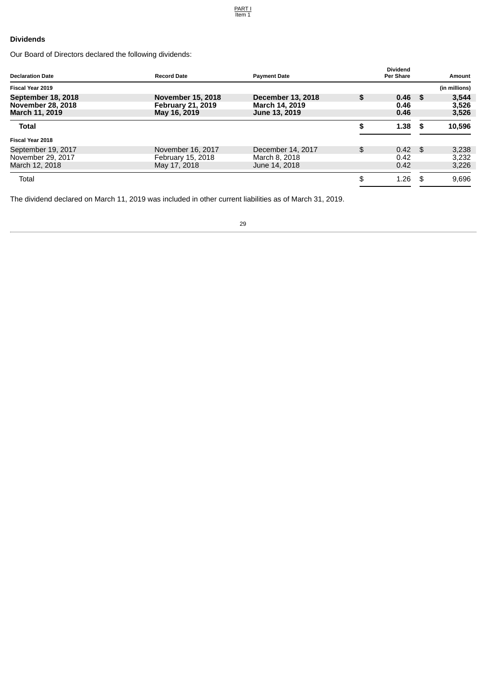## **Dividends**

Our Board of Directors declared the following dividends:

| <b>Declaration Date</b>   | <b>Record Date</b>       | <b>Payment Date</b>      |    | <b>Dividend</b><br><b>Per Share</b> |      | Amount        |
|---------------------------|--------------------------|--------------------------|----|-------------------------------------|------|---------------|
| <b>Fiscal Year 2019</b>   |                          |                          |    |                                     |      | (in millions) |
| <b>September 18, 2018</b> | <b>November 15, 2018</b> | <b>December 13, 2018</b> | S  | 0.46                                | - S  | 3,544         |
| <b>November 28, 2018</b>  | <b>February 21, 2019</b> | <b>March 14, 2019</b>    |    | 0.46                                |      | 3,526         |
| March 11, 2019            | May 16, 2019             | June 13, 2019            |    | 0.46                                |      | 3,526         |
| <b>Total</b>              |                          |                          | \$ | 1.38                                | S    | 10,596        |
| <b>Fiscal Year 2018</b>   |                          |                          |    |                                     |      |               |
| September 19, 2017        | November 16, 2017        | December 14, 2017        | \$ | 0.42                                | - \$ | 3,238         |
| November 29, 2017         | February 15, 2018        | March 8, 2018            |    | 0.42                                |      | 3,232         |
| March 12, 2018            | May 17, 2018             | June 14, 2018            |    | 0.42                                |      | 3.226         |
| Total                     |                          |                          | \$ | 1.26                                | \$   | 9,696         |
|                           |                          |                          |    |                                     |      |               |

The dividend declared on March 11, 2019 was included in other current liabilities as of March 31, 2019.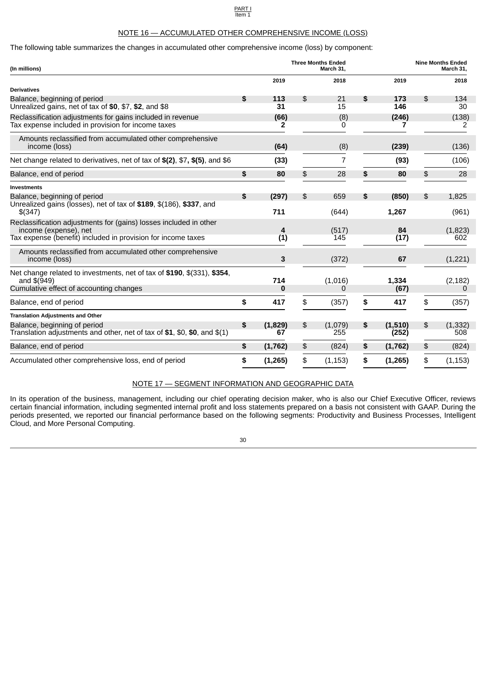## PART I<br>Item 1

## NOTE 16 — ACCUMULATED OTHER COMPREHENSIVE INCOME (LOSS)

The following table summarizes the changes in accumulated other comprehensive income (loss) by component:

| (In millions)                                                                                                    |                     | <b>Three Months Ended</b><br>March 31, | <b>Nine Months Ended</b><br>March 31. |                  |    |                 |  |  |  |
|------------------------------------------------------------------------------------------------------------------|---------------------|----------------------------------------|---------------------------------------|------------------|----|-----------------|--|--|--|
|                                                                                                                  | 2019                | 2018                                   |                                       | 2019             |    | 2018            |  |  |  |
| <b>Derivatives</b>                                                                                               |                     |                                        |                                       |                  |    |                 |  |  |  |
| Balance, beginning of period<br>Unrealized gains, net of tax of \$0, \$7, \$2, and \$8                           | \$<br>113<br>31     | \$<br>21<br>15                         | \$                                    | 173<br>146       | \$ | 134<br>30       |  |  |  |
| Reclassification adjustments for gains included in revenue<br>Tax expense included in provision for income taxes | (66)<br>2           | (8)<br>0                               |                                       | (246)<br>7       |    | (138)<br>2      |  |  |  |
| Amounts reclassified from accumulated other comprehensive<br>income (loss)                                       | (64)                | (8)                                    |                                       | (239)            |    | (136)           |  |  |  |
| Net change related to derivatives, net of tax of \$(2), \$7, \$(5), and \$6                                      | (33)                | 7                                      |                                       | (93)             |    | (106)           |  |  |  |
| Balance, end of period                                                                                           | \$<br>80            | \$<br>28                               | \$                                    | 80               | \$ | 28              |  |  |  |
| <b>Investments</b>                                                                                               |                     |                                        |                                       |                  |    |                 |  |  |  |
| Balance, beginning of period<br>Unrealized gains (losses), net of tax of \$189, \$(186), \$337, and              | \$<br>(297)         | \$<br>659                              | \$                                    | (850)            | \$ | 1,825           |  |  |  |
| \$(347)                                                                                                          | 711                 | (644)                                  |                                       | 1,267            |    | (961)           |  |  |  |
| Reclassification adjustments for (gains) losses included in other<br>income (expense), net                       | 4                   | (517)                                  |                                       | 84               |    | (1,823)         |  |  |  |
| Tax expense (benefit) included in provision for income taxes                                                     | (1)                 | 145                                    |                                       | (17)             |    | 602             |  |  |  |
| Amounts reclassified from accumulated other comprehensive<br>income (loss)                                       | 3                   | (372)                                  |                                       | 67               |    | (1,221)         |  |  |  |
| Net change related to investments, net of tax of \$190, \$(331), \$354,<br>and \$(949)                           | 714                 | (1,016)                                |                                       | 1,334            |    | (2, 182)        |  |  |  |
| Cumulative effect of accounting changes                                                                          | $\bf{0}$            | 0                                      |                                       | (67)             |    | $\Omega$        |  |  |  |
| Balance, end of period                                                                                           | \$<br>417           | \$<br>(357)                            | \$                                    | 417              | \$ | (357)           |  |  |  |
| <b>Translation Adjustments and Other</b>                                                                         |                     |                                        |                                       |                  |    |                 |  |  |  |
| Balance, beginning of period<br>Translation adjustments and other, net of tax of \$1, \$0, \$0, and \$(1)        | \$<br>(1,829)<br>67 | \$<br>(1,079)<br>255                   | \$                                    | (1,510)<br>(252) | \$ | (1, 332)<br>508 |  |  |  |
| Balance, end of period                                                                                           | \$<br>(1,762)       | \$<br>(824)                            | \$                                    | (1,762)          | \$ | (824)           |  |  |  |
| Accumulated other comprehensive loss, end of period                                                              | \$<br>(1, 265)      | \$<br>(1, 153)                         | \$                                    | (1,265)          | \$ | (1, 153)        |  |  |  |

## NOTE 17 — SEGMENT INFORMATION AND GEOGRAPHIC DATA

In its operation of the business, management, including our chief operating decision maker, who is also our Chief Executive Officer, reviews certain financial information, including segmented internal profit and loss statements prepared on a basis not consistent with GAAP. During the periods presented, we reported our financial performance based on the following segments: Productivity and Business Processes, Intelligent Cloud, and More Personal Computing.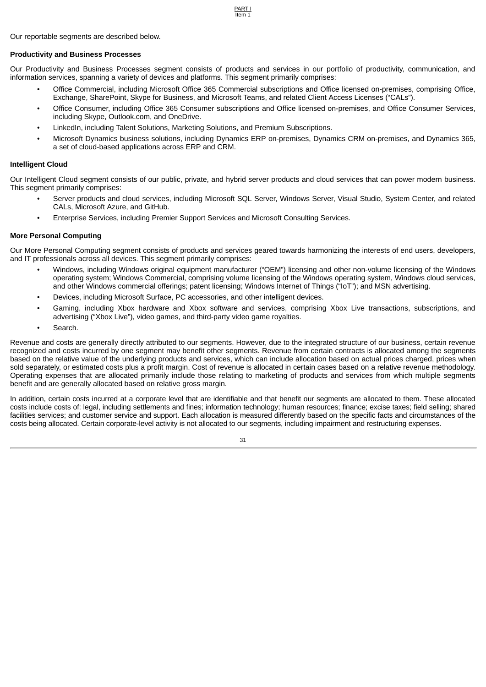

## Our reportable segments are described below.

#### **Productivity and Business Processes**

Our Productivity and Business Processes segment consists of products and services in our portfolio of productivity, communication, and information services, spanning a variety of devices and platforms. This segment primarily comprises:

- Office Commercial, including Microsoft Office 365 Commercial subscriptions and Office licensed on-premises, comprising Office, Exchange, SharePoint, Skype for Business, and Microsoft Teams, and related Client Access Licenses ("CALs").
- Office Consumer, including Office 365 Consumer subscriptions and Office licensed on-premises, and Office Consumer Services, including Skype, Outlook.com, and OneDrive.
- LinkedIn, including Talent Solutions, Marketing Solutions, and Premium Subscriptions.
- Microsoft Dynamics business solutions, including Dynamics ERP on-premises, Dynamics CRM on-premises, and Dynamics 365, a set of cloud-based applications across ERP and CRM.

## **Intelligent Cloud**

Our Intelligent Cloud segment consists of our public, private, and hybrid server products and cloud services that can power modern business. This segment primarily comprises:

- Server products and cloud services, including Microsoft SQL Server, Windows Server, Visual Studio, System Center, and related CALs, Microsoft Azure, and GitHub.
- Enterprise Services, including Premier Support Services and Microsoft Consulting Services.

#### **More Personal Computing**

Our More Personal Computing segment consists of products and services geared towards harmonizing the interests of end users, developers, and IT professionals across all devices. This segment primarily comprises:

- Windows, including Windows original equipment manufacturer ("OEM") licensing and other non-volume licensing of the Windows operating system; Windows Commercial, comprising volume licensing of the Windows operating system, Windows cloud services, and other Windows commercial offerings; patent licensing; Windows Internet of Things ("IoT"); and MSN advertising.
- Devices, including Microsoft Surface, PC accessories, and other intelligent devices.
- Gaming, including Xbox hardware and Xbox software and services, comprising Xbox Live transactions, subscriptions, and advertising ("Xbox Live"), video games, and third-party video game royalties.
- Search.

Revenue and costs are generally directly attributed to our segments. However, due to the integrated structure of our business, certain revenue recognized and costs incurred by one segment may benefit other segments. Revenue from certain contracts is allocated among the segments based on the relative value of the underlying products and services, which can include allocation based on actual prices charged, prices when sold separately, or estimated costs plus a profit margin. Cost of revenue is allocated in certain cases based on a relative revenue methodology. Operating expenses that are allocated primarily include those relating to marketing of products and services from which multiple segments benefit and are generally allocated based on relative gross margin.

In addition, certain costs incurred at a corporate level that are identifiable and that benefit our segments are allocated to them. These allocated costs include costs of: legal, including settlements and fines; information technology; human resources; finance; excise taxes; field selling; shared facilities services; and customer service and support. Each allocation is measured differently based on the specific facts and circumstances of the costs being allocated. Certain corporate-level activity is not allocated to our segments, including impairment and restructuring expenses.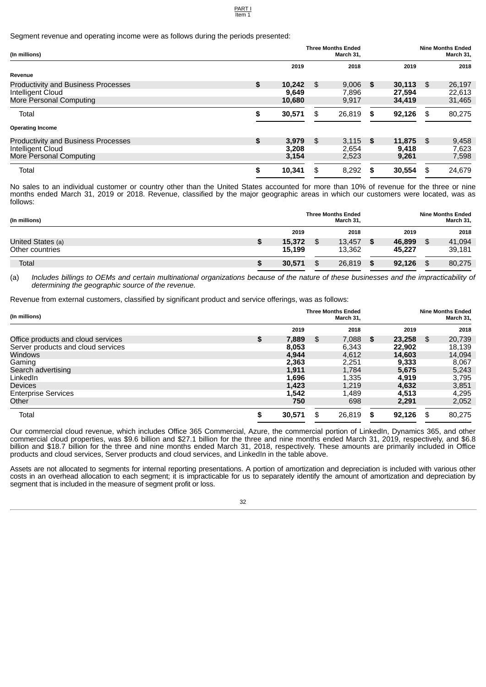Segment revenue and operating income were as follows during the periods presented:

| (In millions)                              | <b>Three Months Ended</b><br>March 31, |        |    |            |    | <b>Nine Months Ended</b><br>March 31, |    |        |  |  |  |
|--------------------------------------------|----------------------------------------|--------|----|------------|----|---------------------------------------|----|--------|--|--|--|
|                                            |                                        | 2019   |    | 2018       |    | 2019                                  |    | 2018   |  |  |  |
| Revenue                                    |                                        |        |    |            |    |                                       |    |        |  |  |  |
| <b>Productivity and Business Processes</b> | \$                                     | 10.242 | \$ | 9.006      | \$ | 30,113                                | \$ | 26,197 |  |  |  |
| Intelligent Cloud                          |                                        | 9,649  |    | 7,896      |    | 27,594                                |    | 22,613 |  |  |  |
| <b>More Personal Computing</b>             |                                        | 10,680 |    | 9,917      |    | 34,419                                |    | 31,465 |  |  |  |
| Total                                      | \$                                     | 30,571 | \$ | 26,819     | S  | 92,126                                | \$ | 80,275 |  |  |  |
| <b>Operating Income</b>                    |                                        |        |    |            |    |                                       |    |        |  |  |  |
| <b>Productivity and Business Processes</b> | \$                                     | 3,979  | \$ | $3,115$ \$ |    | 11,875 \$                             |    | 9,458  |  |  |  |
| Intelligent Cloud                          |                                        | 3,208  |    | 2,654      |    | 9,418                                 |    | 7,623  |  |  |  |
| More Personal Computing                    |                                        | 3,154  |    | 2,523      |    | 9,261                                 |    | 7,598  |  |  |  |
| Total                                      | \$                                     | 10,341 | \$ | 8,292      | \$ | 30,554                                | \$ | 24,679 |  |  |  |

No sales to an individual customer or country other than the United States accounted for more than 10% of revenue for the three or nine months ended March 31, 2019 or 2018. Revenue, classified by the major geographic areas in which our customers were located, was as follows:

| (In millions)     |   |        | <b>Three Months Ended</b><br>March 31, |    |        | Nine Months Ended<br>March 31, |        |  |  |  |
|-------------------|---|--------|----------------------------------------|----|--------|--------------------------------|--------|--|--|--|
|                   |   | 2019   | 2018                                   |    | 2019   |                                | 2018   |  |  |  |
| United States (a) | S | 15,372 | \$<br>13.457                           | \$ | 46,899 | \$                             | 41,094 |  |  |  |
| Other countries   |   | 15.199 | 13.362                                 |    | 45.227 |                                | 39,181 |  |  |  |
| <b>Total</b>      | S | 30.571 | \$<br>26,819                           | S  | 92,126 | \$                             | 80,275 |  |  |  |

(a) Includes billings to OEMs and certain multinational organizations because of the nature of these businesses and the impracticability of *determining the geographic source of the revenue.*

Revenue from external customers, classified by significant product and service offerings, was as follows:

| (In millions)                      |              | <b>Three Months Ended</b><br>March 31, | <b>Nine Months Ended</b><br>March 31, |        |    |        |  |  |
|------------------------------------|--------------|----------------------------------------|---------------------------------------|--------|----|--------|--|--|
|                                    | 2019         | 2018                                   |                                       | 2019   |    | 2018   |  |  |
| Office products and cloud services | \$<br>7,889  | \$<br>7,088                            | \$                                    | 23,258 | \$ | 20,739 |  |  |
| Server products and cloud services | 8,053        | 6,343                                  |                                       | 22,902 |    | 18,139 |  |  |
| Windows                            | 4,944        | 4,612                                  |                                       | 14,603 |    | 14,094 |  |  |
| Gaming                             | 2,363        | 2,251                                  |                                       | 9,333  |    | 8,067  |  |  |
| Search advertising                 | 1,911        | 1,784                                  |                                       | 5.675  |    | 5,243  |  |  |
| LinkedIn                           | 1,696        | 1,335                                  |                                       | 4.919  |    | 3,795  |  |  |
| <b>Devices</b>                     | 1,423        | 1,219                                  |                                       | 4,632  |    | 3,851  |  |  |
| <b>Enterprise Services</b>         | 1,542        | 1,489                                  |                                       | 4,513  |    | 4,295  |  |  |
| Other                              | 750          | 698                                    |                                       | 2,291  |    | 2,052  |  |  |
| Total                              | \$<br>30,571 | \$<br>26,819                           | S                                     | 92,126 | \$ | 80,275 |  |  |

Our commercial cloud revenue, which includes Office 365 Commercial, Azure, the commercial portion of LinkedIn, Dynamics 365, and other commercial cloud properties, was \$9.6 billion and \$27.1 billion for the three and nine months ended March 31, 2019, respectively, and \$6.8 billion and \$18.7 billion for the three and nine months ended March 31, 2018, respectively. These amounts are primarily included in Office products and cloud services, Server products and cloud services, and LinkedIn in the table above.

Assets are not allocated to segments for internal reporting presentations. A portion of amortization and depreciation is included with various other costs in an overhead allocation to each segment; it is impracticable for us to separately identify the amount of amortization and depreciation by segment that is included in the measure of segment profit or loss.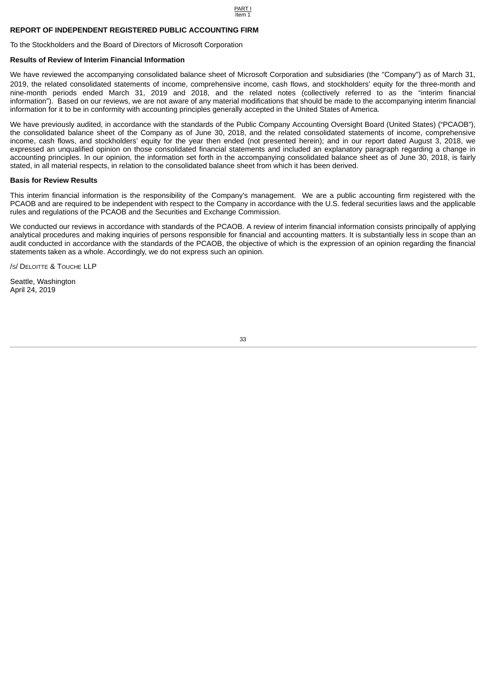#### <span id="page-32-0"></span>**REPORT OF INDEPENDENT REGISTERED PUBLIC ACCOUNTING FIRM**

To the Stockholders and the Board of Directors of Microsoft Corporation

#### **Results of Review of Interim Financial Information**

We have reviewed the accompanying consolidated balance sheet of Microsoft Corporation and subsidiaries (the "Company") as of March 31, 2019, the related consolidated statements of income, comprehensive income, cash flows, and stockholders' equity for the three-month and nine-month periods ended March 31, 2019 and 2018, and the related notes (collectively referred to as the "interim financial information"). Based on our reviews, we are not aware of any material modifications that should be made to the accompanying interim financial information for it to be in conformity with accounting principles generally accepted in the United States of America.

We have previously audited, in accordance with the standards of the Public Company Accounting Oversight Board (United States) ("PCAOB"). the consolidated balance sheet of the Company as of June 30, 2018, and the related consolidated statements of income, comprehensive income, cash flows, and stockholders' equity for the year then ended (not presented herein); and in our report dated August 3, 2018, we expressed an unqualified opinion on those consolidated financial statements and included an explanatory paragraph regarding a change in accounting principles. In our opinion, the information set forth in the accompanying consolidated balance sheet as of June 30, 2018, is fairly stated, in all material respects, in relation to the consolidated balance sheet from which it has been derived.

#### **Basis for Review Results**

This interim financial information is the responsibility of the Company's management. We are a public accounting firm registered with the PCAOB and are required to be independent with respect to the Company in accordance with the U.S. federal securities laws and the applicable rules and regulations of the PCAOB and the Securities and Exchange Commission.

We conducted our reviews in accordance with standards of the PCAOB. A review of interim financial information consists principally of applying analytical procedures and making inquiries of persons responsible for financial and accounting matters. It is substantially less in scope than an audit conducted in accordance with the standards of the PCAOB, the objective of which is the expression of an opinion regarding the financial statements taken as a whole. Accordingly, we do not express such an opinion.

/S/ DELOITTE & TOUCHE LLP

Seattle, Washington April 24, 2019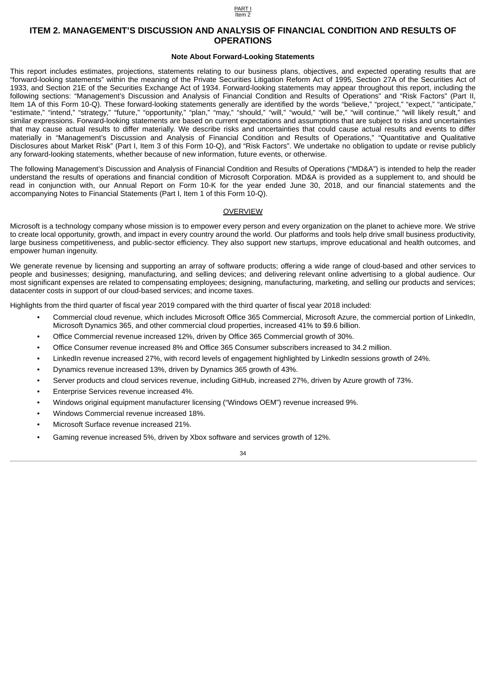## <span id="page-33-0"></span>**ITEM 2. MANAGEMENT'S DISCUSSION AND ANALYSIS OF FINANCIAL CONDITION AND RESULTS OF OPERATIONS**

#### **Note About Forward-Looking Statements**

This report includes estimates, projections, statements relating to our business plans, objectives, and expected operating results that are "forward-looking statements" within the meaning of the Private Securities Litigation Reform Act of 1995, Section 27A of the Securities Act of 1933, and Section 21E of the Securities Exchange Act of 1934. Forward-looking statements may appear throughout this report, including the following sections: "Management's Discussion and Analysis of Financial Condition and Results of Operations" and "Risk Factors" (Part II, Item 1A of this Form 10-Q). These forward-looking statements generally are identified by the words "believe," "project," "expect," "anticipate," "estimate," "intend," "strategy," "future," "opportunity," "plan," "may," "should," "will," "would," "will be," "will continue," "will likely result," and similar expressions. Forward-looking statements are based on current expectations and assumptions that are subject to risks and uncertainties that may cause actual results to differ materially. We describe risks and uncertainties that could cause actual results and events to differ materially in "Management's Discussion and Analysis of Financial Condition and Results of Operations," "Quantitative and Qualitative Disclosures about Market Risk" (Part I, Item 3 of this Form 10-Q), and "Risk Factors". We undertake no obligation to update or revise publicly any forward-looking statements, whether because of new information, future events, or otherwise.

The following Management's Discussion and Analysis of Financial Condition and Results of Operations ("MD&A") is intended to help the reader understand the results of operations and financial condition of Microsoft Corporation. MD&A is provided as a supplement to, and should be read in conjunction with, our Annual Report on Form 10-K for the year ended June 30, 2018, and our financial statements and the accompanying Notes to Financial Statements (Part I, Item 1 of this Form 10-Q).

#### OVERVIEW

Microsoft is a technology company whose mission is to empower every person and every organization on the planet to achieve more. We strive to create local opportunity, growth, and impact in every country around the world. Our platforms and tools help drive small business productivity, large business competitiveness, and public-sector efficiency. They also support new startups, improve educational and health outcomes, and empower human ingenuity.

We generate revenue by licensing and supporting an array of software products; offering a wide range of cloud-based and other services to people and businesses; designing, manufacturing, and selling devices; and delivering relevant online advertising to a global audience. Our most significant expenses are related to compensating employees; designing, manufacturing, marketing, and selling our products and services; datacenter costs in support of our cloud-based services; and income taxes.

Highlights from the third quarter of fiscal year 2019 compared with the third quarter of fiscal year 2018 included:

- Commercial cloud revenue, which includes Microsoft Office 365 Commercial, Microsoft Azure, the commercial portion of LinkedIn, Microsoft Dynamics 365, and other commercial cloud properties, increased 41% to \$9.6 billion.
- Office Commercial revenue increased 12%, driven by Office 365 Commercial growth of 30%.
- Office Consumer revenue increased 8% and Office 365 Consumer subscribers increased to 34.2 million.
- LinkedIn revenue increased 27%, with record levels of engagement highlighted by LinkedIn sessions growth of 24%.
- Dynamics revenue increased 13%, driven by Dynamics 365 growth of 43%.
- Server products and cloud services revenue, including GitHub, increased 27%, driven by Azure growth of 73%.
- Enterprise Services revenue increased 4%.
- Windows original equipment manufacturer licensing ("Windows OEM") revenue increased 9%.
- Windows Commercial revenue increased 18%.
- Microsoft Surface revenue increased 21%.
- Gaming revenue increased 5%, driven by Xbox software and services growth of 12%.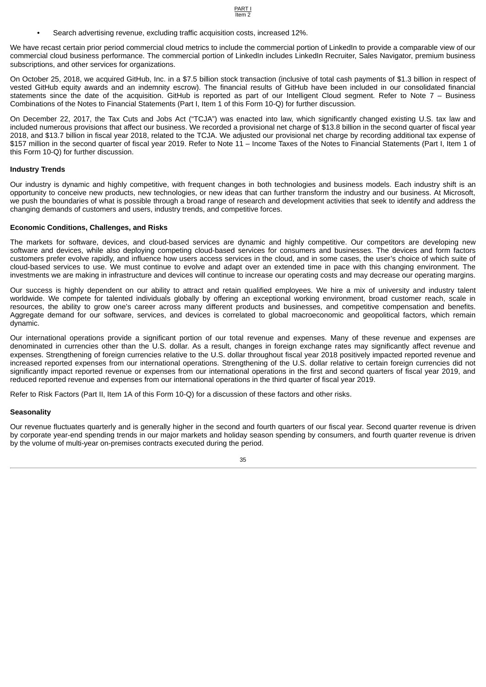• Search advertising revenue, excluding traffic acquisition costs, increased 12%.

We have recast certain prior period commercial cloud metrics to include the commercial portion of LinkedIn to provide a comparable view of our commercial cloud business performance. The commercial portion of LinkedIn includes LinkedIn Recruiter, Sales Navigator, premium business subscriptions, and other services for organizations.

On October 25, 2018, we acquired GitHub, Inc. in a \$7.5 billion stock transaction (inclusive of total cash payments of \$1.3 billion in respect of vested GitHub equity awards and an indemnity escrow). The financial results of GitHub have been included in our consolidated financial statements since the date of the acquisition. GitHub is reported as part of our Intelligent Cloud segment. Refer to Note 7 – Business Combinations of the Notes to Financial Statements (Part I, Item 1 of this Form 10-Q) for further discussion.

On December 22, 2017, the Tax Cuts and Jobs Act ("TCJA") was enacted into law, which significantly changed existing U.S. tax law and included numerous provisions that affect our business. We recorded a provisional net charge of \$13.8 billion in the second quarter of fiscal year 2018, and \$13.7 billion in fiscal year 2018, related to the TCJA. We adjusted our provisional net charge by recording additional tax expense of \$157 million in the second quarter of fiscal year 2019. Refer to Note 11 – Income Taxes of the Notes to Financial Statements (Part I, Item 1 of this Form 10-Q) for further discussion.

#### **Industry Trends**

Our industry is dynamic and highly competitive, with frequent changes in both technologies and business models. Each industry shift is an opportunity to conceive new products, new technologies, or new ideas that can further transform the industry and our business. At Microsoft, we push the boundaries of what is possible through a broad range of research and development activities that seek to identify and address the changing demands of customers and users, industry trends, and competitive forces.

### **Economic Conditions, Challenges, and Risks**

The markets for software, devices, and cloud-based services are dynamic and highly competitive. Our competitors are developing new software and devices, while also deploying competing cloud-based services for consumers and businesses. The devices and form factors customers prefer evolve rapidly, and influence how users access services in the cloud, and in some cases, the user's choice of which suite of cloud-based services to use. We must continue to evolve and adapt over an extended time in pace with this changing environment. The investments we are making in infrastructure and devices will continue to increase our operating costs and may decrease our operating margins.

Our success is highly dependent on our ability to attract and retain qualified employees. We hire a mix of university and industry talent worldwide. We compete for talented individuals globally by offering an exceptional working environment, broad customer reach, scale in resources, the ability to grow one's career across many different products and businesses, and competitive compensation and benefits. Aggregate demand for our software, services, and devices is correlated to global macroeconomic and geopolitical factors, which remain dynamic.

Our international operations provide a significant portion of our total revenue and expenses. Many of these revenue and expenses are denominated in currencies other than the U.S. dollar. As a result, changes in foreign exchange rates may significantly affect revenue and expenses. Strengthening of foreign currencies relative to the U.S. dollar throughout fiscal year 2018 positively impacted reported revenue and increased reported expenses from our international operations. Strengthening of the U.S. dollar relative to certain foreign currencies did not significantly impact reported revenue or expenses from our international operations in the first and second quarters of fiscal year 2019, and reduced reported revenue and expenses from our international operations in the third quarter of fiscal year 2019.

Refer to Risk Factors (Part II, Item 1A of this Form 10-Q) for a discussion of these factors and other risks.

#### **Seasonality**

Our revenue fluctuates quarterly and is generally higher in the second and fourth quarters of our fiscal year. Second quarter revenue is driven by corporate year-end spending trends in our major markets and holiday season spending by consumers, and fourth quarter revenue is driven by the volume of multi-year on-premises contracts executed during the period.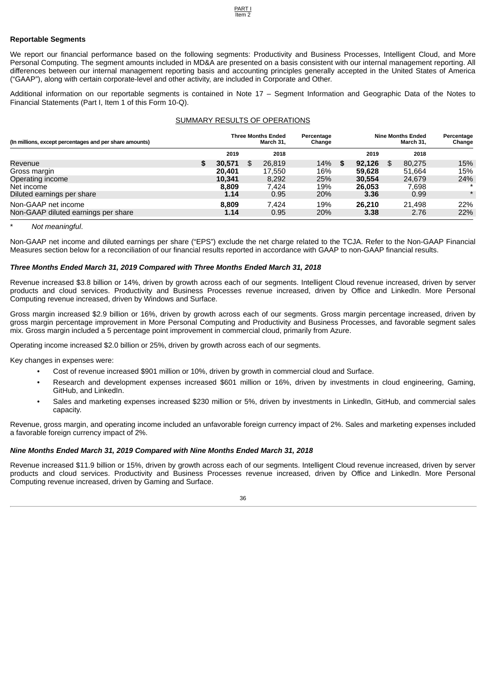## **Reportable Segments**

We report our financial performance based on the following segments: Productivity and Business Processes, Intelligent Cloud, and More Personal Computing. The segment amounts included in MD&A are presented on a basis consistent with our internal management reporting. All differences between our internal management reporting basis and accounting principles generally accepted in the United States of America ("GAAP"), along with certain corporate-level and other activity, are included in Corporate and Other.

PART I Item 2

Additional information on our reportable segments is contained in Note 17 – Segment Information and Geographic Data of the Notes to Financial Statements (Part I, Item 1 of this Form 10-Q).

#### SUMMARY RESULTS OF OPERATIONS

| (In millions, except percentages and per share amounts) |        | <b>Three Months Ended</b><br>March 31. | Percentage<br>Change |   |        | <b>Nine Months Ended</b><br>March 31. | Percentage<br>Change |
|---------------------------------------------------------|--------|----------------------------------------|----------------------|---|--------|---------------------------------------|----------------------|
|                                                         | 2019   | 2018                                   |                      |   | 2019   | 2018                                  |                      |
| Revenue                                                 | 30.571 | \$<br>26,819                           | 14%                  | S | 92,126 | \$<br>80.275                          | 15%                  |
| Gross margin                                            | 20.401 | 17.550                                 | 16%                  |   | 59.628 | 51.664                                | 15%                  |
| Operating income                                        | 10,341 | 8.292                                  | 25%                  |   | 30.554 | 24.679                                | 24%                  |
| Net income                                              | 8.809  | 7.424                                  | 19%                  |   | 26.053 | 7.698                                 | $\star$              |
| Diluted earnings per share                              | 1.14   | 0.95                                   | 20%                  |   | 3.36   | 0.99                                  | $\star$              |
| Non-GAAP net income                                     | 8.809  | 7.424                                  | 19%                  |   | 26.210 | 21.498                                | 22%                  |
| Non-GAAP diluted earnings per share                     | 1.14   | 0.95                                   | 20%                  |   | 3.38   | 2.76                                  | 22%                  |

#### \* *Not meaningful*.

Non-GAAP net income and diluted earnings per share ("EPS") exclude the net charge related to the TCJA. Refer to the Non-GAAP Financial Measures section below for a reconciliation of our financial results reported in accordance with GAAP to non-GAAP financial results.

#### *Three Months Ended March 31, 2019 Compared with Three Months Ended March 31, 2018*

Revenue increased \$3.8 billion or 14%, driven by growth across each of our segments. Intelligent Cloud revenue increased, driven by server products and cloud services. Productivity and Business Processes revenue increased, driven by Office and LinkedIn. More Personal Computing revenue increased, driven by Windows and Surface.

Gross margin increased \$2.9 billion or 16%, driven by growth across each of our segments. Gross margin percentage increased, driven by gross margin percentage improvement in More Personal Computing and Productivity and Business Processes, and favorable segment sales mix. Gross margin included a 5 percentage point improvement in commercial cloud, primarily from Azure.

Operating income increased \$2.0 billion or 25%, driven by growth across each of our segments.

Key changes in expenses were:

- Cost of revenue increased \$901 million or 10%, driven by growth in commercial cloud and Surface.
- Research and development expenses increased \$601 million or 16%, driven by investments in cloud engineering, Gaming, GitHub, and LinkedIn.
- Sales and marketing expenses increased \$230 million or 5%, driven by investments in LinkedIn, GitHub, and commercial sales capacity.

Revenue, gross margin, and operating income included an unfavorable foreign currency impact of 2%. Sales and marketing expenses included a favorable foreign currency impact of 2%.

#### *Nine Months Ended March 31, 2019 Compared with Nine Months Ended March 31, 2018*

Revenue increased \$11.9 billion or 15%, driven by growth across each of our segments. Intelligent Cloud revenue increased, driven by server products and cloud services. Productivity and Business Processes revenue increased, driven by Office and LinkedIn. More Personal Computing revenue increased, driven by Gaming and Surface.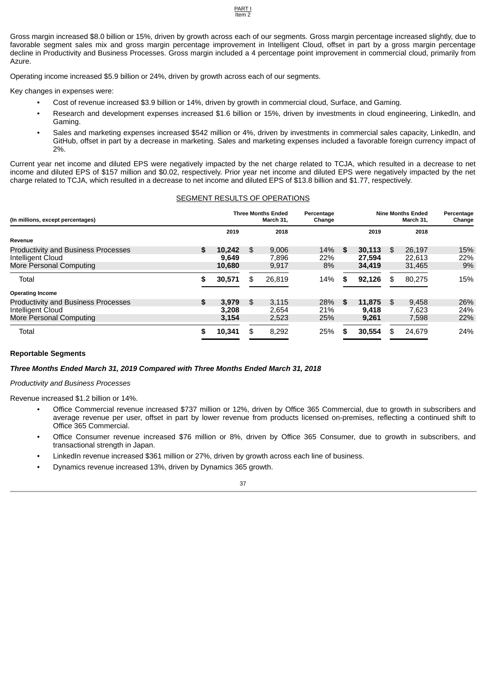Gross margin increased \$8.0 billion or 15%, driven by growth across each of our segments. Gross margin percentage increased slightly, due to favorable segment sales mix and gross margin percentage improvement in Intelligent Cloud, offset in part by a gross margin percentage decline in Productivity and Business Processes. Gross margin included a 4 percentage point improvement in commercial cloud, primarily from Azure.

Operating income increased \$5.9 billion or 24%, driven by growth across each of our segments.

Key changes in expenses were:

- Cost of revenue increased \$3.9 billion or 14%, driven by growth in commercial cloud, Surface, and Gaming.
- Research and development expenses increased \$1.6 billion or 15%, driven by investments in cloud engineering, LinkedIn, and Gaming.
- Sales and marketing expenses increased \$542 million or 4%, driven by investments in commercial sales capacity, LinkedIn, and GitHub, offset in part by a decrease in marketing. Sales and marketing expenses included a favorable foreign currency impact of 2%.

Current year net income and diluted EPS were negatively impacted by the net charge related to TCJA, which resulted in a decrease to net income and diluted EPS of \$157 million and \$0.02, respectively. Prior year net income and diluted EPS were negatively impacted by the net charge related to TCJA, which resulted in a decrease to net income and diluted EPS of \$13.8 billion and \$1.77, respectively.

## SEGMENT RESULTS OF OPERATIONS

|    | <b>Three Months Ended</b><br>March 31. |     | Percentage<br>Change | <b>Nine Months Ended</b><br>March 31, |      |        |    | Percentage<br>Change |     |
|----|----------------------------------------|-----|----------------------|---------------------------------------|------|--------|----|----------------------|-----|
|    | 2019                                   |     | 2018                 |                                       |      | 2019   |    | 2018                 |     |
|    |                                        |     |                      |                                       |      |        |    |                      |     |
| S. | 10.242                                 | \$. | 9.006                | 14%                                   | \$   | 30.113 | \$ | 26.197               | 15% |
|    | 9,649                                  |     | 7.896                | 22%                                   |      | 27,594 |    | 22.613               | 22% |
|    | 10.680                                 |     | 9,917                | 8%                                    |      | 34.419 |    | 31,465               | 9%  |
| S  | 30,571                                 | \$  | 26.819               | 14%                                   | S    | 92.126 | \$ | 80.275               | 15% |
|    |                                        |     |                      |                                       |      |        |    |                      |     |
| S. | 3,979                                  | \$  | 3,115                | 28%                                   | - \$ | 11,875 | \$ | 9,458                | 26% |
|    | 3,208                                  |     | 2,654                | 21%                                   |      | 9,418  |    | 7.623                | 24% |
|    | 3,154                                  |     | 2,523                | 25%                                   |      | 9,261  |    | 7,598                | 22% |
| S  | 10,341                                 | \$. | 8,292                | 25%                                   | S    | 30,554 | \$ | 24.679               | 24% |
|    |                                        |     |                      |                                       |      |        |    |                      |     |

## **Reportable Segments**

## *Three Months Ended March 31, 2019 Compared with Three Months Ended March 31, 2018*

*Productivity and Business Processes*

Revenue increased \$1.2 billion or 14%.

- Office Commercial revenue increased \$737 million or 12%, driven by Office 365 Commercial, due to growth in subscribers and average revenue per user, offset in part by lower revenue from products licensed on-premises, reflecting a continued shift to Office 365 Commercial.
- Office Consumer revenue increased \$76 million or 8%, driven by Office 365 Consumer, due to growth in subscribers, and transactional strength in Japan.
- LinkedIn revenue increased \$361 million or 27%, driven by growth across each line of business.
- Dynamics revenue increased 13%, driven by Dynamics 365 growth.

#### PART I Item 2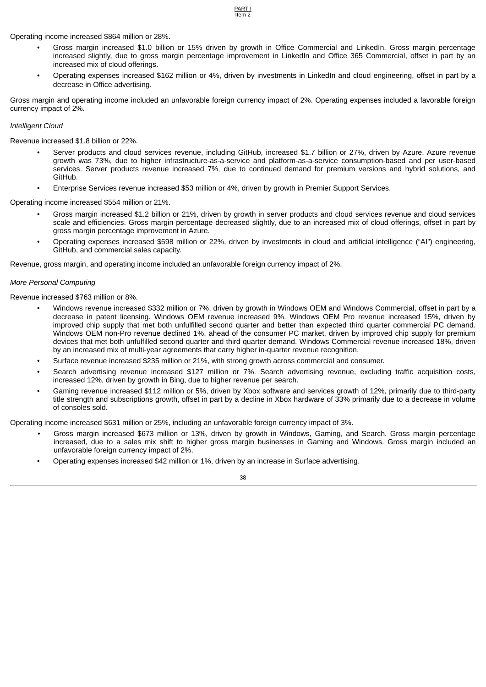Operating income increased \$864 million or 28%.

- Gross margin increased \$1.0 billion or 15% driven by growth in Office Commercial and LinkedIn. Gross margin percentage increased slightly, due to gross margin percentage improvement in LinkedIn and Office 365 Commercial, offset in part by an increased mix of cloud offerings.
- Operating expenses increased \$162 million or 4%, driven by investments in LinkedIn and cloud engineering, offset in part by a decrease in Office advertising.

Gross margin and operating income included an unfavorable foreign currency impact of 2%. Operating expenses included a favorable foreign currency impact of 2%.

PART I Item 2

## *Intelligent Cloud*

Revenue increased \$1.8 billion or 22%.

- Server products and cloud services revenue, including GitHub, increased \$1.7 billion or 27%, driven by Azure. Azure revenue growth was 73%, due to higher infrastructure-as-a-service and platform-as-a-service consumption-based and per user-based services. Server products revenue increased 7%, due to continued demand for premium versions and hybrid solutions, and GitHub.
- Enterprise Services revenue increased \$53 million or 4%, driven by growth in Premier Support Services.

Operating income increased \$554 million or 21%.

- Gross margin increased \$1.2 billion or 21%, driven by growth in server products and cloud services revenue and cloud services scale and efficiencies. Gross margin percentage decreased slightly, due to an increased mix of cloud offerings, offset in part by gross margin percentage improvement in Azure.
- Operating expenses increased \$598 million or 22%, driven by investments in cloud and artificial intelligence ("AI") engineering, GitHub, and commercial sales capacity.

Revenue, gross margin, and operating income included an unfavorable foreign currency impact of 2%.

## *More Personal Computing*

Revenue increased \$763 million or 8%.

- Windows revenue increased \$332 million or 7%, driven by growth in Windows OEM and Windows Commercial, offset in part by a decrease in patent licensing. Windows OEM revenue increased 9%. Windows OEM Pro revenue increased 15%, driven by improved chip supply that met both unfulfilled second quarter and better than expected third quarter commercial PC demand. Windows OEM non-Pro revenue declined 1%, ahead of the consumer PC market, driven by improved chip supply for premium devices that met both unfulfilled second quarter and third quarter demand. Windows Commercial revenue increased 18%, driven by an increased mix of multi-year agreements that carry higher in-quarter revenue recognition.
- Surface revenue increased \$235 million or 21%, with strong growth across commercial and consumer.
- Search advertising revenue increased \$127 million or 7%. Search advertising revenue, excluding traffic acquisition costs, increased 12%, driven by growth in Bing, due to higher revenue per search.
- Gaming revenue increased \$112 million or 5%, driven by Xbox software and services growth of 12%, primarily due to third-party title strength and subscriptions growth, offset in part by a decline in Xbox hardware of 33% primarily due to a decrease in volume of consoles sold.

Operating income increased \$631 million or 25%, including an unfavorable foreign currency impact of 3%.

- Gross margin increased \$673 million or 13%, driven by growth in Windows, Gaming, and Search. Gross margin percentage increased, due to a sales mix shift to higher gross margin businesses in Gaming and Windows. Gross margin included an unfavorable foreign currency impact of 2%.
- Operating expenses increased \$42 million or 1%, driven by an increase in Surface advertising.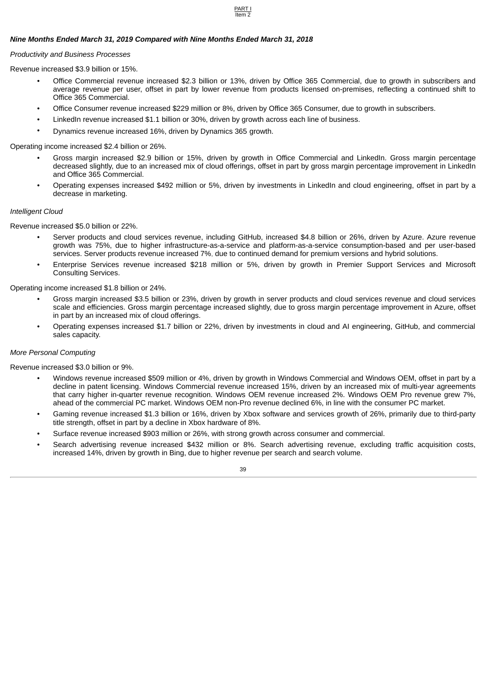## *Nine Months Ended March 31, 2019 Compared with Nine Months Ended March 31, 2018*

*Productivity and Business Processes*

Revenue increased \$3.9 billion or 15%.

- Office Commercial revenue increased \$2.3 billion or 13%, driven by Office 365 Commercial, due to growth in subscribers and average revenue per user, offset in part by lower revenue from products licensed on-premises, reflecting a continued shift to Office 365 Commercial.
- Office Consumer revenue increased \$229 million or 8%, driven by Office 365 Consumer, due to growth in subscribers.

PART I Item 2

- LinkedIn revenue increased \$1.1 billion or 30%, driven by growth across each line of business.
- Dynamics revenue increased 16%, driven by Dynamics 365 growth.

Operating income increased \$2.4 billion or 26%.

- Gross margin increased \$2.9 billion or 15%, driven by growth in Office Commercial and LinkedIn. Gross margin percentage decreased slightly, due to an increased mix of cloud offerings, offset in part by gross margin percentage improvement in LinkedIn and Office 365 Commercial.
- Operating expenses increased \$492 million or 5%, driven by investments in LinkedIn and cloud engineering, offset in part by a decrease in marketing.

## *Intelligent Cloud*

Revenue increased \$5.0 billion or 22%.

- Server products and cloud services revenue, including GitHub, increased \$4.8 billion or 26%, driven by Azure. Azure revenue growth was 75%, due to higher infrastructure-as-a-service and platform-as-a-service consumption-based and per user-based services. Server products revenue increased 7%, due to continued demand for premium versions and hybrid solutions.
- Enterprise Services revenue increased \$218 million or 5%, driven by growth in Premier Support Services and Microsoft Consulting Services.

Operating income increased \$1.8 billion or 24%.

- Gross margin increased \$3.5 billion or 23%, driven by growth in server products and cloud services revenue and cloud services scale and efficiencies. Gross margin percentage increased slightly, due to gross margin percentage improvement in Azure, offset in part by an increased mix of cloud offerings.
- Operating expenses increased \$1.7 billion or 22%, driven by investments in cloud and AI engineering, GitHub, and commercial sales capacity.

## *More Personal Computing*

Revenue increased \$3.0 billion or 9%.

- Windows revenue increased \$509 million or 4%, driven by growth in Windows Commercial and Windows OEM, offset in part by a decline in patent licensing. Windows Commercial revenue increased 15%, driven by an increased mix of multi-year agreements that carry higher in-quarter revenue recognition. Windows OEM revenue increased 2%. Windows OEM Pro revenue grew 7%, ahead of the commercial PC market. Windows OEM non-Pro revenue declined 6%, in line with the consumer PC market.
- Gaming revenue increased \$1.3 billion or 16%, driven by Xbox software and services growth of 26%, primarily due to third-party title strength, offset in part by a decline in Xbox hardware of 8%.
- Surface revenue increased \$903 million or 26%, with strong growth across consumer and commercial.
- Search advertising revenue increased \$432 million or 8%. Search advertising revenue, excluding traffic acquisition costs, increased 14%, driven by growth in Bing, due to higher revenue per search and search volume.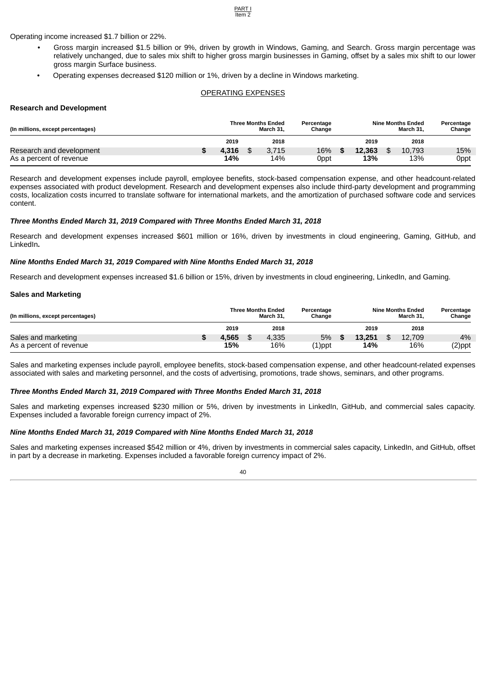## Operating income increased \$1.7 billion or 22%.

- Gross margin increased \$1.5 billion or 9%, driven by growth in Windows, Gaming, and Search. Gross margin percentage was relatively unchanged, due to sales mix shift to higher gross margin businesses in Gaming, offset by a sales mix shift to our lower gross margin Surface business.
- Operating expenses decreased \$120 million or 1%, driven by a decline in Windows marketing.

### OPERATING EXPENSES

#### **Research and Development**

| (In millions, except percentages) |       | Three Months Ended<br>March 31. |       | Percentage<br>Change |  |        | Nine Months Ended<br>March 31. |        | Percentage<br>Change |
|-----------------------------------|-------|---------------------------------|-------|----------------------|--|--------|--------------------------------|--------|----------------------|
|                                   | 2019  |                                 | 2018  |                      |  | 2019   |                                | 2018   |                      |
| Research and development          | 4.316 |                                 | 3.715 | 16%                  |  | 12.363 |                                | 10.793 | 15%                  |
| As a percent of revenue           | 14%   |                                 | 14%   | 0ppt                 |  | 13%    |                                | 13%    | 0ppt.                |

Research and development expenses include payroll, employee benefits, stock-based compensation expense, and other headcount-related expenses associated with product development. Research and development expenses also include third-party development and programming costs, localization costs incurred to translate software for international markets, and the amortization of purchased software code and services content.

#### *Three Months Ended March 31, 2019 Compared with Three Months Ended March 31, 2018*

Research and development expenses increased \$601 million or 16%, driven by investments in cloud engineering, Gaming, GitHub, and LinkedIn**.**

#### *Nine Months Ended March 31, 2019 Compared with Nine Months Ended March 31, 2018*

Research and development expenses increased \$1.6 billion or 15%, driven by investments in cloud engineering, LinkedIn, and Gaming.

#### **Sales and Marketing**

| (In millions, except percentages) |       | Three Months Ended<br>March 31. | Percentage<br>Change | Nine Months Ended<br>March 31. |  | Percentage<br>Change |           |
|-----------------------------------|-------|---------------------------------|----------------------|--------------------------------|--|----------------------|-----------|
|                                   | 2019  | 2018                            |                      | 2019                           |  | 2018                 |           |
| Sales and marketing               | 4.565 | 4.335                           | 5%                   | 13.251                         |  | 12.709               | 4%        |
| As a percent of revenue           | 15%   | 16%                             | $(1)$ ppt            | 14%                            |  | 16%                  | $(2)$ ppt |

Sales and marketing expenses include payroll, employee benefits, stock-based compensation expense, and other headcount-related expenses associated with sales and marketing personnel, and the costs of advertising, promotions, trade shows, seminars, and other programs.

## *Three Months Ended March 31, 2019 Compared with Three Months Ended March 31, 2018*

Sales and marketing expenses increased \$230 million or 5%, driven by investments in LinkedIn, GitHub, and commercial sales capacity. Expenses included a favorable foreign currency impact of 2%.

#### *Nine Months Ended March 31, 2019 Compared with Nine Months Ended March 31, 2018*

Sales and marketing expenses increased \$542 million or 4%, driven by investments in commercial sales capacity, LinkedIn, and GitHub, offset in part by a decrease in marketing. Expenses included a favorable foreign currency impact of 2%.

#### PART I Item 2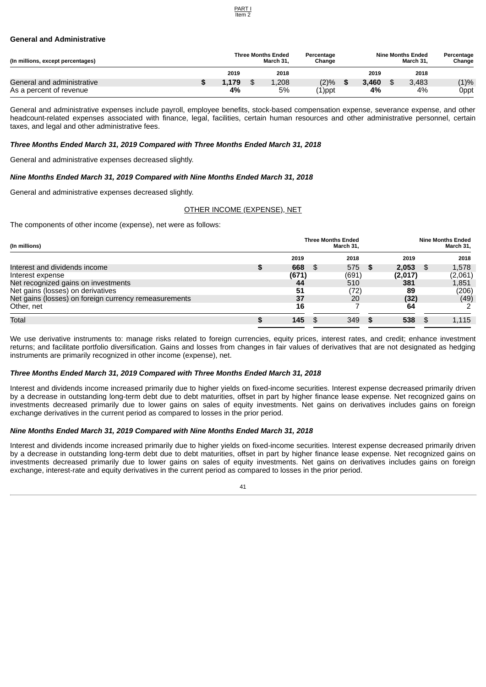

### **General and Administrative**

| (In millions, except percentages) |       | <b>Three Months Ended</b><br>March 31. | Percentage<br>Change |       | Nine Months Ended<br>March 31, | Percentage<br>Change |
|-----------------------------------|-------|----------------------------------------|----------------------|-------|--------------------------------|----------------------|
|                                   | 2019  | 2018                                   |                      | 2019  | 2018                           |                      |
| General and administrative        | 1.179 | 1,208                                  | (2)%                 | 3.460 | 3.483                          | (1)%                 |
| As a percent of revenue           | 4%    | 5%                                     | (1)ppt               | 4%    | 4%                             | 0ppt                 |

General and administrative expenses include payroll, employee benefits, stock-based compensation expense, severance expense, and other headcount-related expenses associated with finance, legal, facilities, certain human resources and other administrative personnel, certain taxes, and legal and other administrative fees.

#### *Three Months Ended March 31, 2019 Compared with Three Months Ended March 31, 2018*

General and administrative expenses decreased slightly.

## *Nine Months Ended March 31, 2019 Compared with Nine Months Ended March 31, 2018*

General and administrative expenses decreased slightly.

#### OTHER INCOME (EXPENSE), NET

The components of other income (expense), net were as follows:

| (In millions)                                         |           | <b>Three Months Ended</b><br>March 31, |         | Nine Months Ended<br>March 31, |
|-------------------------------------------------------|-----------|----------------------------------------|---------|--------------------------------|
|                                                       | 2019      | 2018                                   | 2019    | 2018                           |
| Interest and dividends income                         | \$<br>668 | \$<br>575S                             | 2,053   | \$<br>1,578                    |
| Interest expense                                      | (671)     | (691)                                  | (2,017) | (2,061)                        |
| Net recognized gains on investments                   | 44        | 510                                    | 381     | 1,851                          |
| Net gains (losses) on derivatives                     | 51        | (72)                                   | 89      | (206)                          |
| Net gains (losses) on foreign currency remeasurements | 37        | 20                                     | (32)    | (49)                           |
| Other, net                                            | 16        |                                        | 64      |                                |
| Total                                                 | \$<br>145 | \$<br>349                              | 538     | \$<br>1,115                    |

We use derivative instruments to: manage risks related to foreign currencies, equity prices, interest rates, and credit; enhance investment returns; and facilitate portfolio diversification. Gains and losses from changes in fair values of derivatives that are not designated as hedging instruments are primarily recognized in other income (expense), net.

#### *Three Months Ended March 31, 2019 Compared with Three Months Ended March 31, 2018*

Interest and dividends income increased primarily due to higher yields on fixed-income securities. Interest expense decreased primarily driven by a decrease in outstanding long-term debt due to debt maturities, offset in part by higher finance lease expense. Net recognized gains on investments decreased primarily due to lower gains on sales of equity investments. Net gains on derivatives includes gains on foreign exchange derivatives in the current period as compared to losses in the prior period.

#### *Nine Months Ended March 31, 2019 Compared with Nine Months Ended March 31, 2018*

Interest and dividends income increased primarily due to higher yields on fixed-income securities. Interest expense decreased primarily driven by a decrease in outstanding long-term debt due to debt maturities, offset in part by higher finance lease expense. Net recognized gains on investments decreased primarily due to lower gains on sales of equity investments. Net gains on derivatives includes gains on foreign exchange, interest-rate and equity derivatives in the current period as compared to losses in the prior period.

 $\overline{A1}$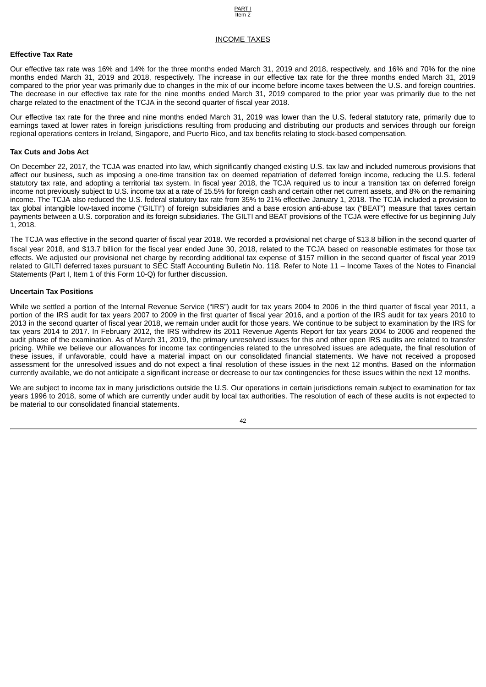## INCOME TAXES

#### **Effective Tax Rate**

Our effective tax rate was 16% and 14% for the three months ended March 31, 2019 and 2018, respectively, and 16% and 70% for the nine months ended March 31, 2019 and 2018, respectively. The increase in our effective tax rate for the three months ended March 31, 2019 compared to the prior year was primarily due to changes in the mix of our income before income taxes between the U.S. and foreign countries. The decrease in our effective tax rate for the nine months ended March 31, 2019 compared to the prior year was primarily due to the net charge related to the enactment of the TCJA in the second quarter of fiscal year 2018.

Our effective tax rate for the three and nine months ended March 31, 2019 was lower than the U.S. federal statutory rate, primarily due to earnings taxed at lower rates in foreign jurisdictions resulting from producing and distributing our products and services through our foreign regional operations centers in Ireland, Singapore, and Puerto Rico, and tax benefits relating to stock-based compensation.

#### **Tax Cuts and Jobs Act**

On December 22, 2017, the TCJA was enacted into law, which significantly changed existing U.S. tax law and included numerous provisions that affect our business, such as imposing a one-time transition tax on deemed repatriation of deferred foreign income, reducing the U.S. federal statutory tax rate, and adopting a territorial tax system. In fiscal year 2018, the TCJA required us to incur a transition tax on deferred foreign income not previously subject to U.S. income tax at a rate of 15.5% for foreign cash and certain other net current assets, and 8% on the remaining income. The TCJA also reduced the U.S. federal statutory tax rate from 35% to 21% effective January 1, 2018. The TCJA included a provision to tax global intangible low-taxed income ("GILTI") of foreign subsidiaries and a base erosion anti-abuse tax ("BEAT") measure that taxes certain payments between a U.S. corporation and its foreign subsidiaries. The GILTI and BEAT provisions of the TCJA were effective for us beginning July 1, 2018.

The TCJA was effective in the second quarter of fiscal year 2018. We recorded a provisional net charge of \$13.8 billion in the second quarter of fiscal year 2018, and \$13.7 billion for the fiscal year ended June 30, 2018, related to the TCJA based on reasonable estimates for those tax effects. We adjusted our provisional net charge by recording additional tax expense of \$157 million in the second quarter of fiscal year 2019 related to GILTI deferred taxes pursuant to SEC Staff Accounting Bulletin No. 118. Refer to Note 11 – Income Taxes of the Notes to Financial Statements (Part I, Item 1 of this Form 10-Q) for further discussion.

#### **Uncertain Tax Positions**

While we settled a portion of the Internal Revenue Service ("IRS") audit for tax years 2004 to 2006 in the third quarter of fiscal year 2011, a portion of the IRS audit for tax years 2007 to 2009 in the first quarter of fiscal year 2016, and a portion of the IRS audit for tax years 2010 to 2013 in the second quarter of fiscal year 2018, we remain under audit for those years. We continue to be subject to examination by the IRS for tax years 2014 to 2017. In February 2012, the IRS withdrew its 2011 Revenue Agents Report for tax years 2004 to 2006 and reopened the audit phase of the examination. As of March 31, 2019, the primary unresolved issues for this and other open IRS audits are related to transfer pricing. While we believe our allowances for income tax contingencies related to the unresolved issues are adequate, the final resolution of these issues, if unfavorable, could have a material impact on our consolidated financial statements. We have not received a proposed assessment for the unresolved issues and do not expect a final resolution of these issues in the next 12 months. Based on the information currently available, we do not anticipate a significant increase or decrease to our tax contingencies for these issues within the next 12 months.

We are subject to income tax in many jurisdictions outside the U.S. Our operations in certain jurisdictions remain subject to examination for tax years 1996 to 2018, some of which are currently under audit by local tax authorities. The resolution of each of these audits is not expected to be material to our consolidated financial statements.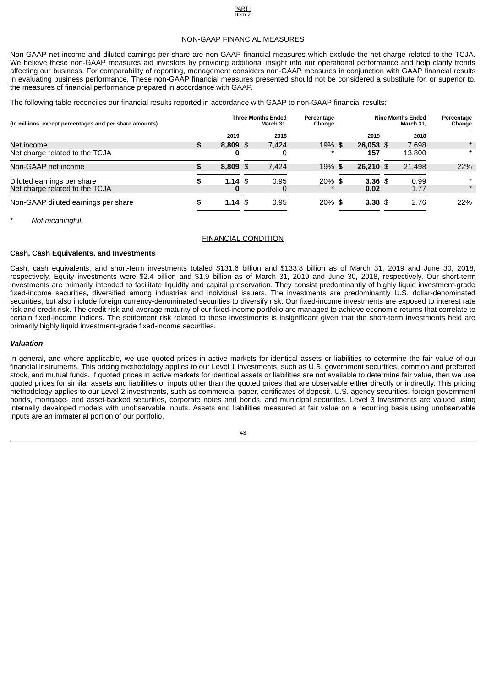## NON-GAAP FINANCIAL MEASURES

PART I Item 2

Non-GAAP net income and diluted earnings per share are non-GAAP financial measures which exclude the net charge related to the TCJA. We believe these non-GAAP measures aid investors by providing additional insight into our operational performance and help clarify trends affecting our business. For comparability of reporting, management considers non-GAAP measures in conjunction with GAAP financial results in evaluating business performance. These non-GAAP financial measures presented should not be considered a substitute for, or superior to, the measures of financial performance prepared in accordance with GAAP.

The following table reconciles our financial results reported in accordance with GAAP to non-GAAP financial results:

| (In millions, except percentages and per share amounts) |    | <b>Three Months Ended</b><br>March 31. |  |       | Percentage<br>Change |  | <b>Nine Months Ended</b> | Percentage<br>Change |            |
|---------------------------------------------------------|----|----------------------------------------|--|-------|----------------------|--|--------------------------|----------------------|------------|
|                                                         |    | 2019                                   |  | 2018  |                      |  | 2019                     | 2018                 |            |
| Net income                                              | \$ | $8.809$ \$                             |  | 7.424 | $19\%$ \$            |  | $26,053$ \$              | 7.698                | $\ast$     |
| Net charge related to the TCJA                          |    |                                        |  | 0     | $\star$              |  | 157                      | 13.800               | $^{\star}$ |
| Non-GAAP net income                                     | S  | $8.809$ \$                             |  | 7.424 | $19\%$ \$            |  | $26.210$ \$              | 21.498               | 22%        |
| Diluted earnings per share                              |    | $1.14$ \$                              |  | 0.95  | $20\%$ \$            |  | $3.36 \text{ } $$        | 0.99                 | $\star$    |
| Net charge related to the TCJA                          |    | O                                      |  | 0     |                      |  | 0.02                     | 1.77                 | $\star$    |
| Non-GAAP diluted earnings per share                     |    | $1.14$ \$                              |  | 0.95  | $20\%$ \$            |  | $3.38$ \$                | 2.76                 | 22%        |

\* *Not meaningful.*

#### FINANCIAL CONDITION

#### **Cash, Cash Equivalents, and Investments**

Cash, cash equivalents, and short-term investments totaled \$131.6 billion and \$133.8 billion as of March 31, 2019 and June 30, 2018, respectively. Equity investments were \$2.4 billion and \$1.9 billion as of March 31, 2019 and June 30, 2018, respectively. Our short-term investments are primarily intended to facilitate liquidity and capital preservation. They consist predominantly of highly liquid investment-grade fixed-income securities, diversified among industries and individual issuers. The investments are predominantly U.S. dollar-denominated securities, but also include foreign currency-denominated securities to diversify risk. Our fixed-income investments are exposed to interest rate risk and credit risk. The credit risk and average maturity of our fixed-income portfolio are managed to achieve economic returns that correlate to certain fixed-income indices. The settlement risk related to these investments is insignificant given that the short-term investments held are primarily highly liquid investment-grade fixed-income securities.

#### *Valuation*

In general, and where applicable, we use quoted prices in active markets for identical assets or liabilities to determine the fair value of our financial instruments. This pricing methodology applies to our Level 1 investments, such as U.S. government securities, common and preferred stock, and mutual funds. If quoted prices in active markets for identical assets or liabilities are not available to determine fair value, then we use quoted prices for similar assets and liabilities or inputs other than the quoted prices that are observable either directly or indirectly. This pricing methodology applies to our Level 2 investments, such as commercial paper, certificates of deposit, U.S. agency securities, foreign government bonds, mortgage- and asset-backed securities, corporate notes and bonds, and municipal securities. Level 3 investments are valued using internally developed models with unobservable inputs. Assets and liabilities measured at fair value on a recurring basis using unobservable inputs are an immaterial portion of our portfolio.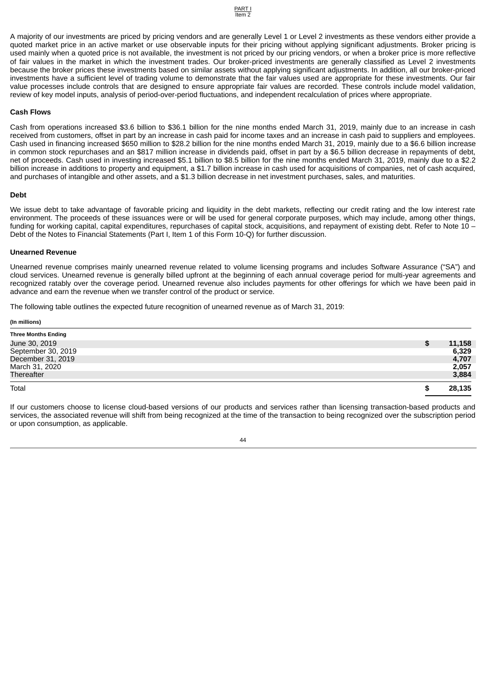A majority of our investments are priced by pricing vendors and are generally Level 1 or Level 2 investments as these vendors either provide a quoted market price in an active market or use observable inputs for their pricing without applying significant adjustments. Broker pricing is used mainly when a quoted price is not available, the investment is not priced by our pricing vendors, or when a broker price is more reflective of fair values in the market in which the investment trades. Our broker-priced investments are generally classified as Level 2 investments because the broker prices these investments based on similar assets without applying significant adjustments. In addition, all our broker-priced investments have a sufficient level of trading volume to demonstrate that the fair values used are appropriate for these investments. Our fair value processes include controls that are designed to ensure appropriate fair values are recorded. These controls include model validation, review of key model inputs, analysis of period-over-period fluctuations, and independent recalculation of prices where appropriate.

PART Item 2

#### **Cash Flows**

Cash from operations increased \$3.6 billion to \$36.1 billion for the nine months ended March 31, 2019, mainly due to an increase in cash received from customers, offset in part by an increase in cash paid for income taxes and an increase in cash paid to suppliers and employees. Cash used in financing increased \$650 million to \$28.2 billion for the nine months ended March 31, 2019, mainly due to a \$6.6 billion increase in common stock repurchases and an \$817 million increase in dividends paid, offset in part by a \$6.5 billion decrease in repayments of debt, net of proceeds. Cash used in investing increased \$5.1 billion to \$8.5 billion for the nine months ended March 31, 2019, mainly due to a \$2.2 billion increase in additions to property and equipment, a \$1.7 billion increase in cash used for acquisitions of companies, net of cash acquired, and purchases of intangible and other assets, and a \$1.3 billion decrease in net investment purchases, sales, and maturities.

#### **Debt**

We issue debt to take advantage of favorable pricing and liquidity in the debt markets, reflecting our credit rating and the low interest rate environment. The proceeds of these issuances were or will be used for general corporate purposes, which may include, among other things, funding for working capital, capital expenditures, repurchases of capital stock, acquisitions, and repayment of existing debt. Refer to Note 10 -Debt of the Notes to Financial Statements (Part I, Item 1 of this Form 10-Q) for further discussion.

#### **Unearned Revenue**

Unearned revenue comprises mainly unearned revenue related to volume licensing programs and includes Software Assurance ("SA") and cloud services. Unearned revenue is generally billed upfront at the beginning of each annual coverage period for multi-year agreements and recognized ratably over the coverage period. Unearned revenue also includes payments for other offerings for which we have been paid in advance and earn the revenue when we transfer control of the product or service.

The following table outlines the expected future recognition of unearned revenue as of March 31, 2019:

| (In millions)              |        |
|----------------------------|--------|
| <b>Three Months Ending</b> |        |
| June 30, 2019              | 11,158 |
| September 30, 2019         | 6,329  |
| December 31, 2019          | 4,707  |
| March 31, 2020             | 2,057  |
| Thereafter                 | 3,884  |
| Total                      | 28,135 |
|                            |        |

If our customers choose to license cloud-based versions of our products and services rather than licensing transaction-based products and services, the associated revenue will shift from being recognized at the time of the transaction to being recognized over the subscription period or upon consumption, as applicable.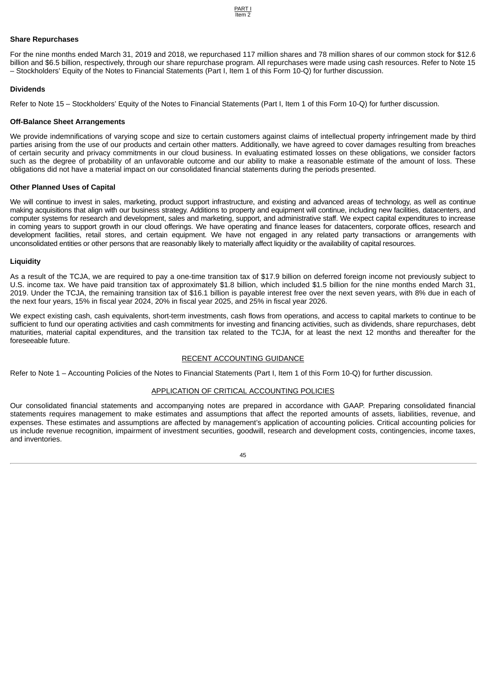#### **Share Repurchases**

For the nine months ended March 31, 2019 and 2018, we repurchased 117 million shares and 78 million shares of our common stock for \$12.6 billion and \$6.5 billion, respectively, through our share repurchase program. All repurchases were made using cash resources. Refer to Note 15 – Stockholders' Equity of the Notes to Financial Statements (Part I, Item 1 of this Form 10-Q) for further discussion.

PART I Item 2

#### **Dividends**

Refer to Note 15 – Stockholders' Equity of the Notes to Financial Statements (Part I, Item 1 of this Form 10-Q) for further discussion.

#### **Off-Balance Sheet Arrangements**

We provide indemnifications of varying scope and size to certain customers against claims of intellectual property infringement made by third parties arising from the use of our products and certain other matters. Additionally, we have agreed to cover damages resulting from breaches of certain security and privacy commitments in our cloud business. In evaluating estimated losses on these obligations, we consider factors such as the degree of probability of an unfavorable outcome and our ability to make a reasonable estimate of the amount of loss. These obligations did not have a material impact on our consolidated financial statements during the periods presented.

#### **Other Planned Uses of Capital**

We will continue to invest in sales, marketing, product support infrastructure, and existing and advanced areas of technology, as well as continue making acquisitions that align with our business strategy. Additions to property and equipment will continue, including new facilities, datacenters, and computer systems for research and development, sales and marketing, support, and administrative staff. We expect capital expenditures to increase in coming years to support growth in our cloud offerings. We have operating and finance leases for datacenters, corporate offices, research and development facilities, retail stores, and certain equipment. We have not engaged in any related party transactions or arrangements with unconsolidated entities or other persons that are reasonably likely to materially affect liquidity or the availability of capital resources.

### **Liquidity**

As a result of the TCJA, we are required to pay a one-time transition tax of \$17.9 billion on deferred foreign income not previously subject to U.S. income tax. We have paid transition tax of approximately \$1.8 billion, which included \$1.5 billion for the nine months ended March 31, 2019. Under the TCJA, the remaining transition tax of \$16.1 billion is payable interest free over the next seven years, with 8% due in each of the next four years, 15% in fiscal year 2024, 20% in fiscal year 2025, and 25% in fiscal year 2026.

We expect existing cash, cash equivalents, short-term investments, cash flows from operations, and access to capital markets to continue to be sufficient to fund our operating activities and cash commitments for investing and financing activities, such as dividends, share repurchases, debt maturities, material capital expenditures, and the transition tax related to the TCJA, for at least the next 12 months and thereafter for the foreseeable future.

## RECENT ACCOUNTING GUIDANCE

Refer to Note 1 – Accounting Policies of the Notes to Financial Statements (Part I, Item 1 of this Form 10-Q) for further discussion.

## APPLICATION OF CRITICAL ACCOUNTING POLICIES

Our consolidated financial statements and accompanying notes are prepared in accordance with GAAP. Preparing consolidated financial statements requires management to make estimates and assumptions that affect the reported amounts of assets, liabilities, revenue, and expenses. These estimates and assumptions are affected by management's application of accounting policies. Critical accounting policies for us include revenue recognition, impairment of investment securities, goodwill, research and development costs, contingencies, income taxes, and inventories.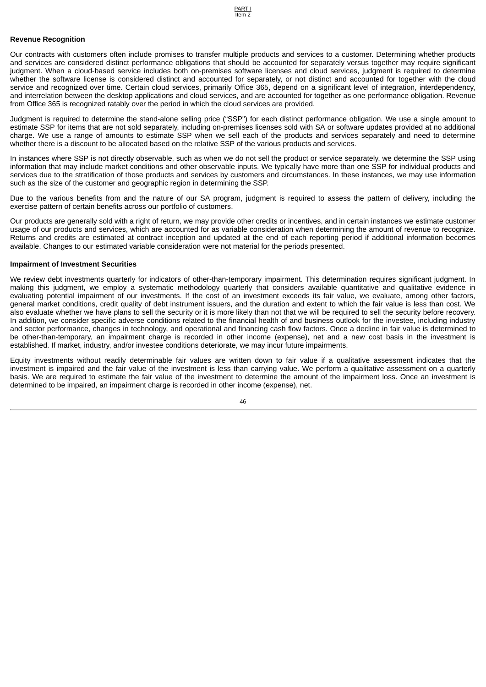#### **Revenue Recognition**

Our contracts with customers often include promises to transfer multiple products and services to a customer. Determining whether products and services are considered distinct performance obligations that should be accounted for separately versus together may require significant judgment. When a cloud-based service includes both on-premises software licenses and cloud services, judgment is required to determine whether the software license is considered distinct and accounted for separately, or not distinct and accounted for together with the cloud service and recognized over time. Certain cloud services, primarily Office 365, depend on a significant level of integration, interdependency, and interrelation between the desktop applications and cloud services, and are accounted for together as one performance obligation. Revenue from Office 365 is recognized ratably over the period in which the cloud services are provided.

Judgment is required to determine the stand-alone selling price ("SSP") for each distinct performance obligation. We use a single amount to estimate SSP for items that are not sold separately, including on-premises licenses sold with SA or software updates provided at no additional charge. We use a range of amounts to estimate SSP when we sell each of the products and services separately and need to determine whether there is a discount to be allocated based on the relative SSP of the various products and services.

In instances where SSP is not directly observable, such as when we do not sell the product or service separately, we determine the SSP using information that may include market conditions and other observable inputs. We typically have more than one SSP for individual products and services due to the stratification of those products and services by customers and circumstances. In these instances, we may use information such as the size of the customer and geographic region in determining the SSP.

Due to the various benefits from and the nature of our SA program, judgment is required to assess the pattern of delivery, including the exercise pattern of certain benefits across our portfolio of customers.

Our products are generally sold with a right of return, we may provide other credits or incentives, and in certain instances we estimate customer usage of our products and services, which are accounted for as variable consideration when determining the amount of revenue to recognize. Returns and credits are estimated at contract inception and updated at the end of each reporting period if additional information becomes available. Changes to our estimated variable consideration were not material for the periods presented.

#### **Impairment of Investment Securities**

We review debt investments quarterly for indicators of other-than-temporary impairment. This determination requires significant judgment. In making this judgment, we employ a systematic methodology quarterly that considers available quantitative and qualitative evidence in evaluating potential impairment of our investments. If the cost of an investment exceeds its fair value, we evaluate, among other factors, general market conditions, credit quality of debt instrument issuers, and the duration and extent to which the fair value is less than cost. We also evaluate whether we have plans to sell the security or it is more likely than not that we will be required to sell the security before recovery. In addition, we consider specific adverse conditions related to the financial health of and business outlook for the investee, including industry and sector performance, changes in technology, and operational and financing cash flow factors. Once a decline in fair value is determined to be other-than-temporary, an impairment charge is recorded in other income (expense), net and a new cost basis in the investment is established. If market, industry, and/or investee conditions deteriorate, we may incur future impairments.

Equity investments without readily determinable fair values are written down to fair value if a qualitative assessment indicates that the investment is impaired and the fair value of the investment is less than carrying value. We perform a qualitative assessment on a quarterly basis. We are required to estimate the fair value of the investment to determine the amount of the impairment loss. Once an investment is determined to be impaired, an impairment charge is recorded in other income (expense), net.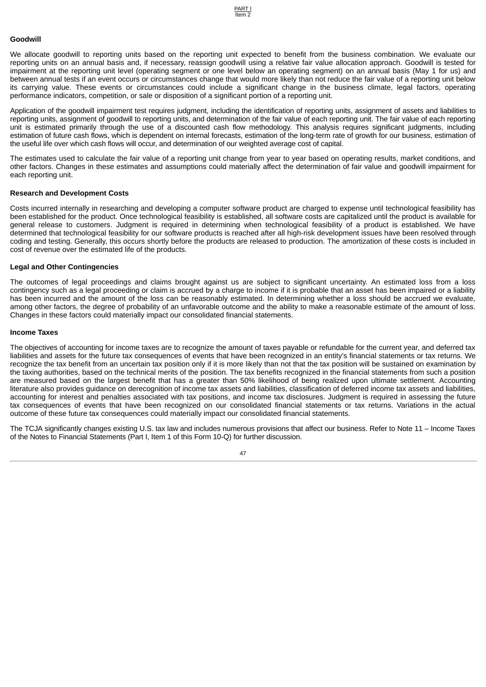## **Goodwill**

We allocate goodwill to reporting units based on the reporting unit expected to benefit from the business combination. We evaluate our reporting units on an annual basis and, if necessary, reassign goodwill using a relative fair value allocation approach. Goodwill is tested for impairment at the reporting unit level (operating segment or one level below an operating segment) on an annual basis (May 1 for us) and between annual tests if an event occurs or circumstances change that would more likely than not reduce the fair value of a reporting unit below its carrying value. These events or circumstances could include a significant change in the business climate, legal factors, operating performance indicators, competition, or sale or disposition of a significant portion of a reporting unit.

Application of the goodwill impairment test requires judgment, including the identification of reporting units, assignment of assets and liabilities to reporting units, assignment of goodwill to reporting units, and determination of the fair value of each reporting unit. The fair value of each reporting unit is estimated primarily through the use of a discounted cash flow methodology. This analysis requires significant judgments, including estimation of future cash flows, which is dependent on internal forecasts, estimation of the long-term rate of growth for our business, estimation of the useful life over which cash flows will occur, and determination of our weighted average cost of capital.

The estimates used to calculate the fair value of a reporting unit change from year to year based on operating results, market conditions, and other factors. Changes in these estimates and assumptions could materially affect the determination of fair value and goodwill impairment for each reporting unit.

## **Research and Development Costs**

Costs incurred internally in researching and developing a computer software product are charged to expense until technological feasibility has been established for the product. Once technological feasibility is established, all software costs are capitalized until the product is available for general release to customers. Judgment is required in determining when technological feasibility of a product is established. We have determined that technological feasibility for our software products is reached after all high-risk development issues have been resolved through coding and testing. Generally, this occurs shortly before the products are released to production. The amortization of these costs is included in cost of revenue over the estimated life of the products.

#### **Legal and Other Contingencies**

The outcomes of legal proceedings and claims brought against us are subject to significant uncertainty. An estimated loss from a loss contingency such as a legal proceeding or claim is accrued by a charge to income if it is probable that an asset has been impaired or a liability has been incurred and the amount of the loss can be reasonably estimated. In determining whether a loss should be accrued we evaluate, among other factors, the degree of probability of an unfavorable outcome and the ability to make a reasonable estimate of the amount of loss. Changes in these factors could materially impact our consolidated financial statements.

#### **Income Taxes**

The objectives of accounting for income taxes are to recognize the amount of taxes payable or refundable for the current year, and deferred tax liabilities and assets for the future tax consequences of events that have been recognized in an entity's financial statements or tax returns. We recognize the tax benefit from an uncertain tax position only if it is more likely than not that the tax position will be sustained on examination by the taxing authorities, based on the technical merits of the position. The tax benefits recognized in the financial statements from such a position are measured based on the largest benefit that has a greater than 50% likelihood of being realized upon ultimate settlement. Accounting literature also provides guidance on derecognition of income tax assets and liabilities, classification of deferred income tax assets and liabilities, accounting for interest and penalties associated with tax positions, and income tax disclosures. Judgment is required in assessing the future tax consequences of events that have been recognized on our consolidated financial statements or tax returns. Variations in the actual outcome of these future tax consequences could materially impact our consolidated financial statements.

The TCJA significantly changes existing U.S. tax law and includes numerous provisions that affect our business. Refer to Note 11 – Income Taxes of the Notes to Financial Statements (Part I, Item 1 of this Form 10-Q) for further discussion.

 $\overline{A}$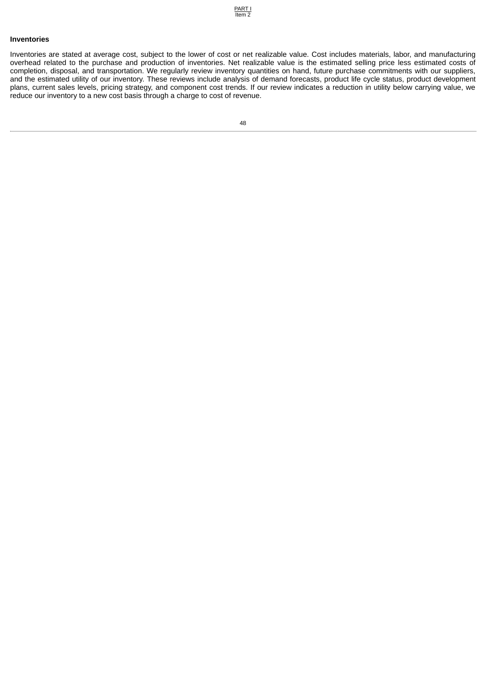## **Inventories**

Inventories are stated at average cost, subject to the lower of cost or net realizable value. Cost includes materials, labor, and manufacturing overhead related to the purchase and production of inventories. Net realizable value is the estimated selling price less estimated costs of completion, disposal, and transportation. We regularly review inventory quantities on hand, future purchase commitments with our suppliers, and the estimated utility of our inventory. These reviews include analysis of demand forecasts, product life cycle status, product development plans, current sales levels, pricing strategy, and component cost trends. If our review indicates a reduction in utility below carrying value, we reduce our inventory to a new cost basis through a charge to cost of revenue.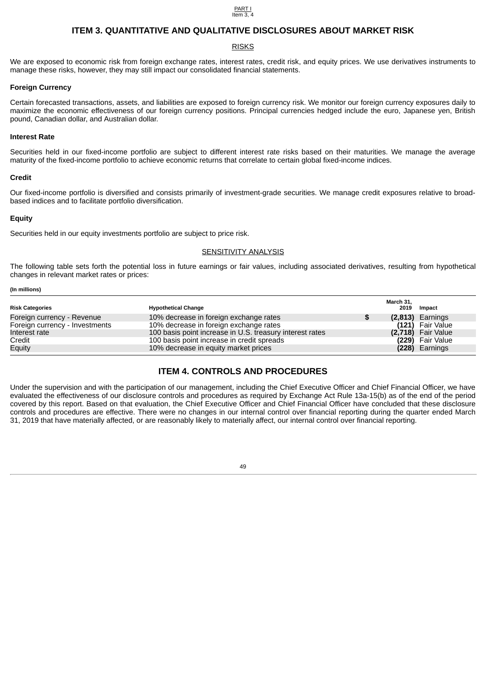PART I Item  $\overline{3}$  4

## **ITEM 3. QUANTITATIVE AND QUALITATIVE DISCLOSURES ABOUT MARKET RISK**

## RISKS

<span id="page-48-0"></span>We are exposed to economic risk from foreign exchange rates, interest rates, credit risk, and equity prices. We use derivatives instruments to manage these risks, however, they may still impact our consolidated financial statements.

#### **Foreign Currency**

Certain forecasted transactions, assets, and liabilities are exposed to foreign currency risk. We monitor our foreign currency exposures daily to maximize the economic effectiveness of our foreign currency positions. Principal currencies hedged include the euro, Japanese yen, British pound, Canadian dollar, and Australian dollar.

#### **Interest Rate**

Securities held in our fixed-income portfolio are subject to different interest rate risks based on their maturities. We manage the average maturity of the fixed-income portfolio to achieve economic returns that correlate to certain global fixed-income indices.

#### **Credit**

Our fixed-income portfolio is diversified and consists primarily of investment-grade securities. We manage credit exposures relative to broadbased indices and to facilitate portfolio diversification.

#### **Equity**

Securities held in our equity investments portfolio are subject to price risk.

#### SENSITIVITY ANALYSIS

The following table sets forth the potential loss in future earnings or fair values, including associated derivatives, resulting from hypothetical changes in relevant market rates or prices:

#### **(In millions)**

| <b>Risk Categories</b>         | <b>Hypothetical Change</b>                               | March 31.<br>2019 | Impact               |
|--------------------------------|----------------------------------------------------------|-------------------|----------------------|
| Foreign currency - Revenue     | 10% decrease in foreign exchange rates                   |                   | $(2,813)$ Earnings   |
| Foreign currency - Investments | 10% decrease in foreign exchange rates                   |                   | (121) Fair Value     |
| Interest rate                  | 100 basis point increase in U.S. treasury interest rates |                   | $(2,718)$ Fair Value |
| Credit                         | 100 basis point increase in credit spreads               |                   | (229) Fair Value     |
| Equity                         | 10% decrease in equity market prices                     |                   | (228) Earnings       |

## **ITEM 4. CONTROLS AND PROCEDURES**

<span id="page-48-1"></span>Under the supervision and with the participation of our management, including the Chief Executive Officer and Chief Financial Officer, we have evaluated the effectiveness of our disclosure controls and procedures as required by Exchange Act Rule 13a-15(b) as of the end of the period covered by this report. Based on that evaluation, the Chief Executive Officer and Chief Financial Officer have concluded that these disclosure controls and procedures are effective. There were no changes in our internal control over financial reporting during the quarter ended March 31, 2019 that have materially affected, or are reasonably likely to materially affect, our internal control over financial reporting.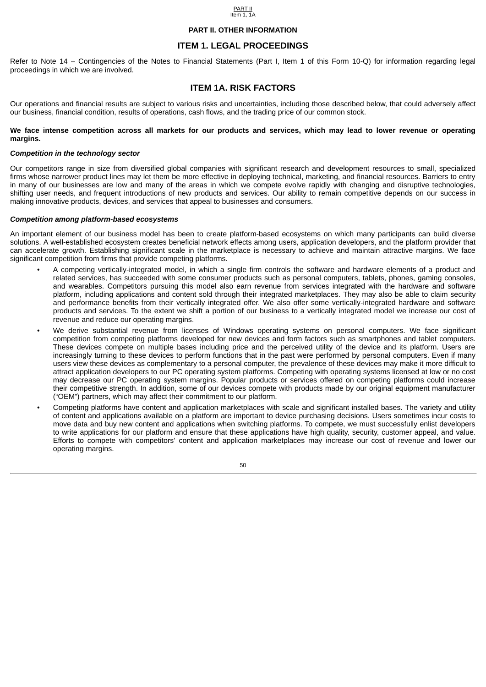#### PART II Item 1, 1A

#### **PART II. OTHER INFORMATION**

## **ITEM 1. LEGAL PROCEEDINGS**

<span id="page-49-1"></span><span id="page-49-0"></span>Refer to Note 14 – Contingencies of the Notes to Financial Statements (Part I, Item 1 of this Form 10-O) for information regarding legal proceedings in which we are involved.

## **ITEM 1A. RISK FACTORS**

<span id="page-49-2"></span>Our operations and financial results are subject to various risks and uncertainties, including those described below, that could adversely affect our business, financial condition, results of operations, cash flows, and the trading price of our common stock.

#### We face intense competition across all markets for our products and services, which may lead to lower revenue or operating **margins.**

#### *Competition in the technology sector*

Our competitors range in size from diversified global companies with significant research and development resources to small, specialized firms whose narrower product lines may let them be more effective in deploying technical, marketing, and financial resources. Barriers to entry in many of our businesses are low and many of the areas in which we compete evolve rapidly with changing and disruptive technologies, shifting user needs, and frequent introductions of new products and services. Our ability to remain competitive depends on our success in making innovative products, devices, and services that appeal to businesses and consumers.

#### *Competition among platform-based ecosystems*

An important element of our business model has been to create platform-based ecosystems on which many participants can build diverse solutions. A well-established ecosystem creates beneficial network effects among users, application developers, and the platform provider that can accelerate growth. Establishing significant scale in the marketplace is necessary to achieve and maintain attractive margins. We face significant competition from firms that provide competing platforms.

- A competing vertically-integrated model, in which a single firm controls the software and hardware elements of a product and related services, has succeeded with some consumer products such as personal computers, tablets, phones, gaming consoles, and wearables. Competitors pursuing this model also earn revenue from services integrated with the hardware and software platform, including applications and content sold through their integrated marketplaces. They may also be able to claim security and performance benefits from their vertically integrated offer. We also offer some vertically-integrated hardware and software products and services. To the extent we shift a portion of our business to a vertically integrated model we increase our cost of revenue and reduce our operating margins.
- We derive substantial revenue from licenses of Windows operating systems on personal computers. We face significant competition from competing platforms developed for new devices and form factors such as smartphones and tablet computers. These devices compete on multiple bases including price and the perceived utility of the device and its platform. Users are increasingly turning to these devices to perform functions that in the past were performed by personal computers. Even if many users view these devices as complementary to a personal computer, the prevalence of these devices may make it more difficult to attract application developers to our PC operating system platforms. Competing with operating systems licensed at low or no cost may decrease our PC operating system margins. Popular products or services offered on competing platforms could increase their competitive strength. In addition, some of our devices compete with products made by our original equipment manufacturer ("OEM") partners, which may affect their commitment to our platform.
- Competing platforms have content and application marketplaces with scale and significant installed bases. The variety and utility of content and applications available on a platform are important to device purchasing decisions. Users sometimes incur costs to move data and buy new content and applications when switching platforms. To compete, we must successfully enlist developers to write applications for our platform and ensure that these applications have high quality, security, customer appeal, and value. Efforts to compete with competitors' content and application marketplaces may increase our cost of revenue and lower our operating margins.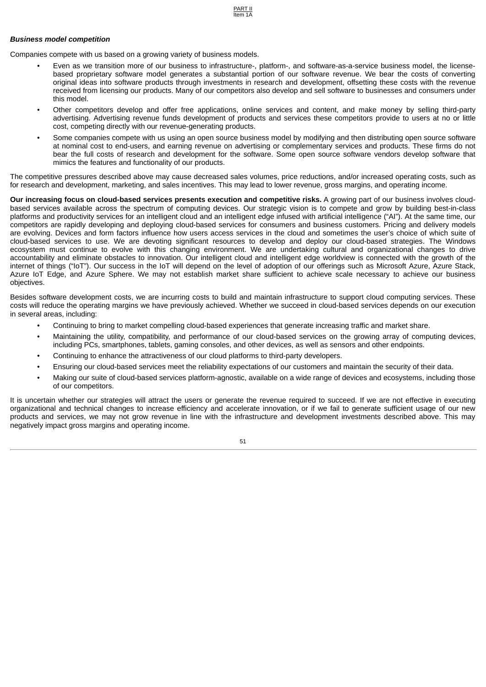## *Business model competition*

Companies compete with us based on a growing variety of business models.

- Even as we transition more of our business to infrastructure-, platform-, and software-as-a-service business model, the licensebased proprietary software model generates a substantial portion of our software revenue. We bear the costs of converting original ideas into software products through investments in research and development, offsetting these costs with the revenue received from licensing our products. Many of our competitors also develop and sell software to businesses and consumers under this model.
- Other competitors develop and offer free applications, online services and content, and make money by selling third-party advertising. Advertising revenue funds development of products and services these competitors provide to users at no or little cost, competing directly with our revenue-generating products.
- Some companies compete with us using an open source business model by modifying and then distributing open source software at nominal cost to end-users, and earning revenue on advertising or complementary services and products. These firms do not bear the full costs of research and development for the software. Some open source software vendors develop software that mimics the features and functionality of our products.

The competitive pressures described above may cause decreased sales volumes, price reductions, and/or increased operating costs, such as for research and development, marketing, and sales incentives. This may lead to lower revenue, gross margins, and operating income.

**Our increasing focus on cloud-based services presents execution and competitive risks.** A growing part of our business involves cloudbased services available across the spectrum of computing devices. Our strategic vision is to compete and grow by building best-in-class platforms and productivity services for an intelligent cloud and an intelligent edge infused with artificial intelligence ("AI"). At the same time, our competitors are rapidly developing and deploying cloud-based services for consumers and business customers. Pricing and delivery models are evolving. Devices and form factors influence how users access services in the cloud and sometimes the user's choice of which suite of cloud-based services to use. We are devoting significant resources to develop and deploy our cloud-based strategies. The Windows ecosystem must continue to evolve with this changing environment. We are undertaking cultural and organizational changes to drive accountability and eliminate obstacles to innovation. Our intelligent cloud and intelligent edge worldview is connected with the growth of the internet of things ("IoT"). Our success in the IoT will depend on the level of adoption of our offerings such as Microsoft Azure, Azure Stack, Azure IoT Edge, and Azure Sphere. We may not establish market share sufficient to achieve scale necessary to achieve our business objectives.

Besides software development costs, we are incurring costs to build and maintain infrastructure to support cloud computing services. These costs will reduce the operating margins we have previously achieved. Whether we succeed in cloud-based services depends on our execution in several areas, including:

- Continuing to bring to market compelling cloud-based experiences that generate increasing traffic and market share.
- Maintaining the utility, compatibility, and performance of our cloud-based services on the growing array of computing devices, including PCs, smartphones, tablets, gaming consoles, and other devices, as well as sensors and other endpoints.
- Continuing to enhance the attractiveness of our cloud platforms to third-party developers.
- Ensuring our cloud-based services meet the reliability expectations of our customers and maintain the security of their data.
- Making our suite of cloud-based services platform-agnostic, available on a wide range of devices and ecosystems, including those of our competitors.

It is uncertain whether our strategies will attract the users or generate the revenue required to succeed. If we are not effective in executing organizational and technical changes to increase efficiency and accelerate innovation, or if we fail to generate sufficient usage of our new products and services, we may not grow revenue in line with the infrastructure and development investments described above. This may negatively impact gross margins and operating income.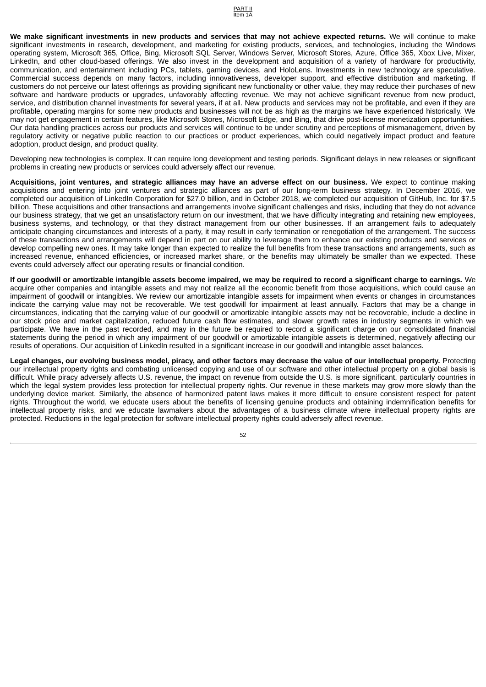We make significant investments in new products and services that may not achieve expected returns. We will continue to make significant investments in research, development, and marketing for existing products, services, and technologies, including the Windows operating system, Microsoft 365, Office, Bing, Microsoft SQL Server, Windows Server, Microsoft Stores, Azure, Office 365, Xbox Live, Mixer, LinkedIn, and other cloud-based offerings. We also invest in the development and acquisition of a variety of hardware for productivity, communication, and entertainment including PCs, tablets, gaming devices, and HoloLens. Investments in new technology are speculative. Commercial success depends on many factors, including innovativeness, developer support, and effective distribution and marketing. If customers do not perceive our latest offerings as providing significant new functionality or other value, they may reduce their purchases of new software and hardware products or upgrades, unfavorably affecting revenue. We may not achieve significant revenue from new product, service, and distribution channel investments for several years, if at all. New products and services may not be profitable, and even if they are profitable, operating margins for some new products and businesses will not be as high as the margins we have experienced historically. We may not get engagement in certain features, like Microsoft Stores, Microsoft Edge, and Bing, that drive post-license monetization opportunities. Our data handling practices across our products and services will continue to be under scrutiny and perceptions of mismanagement, driven by regulatory activity or negative public reaction to our practices or product experiences, which could negatively impact product and feature adoption, product design, and product quality.

Developing new technologies is complex. It can require long development and testing periods. Significant delays in new releases or significant problems in creating new products or services could adversely affect our revenue.

**Acquisitions, joint ventures, and strategic alliances may have an adverse effect on our business.** We expect to continue making acquisitions and entering into joint ventures and strategic alliances as part of our long-term business strategy. In December 2016, we completed our acquisition of LinkedIn Corporation for \$27.0 billion, and in October 2018, we completed our acquisition of GitHub, Inc. for \$7.5 billion. These acquisitions and other transactions and arrangements involve significant challenges and risks, including that they do not advance our business strategy, that we get an unsatisfactory return on our investment, that we have difficulty integrating and retaining new employees, business systems, and technology, or that they distract management from our other businesses. If an arrangement fails to adequately anticipate changing circumstances and interests of a party, it may result in early termination or renegotiation of the arrangement. The success of these transactions and arrangements will depend in part on our ability to leverage them to enhance our existing products and services or develop compelling new ones. It may take longer than expected to realize the full benefits from these transactions and arrangements, such as increased revenue, enhanced efficiencies, or increased market share, or the benefits may ultimately be smaller than we expected. These events could adversely affect our operating results or financial condition.

If our goodwill or amortizable intangible assets become impaired, we may be required to record a significant charge to earnings. We acquire other companies and intangible assets and may not realize all the economic benefit from those acquisitions, which could cause an impairment of goodwill or intangibles. We review our amortizable intangible assets for impairment when events or changes in circumstances indicate the carrying value may not be recoverable. We test goodwill for impairment at least annually. Factors that may be a change in circumstances, indicating that the carrying value of our goodwill or amortizable intangible assets may not be recoverable, include a decline in our stock price and market capitalization, reduced future cash flow estimates, and slower growth rates in industry segments in which we participate. We have in the past recorded, and may in the future be required to record a significant charge on our consolidated financial statements during the period in which any impairment of our goodwill or amortizable intangible assets is determined, negatively affecting our results of operations. Our acquisition of LinkedIn resulted in a significant increase in our goodwill and intangible asset balances.

Legal changes, our evolving business model, piracy, and other factors may decrease the value of our intellectual property. Protecting our intellectual property rights and combating unlicensed copying and use of our software and other intellectual property on a global basis is difficult. While piracy adversely affects U.S. revenue, the impact on revenue from outside the U.S. is more significant, particularly countries in which the legal system provides less protection for intellectual property rights. Our revenue in these markets may grow more slowly than the underlying device market. Similarly, the absence of harmonized patent laws makes it more difficult to ensure consistent respect for patent rights. Throughout the world, we educate users about the benefits of licensing genuine products and obtaining indemnification benefits for intellectual property risks, and we educate lawmakers about the advantages of a business climate where intellectual property rights are protected. Reductions in the legal protection for software intellectual property rights could adversely affect revenue.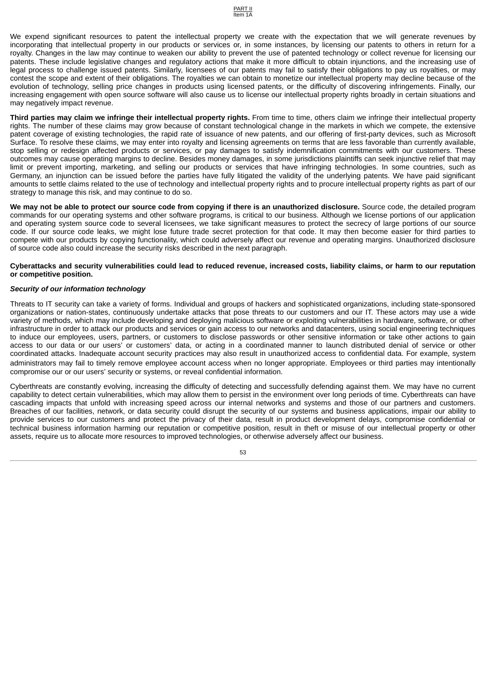We expend significant resources to patent the intellectual property we create with the expectation that we will generate revenues by incorporating that intellectual property in our products or services or, in some instances, by licensing our patents to others in return for a royalty. Changes in the law may continue to weaken our ability to prevent the use of patented technology or collect revenue for licensing our patents. These include legislative changes and regulatory actions that make it more difficult to obtain injunctions, and the increasing use of legal process to challenge issued patents. Similarly, licensees of our patents may fail to satisfy their obligations to pay us royalties, or may contest the scope and extent of their obligations. The royalties we can obtain to monetize our intellectual property may decline because of the evolution of technology, selling price changes in products using licensed patents, or the difficulty of discovering infringements. Finally, our increasing engagement with open source software will also cause us to license our intellectual property rights broadly in certain situations and may negatively impact revenue.

**Third parties may claim we infringe their intellectual property rights.** From time to time, others claim we infringe their intellectual property rights. The number of these claims may grow because of constant technological change in the markets in which we compete, the extensive patent coverage of existing technologies, the rapid rate of issuance of new patents, and our offering of first-party devices, such as Microsoft Surface. To resolve these claims, we may enter into royalty and licensing agreements on terms that are less favorable than currently available, stop selling or redesign affected products or services, or pay damages to satisfy indemnification commitments with our customers. These outcomes may cause operating margins to decline. Besides money damages, in some jurisdictions plaintiffs can seek injunctive relief that may limit or prevent importing, marketing, and selling our products or services that have infringing technologies. In some countries, such as Germany, an injunction can be issued before the parties have fully litigated the validity of the underlying patents. We have paid significant amounts to settle claims related to the use of technology and intellectual property rights and to procure intellectual property rights as part of our strategy to manage this risk, and may continue to do so.

We may not be able to protect our source code from copying if there is an unauthorized disclosure. Source code, the detailed program commands for our operating systems and other software programs, is critical to our business. Although we license portions of our application and operating system source code to several licensees, we take significant measures to protect the secrecy of large portions of our source code. If our source code leaks, we might lose future trade secret protection for that code. It may then become easier for third parties to compete with our products by copying functionality, which could adversely affect our revenue and operating margins. Unauthorized disclosure of source code also could increase the security risks described in the next paragraph.

#### Cyberattacks and security vulnerabilities could lead to reduced revenue, increased costs, liability claims, or harm to our reputation **or competitive position.**

## *Security of our information technology*

Threats to IT security can take a variety of forms. Individual and groups of hackers and sophisticated organizations, including state-sponsored organizations or nation-states, continuously undertake attacks that pose threats to our customers and our IT. These actors may use a wide variety of methods, which may include developing and deploying malicious software or exploiting vulnerabilities in hardware, software, or other infrastructure in order to attack our products and services or gain access to our networks and datacenters, using social engineering techniques to induce our employees, users, partners, or customers to disclose passwords or other sensitive information or take other actions to gain access to our data or our users' or customers' data, or acting in a coordinated manner to launch distributed denial of service or other coordinated attacks. Inadequate account security practices may also result in unauthorized access to confidential data. For example, system administrators may fail to timely remove employee account access when no longer appropriate. Employees or third parties may intentionally compromise our or our users' security or systems, or reveal confidential information.

Cyberthreats are constantly evolving, increasing the difficulty of detecting and successfully defending against them. We may have no current capability to detect certain vulnerabilities, which may allow them to persist in the environment over long periods of time. Cyberthreats can have cascading impacts that unfold with increasing speed across our internal networks and systems and those of our partners and customers. Breaches of our facilities, network, or data security could disrupt the security of our systems and business applications, impair our ability to provide services to our customers and protect the privacy of their data, result in product development delays, compromise confidential or technical business information harming our reputation or competitive position, result in theft or misuse of our intellectual property or other assets, require us to allocate more resources to improved technologies, or otherwise adversely affect our business.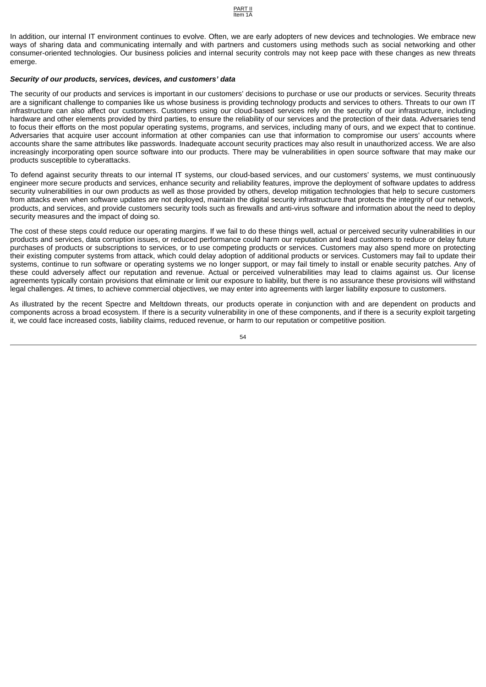In addition, our internal IT environment continues to evolve. Often, we are early adopters of new devices and technologies. We embrace new ways of sharing data and communicating internally and with partners and customers using methods such as social networking and other consumer-oriented technologies. Our business policies and internal security controls may not keep pace with these changes as new threats emerge.

#### *Security of our products, services, devices, and customers' data*

The security of our products and services is important in our customers' decisions to purchase or use our products or services. Security threats are a significant challenge to companies like us whose business is providing technology products and services to others. Threats to our own IT infrastructure can also affect our customers. Customers using our cloud-based services rely on the security of our infrastructure, including hardware and other elements provided by third parties, to ensure the reliability of our services and the protection of their data. Adversaries tend to focus their efforts on the most popular operating systems, programs, and services, including many of ours, and we expect that to continue. Adversaries that acquire user account information at other companies can use that information to compromise our users' accounts where accounts share the same attributes like passwords. Inadequate account security practices may also result in unauthorized access. We are also increasingly incorporating open source software into our products. There may be vulnerabilities in open source software that may make our products susceptible to cyberattacks.

To defend against security threats to our internal IT systems, our cloud-based services, and our customers' systems, we must continuously engineer more secure products and services, enhance security and reliability features, improve the deployment of software updates to address security vulnerabilities in our own products as well as those provided by others, develop mitigation technologies that help to secure customers from attacks even when software updates are not deployed, maintain the digital security infrastructure that protects the integrity of our network, products, and services, and provide customers security tools such as firewalls and anti-virus software and information about the need to deploy security measures and the impact of doing so.

The cost of these steps could reduce our operating margins. If we fail to do these things well, actual or perceived security vulnerabilities in our products and services, data corruption issues, or reduced performance could harm our reputation and lead customers to reduce or delay future purchases of products or subscriptions to services, or to use competing products or services. Customers may also spend more on protecting their existing computer systems from attack, which could delay adoption of additional products or services. Customers may fail to update their systems, continue to run software or operating systems we no longer support, or may fail timely to install or enable security patches. Any of these could adversely affect our reputation and revenue. Actual or perceived vulnerabilities may lead to claims against us. Our license agreements typically contain provisions that eliminate or limit our exposure to liability, but there is no assurance these provisions will withstand legal challenges. At times, to achieve commercial objectives, we may enter into agreements with larger liability exposure to customers.

As illustrated by the recent Spectre and Meltdown threats, our products operate in conjunction with and are dependent on products and components across a broad ecosystem. If there is a security vulnerability in one of these components, and if there is a security exploit targeting it, we could face increased costs, liability claims, reduced revenue, or harm to our reputation or competitive position.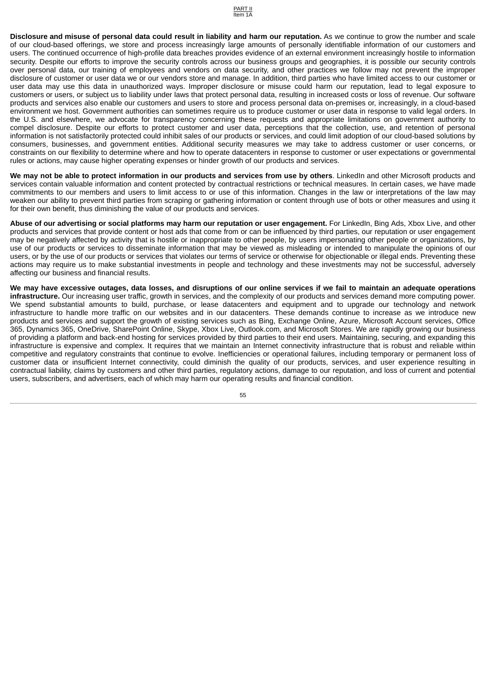Disclosure and misuse of personal data could result in liability and harm our reputation. As we continue to grow the number and scale of our cloud-based offerings, we store and process increasingly large amounts of personally identifiable information of our customers and users. The continued occurrence of high-profile data breaches provides evidence of an external environment increasingly hostile to information security. Despite our efforts to improve the security controls across our business groups and geographies, it is possible our security controls over personal data, our training of employees and vendors on data security, and other practices we follow may not prevent the improper disclosure of customer or user data we or our vendors store and manage. In addition, third parties who have limited access to our customer or user data may use this data in unauthorized ways. Improper disclosure or misuse could harm our reputation, lead to legal exposure to customers or users, or subject us to liability under laws that protect personal data, resulting in increased costs or loss of revenue. Our software products and services also enable our customers and users to store and process personal data on-premises or, increasingly, in a cloud-based environment we host. Government authorities can sometimes require us to produce customer or user data in response to valid legal orders. In the U.S. and elsewhere, we advocate for transparency concerning these requests and appropriate limitations on government authority to compel disclosure. Despite our efforts to protect customer and user data, perceptions that the collection, use, and retention of personal information is not satisfactorily protected could inhibit sales of our products or services, and could limit adoption of our cloud-based solutions by consumers, businesses, and government entities. Additional security measures we may take to address customer or user concerns, or constraints on our flexibility to determine where and how to operate datacenters in response to customer or user expectations or governmental rules or actions, may cause higher operating expenses or hinder growth of our products and services.

We may not be able to protect information in our products and services from use by others. LinkedIn and other Microsoft products and services contain valuable information and content protected by contractual restrictions or technical measures. In certain cases, we have made commitments to our members and users to limit access to or use of this information. Changes in the law or interpretations of the law may weaken our ability to prevent third parties from scraping or gathering information or content through use of bots or other measures and using it for their own benefit, thus diminishing the value of our products and services.

Abuse of our advertising or social platforms may harm our reputation or user engagement. For LinkedIn, Bing Ads, Xbox Live, and other products and services that provide content or host ads that come from or can be influenced by third parties, our reputation or user engagement may be negatively affected by activity that is hostile or inappropriate to other people, by users impersonating other people or organizations, by use of our products or services to disseminate information that may be viewed as misleading or intended to manipulate the opinions of our users, or by the use of our products or services that violates our terms of service or otherwise for objectionable or illegal ends. Preventing these actions may require us to make substantial investments in people and technology and these investments may not be successful, adversely affecting our business and financial results.

We may have excessive outages, data losses, and disruptions of our online services if we fail to maintain an adequate operations **infrastructure.** Our increasing user traffic, growth in services, and the complexity of our products and services demand more computing power. We spend substantial amounts to build, purchase, or lease datacenters and equipment and to upgrade our technology and network infrastructure to handle more traffic on our websites and in our datacenters. These demands continue to increase as we introduce new products and services and support the growth of existing services such as Bing, Exchange Online, Azure, Microsoft Account services, Office 365, Dynamics 365, OneDrive, SharePoint Online, Skype, Xbox Live, Outlook.com, and Microsoft Stores. We are rapidly growing our business of providing a platform and back-end hosting for services provided by third parties to their end users. Maintaining, securing, and expanding this infrastructure is expensive and complex. It requires that we maintain an Internet connectivity infrastructure that is robust and reliable within competitive and regulatory constraints that continue to evolve. Inefficiencies or operational failures, including temporary or permanent loss of customer data or insufficient Internet connectivity, could diminish the quality of our products, services, and user experience resulting in contractual liability, claims by customers and other third parties, regulatory actions, damage to our reputation, and loss of current and potential users, subscribers, and advertisers, each of which may harm our operating results and financial condition.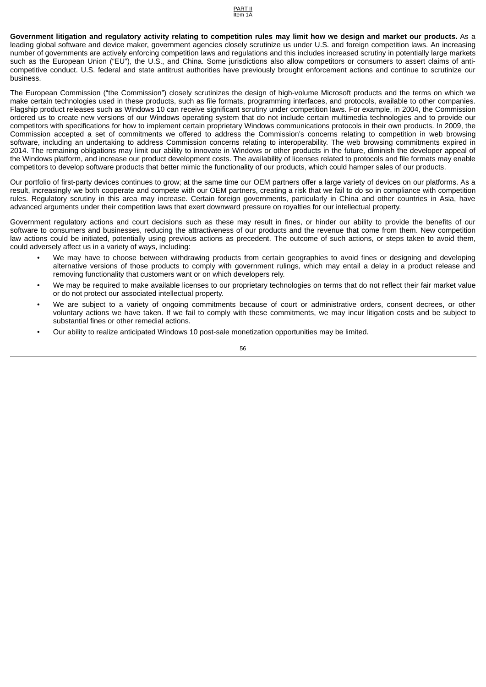Government litigation and regulatory activity relating to competition rules may limit how we design and market our products. As a leading global software and device maker, government agencies closely scrutinize us under U.S. and foreign competition laws. An increasing number of governments are actively enforcing competition laws and regulations and this includes increased scrutiny in potentially large markets such as the European Union ("EU"), the U.S., and China. Some jurisdictions also allow competitors or consumers to assert claims of anticompetitive conduct. U.S. federal and state antitrust authorities have previously brought enforcement actions and continue to scrutinize our business.

The European Commission ("the Commission") closely scrutinizes the design of high-volume Microsoft products and the terms on which we make certain technologies used in these products, such as file formats, programming interfaces, and protocols, available to other companies. Flagship product releases such as Windows 10 can receive significant scrutiny under competition laws. For example, in 2004, the Commission ordered us to create new versions of our Windows operating system that do not include certain multimedia technologies and to provide our competitors with specifications for how to implement certain proprietary Windows communications protocols in their own products. In 2009, the Commission accepted a set of commitments we offered to address the Commission's concerns relating to competition in web browsing software, including an undertaking to address Commission concerns relating to interoperability. The web browsing commitments expired in 2014. The remaining obligations may limit our ability to innovate in Windows or other products in the future, diminish the developer appeal of the Windows platform, and increase our product development costs. The availability of licenses related to protocols and file formats may enable competitors to develop software products that better mimic the functionality of our products, which could hamper sales of our products.

Our portfolio of first-party devices continues to grow; at the same time our OEM partners offer a large variety of devices on our platforms. As a result, increasingly we both cooperate and compete with our OEM partners, creating a risk that we fail to do so in compliance with competition rules. Regulatory scrutiny in this area may increase. Certain foreign governments, particularly in China and other countries in Asia, have advanced arguments under their competition laws that exert downward pressure on royalties for our intellectual property.

Government regulatory actions and court decisions such as these may result in fines, or hinder our ability to provide the benefits of our software to consumers and businesses, reducing the attractiveness of our products and the revenue that come from them. New competition law actions could be initiated, potentially using previous actions as precedent. The outcome of such actions, or steps taken to avoid them, could adversely affect us in a variety of ways, including:

- We may have to choose between withdrawing products from certain geographies to avoid fines or designing and developing alternative versions of those products to comply with government rulings, which may entail a delay in a product release and removing functionality that customers want or on which developers rely.
- We may be required to make available licenses to our proprietary technologies on terms that do not reflect their fair market value or do not protect our associated intellectual property.
- We are subject to a variety of ongoing commitments because of court or administrative orders, consent decrees, or other voluntary actions we have taken. If we fail to comply with these commitments, we may incur litigation costs and be subject to substantial fines or other remedial actions.
- Our ability to realize anticipated Windows 10 post-sale monetization opportunities may be limited.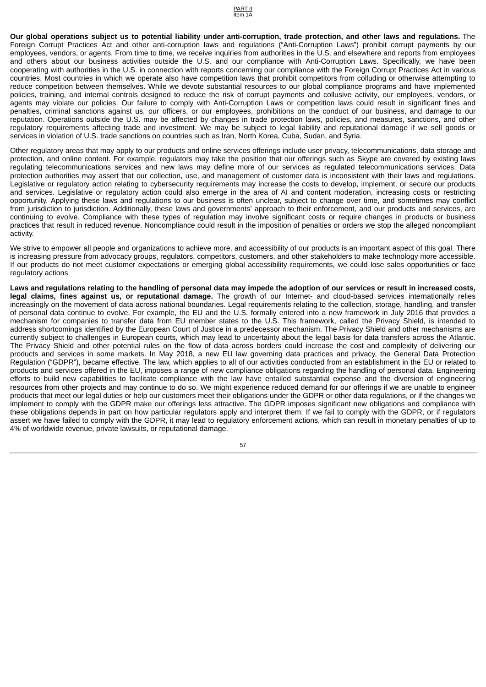Our global operations subject us to potential liability under anti-corruption, trade protection, and other laws and regulations. The Foreign Corrupt Practices Act and other anti-corruption laws and regulations ("Anti-Corruption Laws") prohibit corrupt payments by our employees, vendors, or agents. From time to time, we receive inquiries from authorities in the U.S. and elsewhere and reports from employees and others about our business activities outside the U.S. and our compliance with Anti-Corruption Laws. Specifically, we have been cooperating with authorities in the U.S. in connection with reports concerning our compliance with the Foreign Corrupt Practices Act in various countries. Most countries in which we operate also have competition laws that prohibit competitors from colluding or otherwise attempting to reduce competition between themselves. While we devote substantial resources to our global compliance programs and have implemented policies, training, and internal controls designed to reduce the risk of corrupt payments and collusive activity, our employees, vendors, or agents may violate our policies. Our failure to comply with Anti-Corruption Laws or competition laws could result in significant fines and penalties, criminal sanctions against us, our officers, or our employees, prohibitions on the conduct of our business, and damage to our reputation. Operations outside the U.S. may be affected by changes in trade protection laws, policies, and measures, sanctions, and other regulatory requirements affecting trade and investment. We may be subject to legal liability and reputational damage if we sell goods or services in violation of U.S. trade sanctions on countries such as Iran, North Korea, Cuba, Sudan, and Syria.

Other regulatory areas that may apply to our products and online services offerings include user privacy, telecommunications, data storage and protection, and online content. For example, regulators may take the position that our offerings such as Skype are covered by existing laws regulating telecommunications services and new laws may define more of our services as regulated telecommunications services. Data protection authorities may assert that our collection, use, and management of customer data is inconsistent with their laws and regulations. Legislative or regulatory action relating to cybersecurity requirements may increase the costs to develop, implement, or secure our products and services. Legislative or regulatory action could also emerge in the area of AI and content moderation, increasing costs or restricting opportunity. Applying these laws and regulations to our business is often unclear, subject to change over time, and sometimes may conflict from jurisdiction to jurisdiction. Additionally, these laws and governments' approach to their enforcement, and our products and services, are continuing to evolve. Compliance with these types of regulation may involve significant costs or require changes in products or business practices that result in reduced revenue. Noncompliance could result in the imposition of penalties or orders we stop the alleged noncompliant activity.

We strive to empower all people and organizations to achieve more, and accessibility of our products is an important aspect of this goal. There is increasing pressure from advocacy groups, regulators, competitors, customers, and other stakeholders to make technology more accessible. If our products do not meet customer expectations or emerging global accessibility requirements, we could lose sales opportunities or face regulatory actions

Laws and regulations relating to the handling of personal data may impede the adoption of our services or result in increased costs, **legal claims, fines against us, or reputational damage.** The growth of our Internet- and cloud-based services internationally relies increasingly on the movement of data across national boundaries. Legal requirements relating to the collection, storage, handling, and transfer of personal data continue to evolve. For example, the EU and the U.S. formally entered into a new framework in July 2016 that provides a mechanism for companies to transfer data from EU member states to the U.S. This framework, called the Privacy Shield, is intended to address shortcomings identified by the European Court of Justice in a predecessor mechanism. The Privacy Shield and other mechanisms are currently subject to challenges in European courts, which may lead to uncertainty about the legal basis for data transfers across the Atlantic. The Privacy Shield and other potential rules on the flow of data across borders could increase the cost and complexity of delivering our products and services in some markets. In May 2018, a new EU law governing data practices and privacy, the General Data Protection Regulation ("GDPR"), became effective. The law, which applies to all of our activities conducted from an establishment in the EU or related to products and services offered in the EU, imposes a range of new compliance obligations regarding the handling of personal data. Engineering efforts to build new capabilities to facilitate compliance with the law have entailed substantial expense and the diversion of engineering resources from other projects and may continue to do so. We might experience reduced demand for our offerings if we are unable to engineer products that meet our legal duties or help our customers meet their obligations under the GDPR or other data regulations, or if the changes we implement to comply with the GDPR make our offerings less attractive. The GDPR imposes significant new obligations and compliance with these obligations depends in part on how particular regulators apply and interpret them. If we fail to comply with the GDPR, or if regulators assert we have failed to comply with the GDPR, it may lead to regulatory enforcement actions, which can result in monetary penalties of up to 4% of worldwide revenue, private lawsuits, or reputational damage.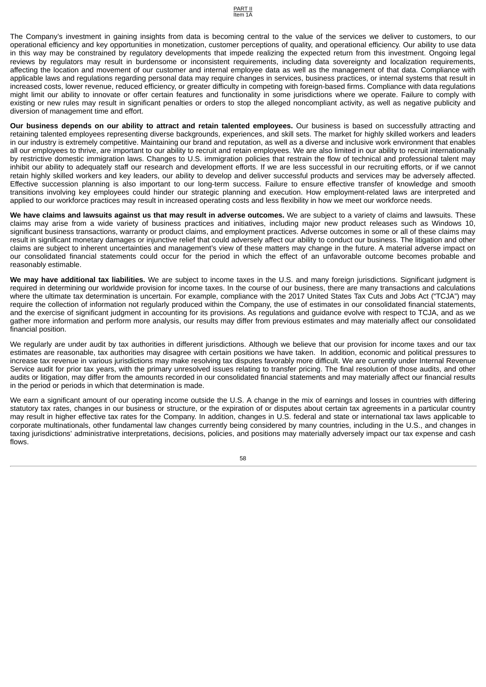The Company's investment in gaining insights from data is becoming central to the value of the services we deliver to customers, to our operational efficiency and key opportunities in monetization, customer perceptions of quality, and operational efficiency. Our ability to use data in this way may be constrained by regulatory developments that impede realizing the expected return from this investment. Ongoing legal reviews by regulators may result in burdensome or inconsistent requirements, including data sovereignty and localization requirements, affecting the location and movement of our customer and internal employee data as well as the management of that data. Compliance with applicable laws and regulations regarding personal data may require changes in services, business practices, or internal systems that result in increased costs, lower revenue, reduced efficiency, or greater difficulty in competing with foreign-based firms. Compliance with data regulations might limit our ability to innovate or offer certain features and functionality in some jurisdictions where we operate. Failure to comply with existing or new rules may result in significant penalties or orders to stop the alleged noncompliant activity, as well as negative publicity and diversion of management time and effort.

**Our business depends on our ability to attract and retain talented employees.** Our business is based on successfully attracting and retaining talented employees representing diverse backgrounds, experiences, and skill sets. The market for highly skilled workers and leaders in our industry is extremely competitive. Maintaining our brand and reputation, as well as a diverse and inclusive work environment that enables all our employees to thrive, are important to our ability to recruit and retain employees. We are also limited in our ability to recruit internationally by restrictive domestic immigration laws. Changes to U.S. immigration policies that restrain the flow of technical and professional talent may inhibit our ability to adequately staff our research and development efforts. If we are less successful in our recruiting efforts, or if we cannot retain highly skilled workers and key leaders, our ability to develop and deliver successful products and services may be adversely affected. Effective succession planning is also important to our long-term success. Failure to ensure effective transfer of knowledge and smooth transitions involving key employees could hinder our strategic planning and execution. How employment-related laws are interpreted and applied to our workforce practices may result in increased operating costs and less flexibility in how we meet our workforce needs.

**We have claims and lawsuits against us that may result in adverse outcomes.** We are subject to a variety of claims and lawsuits. These claims may arise from a wide variety of business practices and initiatives, including major new product releases such as Windows 10, significant business transactions, warranty or product claims, and employment practices. Adverse outcomes in some or all of these claims may result in significant monetary damages or injunctive relief that could adversely affect our ability to conduct our business. The litigation and other claims are subject to inherent uncertainties and management's view of these matters may change in the future. A material adverse impact on our consolidated financial statements could occur for the period in which the effect of an unfavorable outcome becomes probable and reasonably estimable.

**We may have additional tax liabilities.** We are subject to income taxes in the U.S. and many foreign jurisdictions. Significant judgment is required in determining our worldwide provision for income taxes. In the course of our business, there are many transactions and calculations where the ultimate tax determination is uncertain. For example, compliance with the 2017 United States Tax Cuts and Jobs Act ("TCJA") may require the collection of information not regularly produced within the Company, the use of estimates in our consolidated financial statements, and the exercise of significant judgment in accounting for its provisions. As regulations and guidance evolve with respect to TCJA, and as we gather more information and perform more analysis, our results may differ from previous estimates and may materially affect our consolidated financial position.

We regularly are under audit by tax authorities in different jurisdictions. Although we believe that our provision for income taxes and our tax estimates are reasonable, tax authorities may disagree with certain positions we have taken. In addition, economic and political pressures to increase tax revenue in various jurisdictions may make resolving tax disputes favorably more difficult. We are currently under Internal Revenue Service audit for prior tax years, with the primary unresolved issues relating to transfer pricing. The final resolution of those audits, and other audits or litigation, may differ from the amounts recorded in our consolidated financial statements and may materially affect our financial results in the period or periods in which that determination is made.

We earn a significant amount of our operating income outside the U.S. A change in the mix of earnings and losses in countries with differing statutory tax rates, changes in our business or structure, or the expiration of or disputes about certain tax agreements in a particular country may result in higher effective tax rates for the Company. In addition, changes in U.S. federal and state or international tax laws applicable to corporate multinationals, other fundamental law changes currently being considered by many countries, including in the U.S., and changes in taxing jurisdictions' administrative interpretations, decisions, policies, and positions may materially adversely impact our tax expense and cash flows.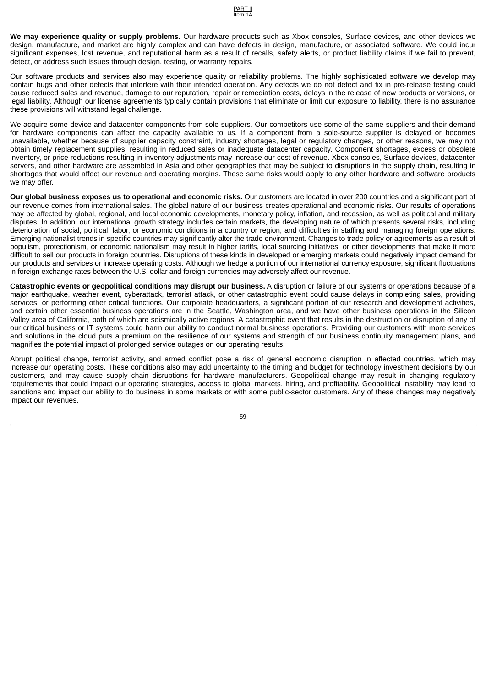**We may experience quality or supply problems.** Our hardware products such as Xbox consoles, Surface devices, and other devices we design, manufacture, and market are highly complex and can have defects in design, manufacture, or associated software. We could incur significant expenses, lost revenue, and reputational harm as a result of recalls, safety alerts, or product liability claims if we fail to prevent, detect, or address such issues through design, testing, or warranty repairs.

Our software products and services also may experience quality or reliability problems. The highly sophisticated software we develop may contain bugs and other defects that interfere with their intended operation. Any defects we do not detect and fix in pre-release testing could cause reduced sales and revenue, damage to our reputation, repair or remediation costs, delays in the release of new products or versions, or legal liability. Although our license agreements typically contain provisions that eliminate or limit our exposure to liability, there is no assurance these provisions will withstand legal challenge.

We acquire some device and datacenter components from sole suppliers. Our competitors use some of the same suppliers and their demand for hardware components can affect the capacity available to us. If a component from a sole-source supplier is delayed or becomes unavailable, whether because of supplier capacity constraint, industry shortages, legal or regulatory changes, or other reasons, we may not obtain timely replacement supplies, resulting in reduced sales or inadequate datacenter capacity. Component shortages, excess or obsolete inventory, or price reductions resulting in inventory adjustments may increase our cost of revenue. Xbox consoles, Surface devices, datacenter servers, and other hardware are assembled in Asia and other geographies that may be subject to disruptions in the supply chain, resulting in shortages that would affect our revenue and operating margins. These same risks would apply to any other hardware and software products we may offer.

**Our global business exposes us to operational and economic risks.** Our customers are located in over 200 countries and a significant part of our revenue comes from international sales. The global nature of our business creates operational and economic risks. Our results of operations may be affected by global, regional, and local economic developments, monetary policy, inflation, and recession, as well as political and military disputes. In addition, our international growth strategy includes certain markets, the developing nature of which presents several risks, including deterioration of social, political, labor, or economic conditions in a country or region, and difficulties in staffing and managing foreign operations. Emerging nationalist trends in specific countries may significantly alter the trade environment. Changes to trade policy or agreements as a result of populism, protectionism, or economic nationalism may result in higher tariffs, local sourcing initiatives, or other developments that make it more difficult to sell our products in foreign countries. Disruptions of these kinds in developed or emerging markets could negatively impact demand for our products and services or increase operating costs. Although we hedge a portion of our international currency exposure, significant fluctuations in foreign exchange rates between the U.S. dollar and foreign currencies may adversely affect our revenue.

**Catastrophic events or geopolitical conditions may disrupt our business.** A disruption or failure of our systems or operations because of a major earthquake, weather event, cyberattack, terrorist attack, or other catastrophic event could cause delays in completing sales, providing services, or performing other critical functions. Our corporate headquarters, a significant portion of our research and development activities. and certain other essential business operations are in the Seattle, Washington area, and we have other business operations in the Silicon Valley area of California, both of which are seismically active regions. A catastrophic event that results in the destruction or disruption of any of our critical business or IT systems could harm our ability to conduct normal business operations. Providing our customers with more services and solutions in the cloud puts a premium on the resilience of our systems and strength of our business continuity management plans, and magnifies the potential impact of prolonged service outages on our operating results.

Abrupt political change, terrorist activity, and armed conflict pose a risk of general economic disruption in affected countries, which may increase our operating costs. These conditions also may add uncertainty to the timing and budget for technology investment decisions by our customers, and may cause supply chain disruptions for hardware manufacturers. Geopolitical change may result in changing regulatory requirements that could impact our operating strategies, access to global markets, hiring, and profitability. Geopolitical instability may lead to sanctions and impact our ability to do business in some markets or with some public-sector customers. Any of these changes may negatively impact our revenues.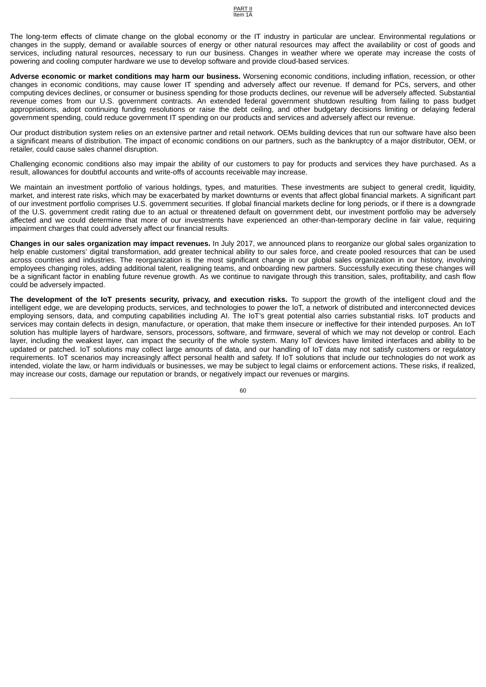The long-term effects of climate change on the global economy or the IT industry in particular are unclear. Environmental regulations or changes in the supply, demand or available sources of energy or other natural resources may affect the availability or cost of goods and services, including natural resources, necessary to run our business. Changes in weather where we operate may increase the costs of powering and cooling computer hardware we use to develop software and provide cloud-based services.

**Adverse economic or market conditions may harm our business.** Worsening economic conditions, including inflation, recession, or other changes in economic conditions, may cause lower IT spending and adversely affect our revenue. If demand for PCs, servers, and other computing devices declines, or consumer or business spending for those products declines, our revenue will be adversely affected. Substantial revenue comes from our U.S. government contracts. An extended federal government shutdown resulting from failing to pass budget appropriations, adopt continuing funding resolutions or raise the debt ceiling, and other budgetary decisions limiting or delaying federal government spending, could reduce government IT spending on our products and services and adversely affect our revenue.

Our product distribution system relies on an extensive partner and retail network. OEMs building devices that run our software have also been a significant means of distribution. The impact of economic conditions on our partners, such as the bankruptcy of a major distributor, OEM, or retailer, could cause sales channel disruption.

Challenging economic conditions also may impair the ability of our customers to pay for products and services they have purchased. As a result, allowances for doubtful accounts and write-offs of accounts receivable may increase.

We maintain an investment portfolio of various holdings, types, and maturities. These investments are subject to general credit, liquidity, market, and interest rate risks, which may be exacerbated by market downturns or events that affect global financial markets. A significant part of our investment portfolio comprises U.S. government securities. If global financial markets decline for long periods, or if there is a downgrade of the U.S. government credit rating due to an actual or threatened default on government debt, our investment portfolio may be adversely affected and we could determine that more of our investments have experienced an other-than-temporary decline in fair value, requiring impairment charges that could adversely affect our financial results.

**Changes in our sales organization may impact revenues.** In July 2017, we announced plans to reorganize our global sales organization to help enable customers' digital transformation, add greater technical ability to our sales force, and create pooled resources that can be used across countries and industries. The reorganization is the most significant change in our global sales organization in our history, involving employees changing roles, adding additional talent, realigning teams, and onboarding new partners. Successfully executing these changes will be a significant factor in enabling future revenue growth. As we continue to navigate through this transition, sales, profitability, and cash flow could be adversely impacted.

**The development of the IoT presents security, privacy, and execution risks.** To support the growth of the intelligent cloud and the intelligent edge, we are developing products, services, and technologies to power the IoT, a network of distributed and interconnected devices employing sensors, data, and computing capabilities including AI. The IoT's great potential also carries substantial risks. IoT products and services may contain defects in design, manufacture, or operation, that make them insecure or ineffective for their intended purposes. An IoT solution has multiple layers of hardware, sensors, processors, software, and firmware, several of which we may not develop or control. Each layer, including the weakest layer, can impact the security of the whole system. Many IoT devices have limited interfaces and ability to be updated or patched. IoT solutions may collect large amounts of data, and our handling of IoT data may not satisfy customers or regulatory requirements. IoT scenarios may increasingly affect personal health and safety. If IoT solutions that include our technologies do not work as intended, violate the law, or harm individuals or businesses, we may be subject to legal claims or enforcement actions. These risks, if realized, may increase our costs, damage our reputation or brands, or negatively impact our revenues or margins.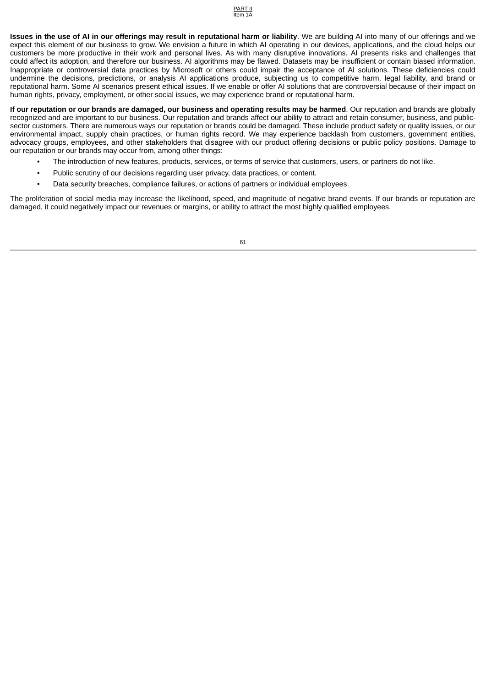#### PART II Item 1A

Issues in the use of AI in our offerings may result in reputational harm or liability. We are building AI into many of our offerings and we expect this element of our business to grow. We envision a future in which AI operating in our devices, applications, and the cloud helps our customers be more productive in their work and personal lives. As with many disruptive innovations, AI presents risks and challenges that could affect its adoption, and therefore our business. AI algorithms may be flawed. Datasets may be insufficient or contain biased information. Inappropriate or controversial data practices by Microsoft or others could impair the acceptance of AI solutions. These deficiencies could undermine the decisions, predictions, or analysis AI applications produce, subjecting us to competitive harm, legal liability, and brand or reputational harm. Some AI scenarios present ethical issues. If we enable or offer AI solutions that are controversial because of their impact on human rights, privacy, employment, or other social issues, we may experience brand or reputational harm.

If our reputation or our brands are damaged, our business and operating results may be harmed. Our reputation and brands are globally recognized and are important to our business. Our reputation and brands affect our ability to attract and retain consumer, business, and publicsector customers. There are numerous ways our reputation or brands could be damaged. These include product safety or quality issues, or our environmental impact, supply chain practices, or human rights record. We may experience backlash from customers, government entities, advocacy groups, employees, and other stakeholders that disagree with our product offering decisions or public policy positions. Damage to our reputation or our brands may occur from, among other things:

- The introduction of new features, products, services, or terms of service that customers, users, or partners do not like.
- Public scrutiny of our decisions regarding user privacy, data practices, or content.
- Data security breaches, compliance failures, or actions of partners or individual employees.

The proliferation of social media may increase the likelihood, speed, and magnitude of negative brand events. If our brands or reputation are damaged, it could negatively impact our revenues or margins, or ability to attract the most highly qualified employees.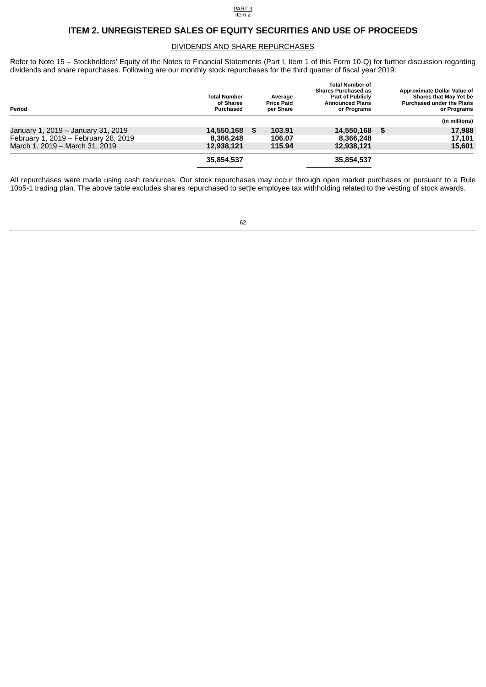## PART II<br>Item 2

## **ITEM 2. UNREGISTERED SALES OF EQUITY SECURITIES AND USE OF PROCEEDS**

## DIVIDENDS AND SHARE REPURCHASES

<span id="page-61-0"></span>Refer to Note 15 – Stockholders' Equity of the Notes to Financial Statements (Part I, Item 1 of this Form 10-Q) for further discussion regarding dividends and share repurchases. Following are our monthly stock repurchases for the third quarter of fiscal year 2019:

| Period                               | <b>Total Number</b><br>of Shares<br>Purchased |   | Average<br><b>Price Paid</b><br>per Share | <b>Total Number of</b><br><b>Shares Purchased as</b><br><b>Part of Publicly</b><br><b>Announced Plans</b><br>or Programs | Approximate Dollar Value of<br><b>Shares that May Yet be</b><br><b>Purchased under the Plans</b><br>or Programs |
|--------------------------------------|-----------------------------------------------|---|-------------------------------------------|--------------------------------------------------------------------------------------------------------------------------|-----------------------------------------------------------------------------------------------------------------|
|                                      |                                               |   |                                           |                                                                                                                          | (in millions)                                                                                                   |
| January 1, 2019 - January 31, 2019   | 14,550,168                                    | S | 103.91                                    | 14.550.168 \$                                                                                                            | 17,988                                                                                                          |
| February 1, 2019 - February 28, 2019 | 8.366.248                                     |   | 106.07                                    | 8,366,248                                                                                                                | 17,101                                                                                                          |
| March 1, 2019 – March 31, 2019       | 12.938.121                                    |   | 115.94                                    | 12.938.121                                                                                                               | 15,601                                                                                                          |
|                                      | 35,854,537                                    |   |                                           | 35,854,537                                                                                                               |                                                                                                                 |

All repurchases were made using cash resources. Our stock repurchases may occur through open market purchases or pursuant to a Rule 10b5-1 trading plan. The above table excludes shares repurchased to settle employee tax withholding related to the vesting of stock awards.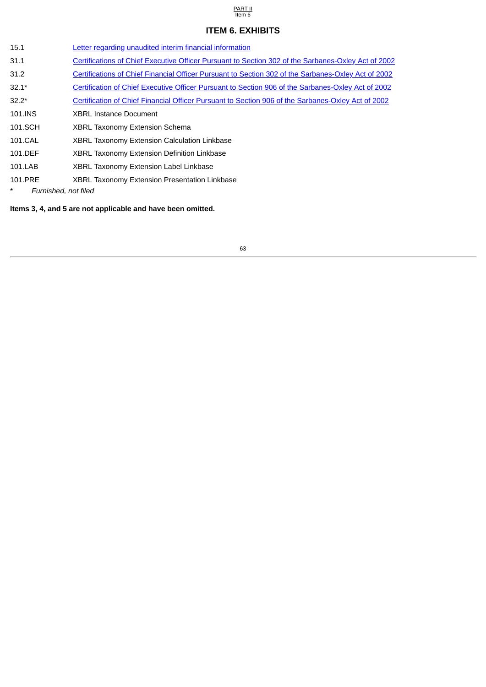## PART II<br>Item 6

## **ITEM 6. EXHIBITS**

<span id="page-62-0"></span>

| 15.1                             | Letter regarding unaudited interim financial information                                            |
|----------------------------------|-----------------------------------------------------------------------------------------------------|
| 31.1                             | Certifications of Chief Executive Officer Pursuant to Section 302 of the Sarbanes-Oxley Act of 2002 |
| 31.2                             | Certifications of Chief Financial Officer Pursuant to Section 302 of the Sarbanes-Oxley Act of 2002 |
| $32.1*$                          | Certification of Chief Executive Officer Pursuant to Section 906 of the Sarbanes-Oxley Act of 2002  |
| $32.2*$                          | Certification of Chief Financial Officer Pursuant to Section 906 of the Sarbanes-Oxley Act of 2002  |
| 101.INS                          | <b>XBRL Instance Document</b>                                                                       |
| 101.SCH                          | <b>XBRL Taxonomy Extension Schema</b>                                                               |
| 101.CAL                          | <b>XBRL Taxonomy Extension Calculation Linkbase</b>                                                 |
| 101.DEF                          | XBRL Taxonomy Extension Definition Linkbase                                                         |
| 101.LAB                          | XBRL Taxonomy Extension Label Linkbase                                                              |
| 101.PRE                          | XBRL Taxonomy Extension Presentation Linkbase                                                       |
| $^\star$<br>Furnished, not filed |                                                                                                     |

**Items 3, 4, and 5 are not applicable and have been omitted.**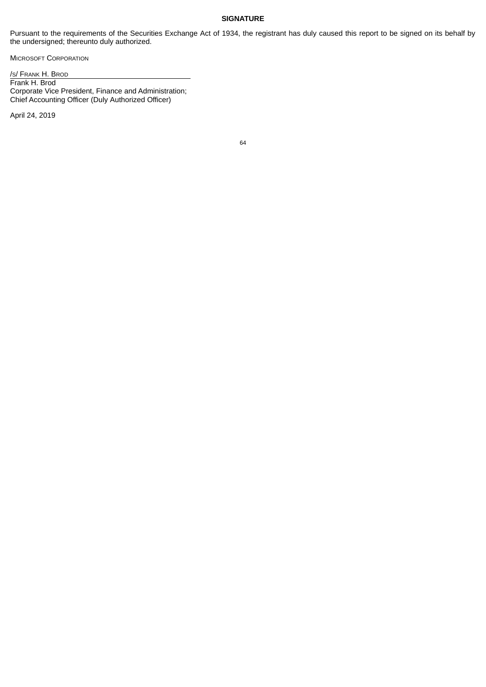## **SIGNATURE**

<span id="page-63-0"></span>Pursuant to the requirements of the Securities Exchange Act of 1934, the registrant has duly caused this report to be signed on its behalf by the undersigned; thereunto duly authorized.

MICROSOFT CORPORATION

/S/ FRANK H. BROD Frank H. Brod Corporate Vice President, Finance and Administration; Chief Accounting Officer (Duly Authorized Officer)

April 24, 2019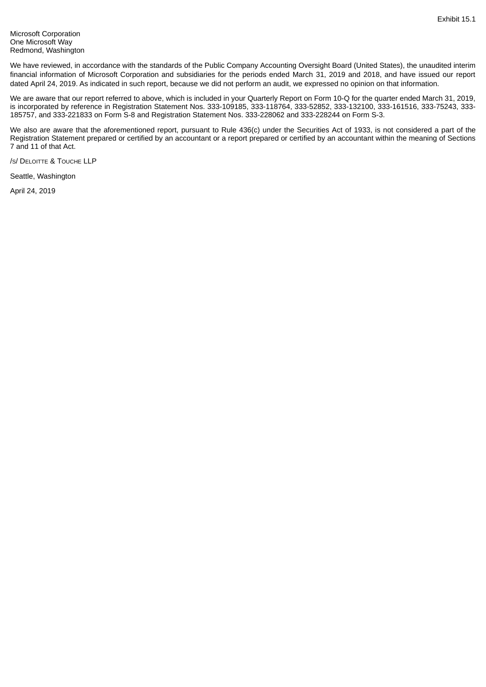<span id="page-64-0"></span>Microsoft Corporation One Microsoft Way Redmond, Washington

We have reviewed, in accordance with the standards of the Public Company Accounting Oversight Board (United States), the unaudited interim financial information of Microsoft Corporation and subsidiaries for the periods ended March 31, 2019 and 2018, and have issued our report dated April 24, 2019. As indicated in such report, because we did not perform an audit, we expressed no opinion on that information.

We are aware that our report referred to above, which is included in your Quarterly Report on Form 10-Q for the quarter ended March 31, 2019, is incorporated by reference in Registration Statement Nos. 333-109185, 333-118764, 333-52852, 333-132100, 333-161516, 333-75243, 333- 185757, and 333-221833 on Form S-8 and Registration Statement Nos. 333-228062 and 333-228244 on Form S-3.

We also are aware that the aforementioned report, pursuant to Rule 436(c) under the Securities Act of 1933, is not considered a part of the Registration Statement prepared or certified by an accountant or a report prepared or certified by an accountant within the meaning of Sections 7 and 11 of that Act.

/S/ DELOITTE & TOUCHE LLP

Seattle, Washington

April 24, 2019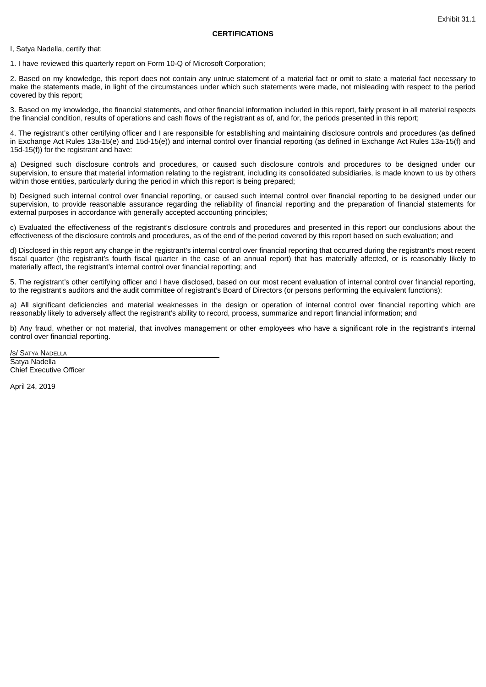<span id="page-65-0"></span>I, Satya Nadella, certify that:

1. I have reviewed this quarterly report on Form 10-Q of Microsoft Corporation;

2. Based on my knowledge, this report does not contain any untrue statement of a material fact or omit to state a material fact necessary to make the statements made, in light of the circumstances under which such statements were made, not misleading with respect to the period covered by this report;

3. Based on my knowledge, the financial statements, and other financial information included in this report, fairly present in all material respects the financial condition, results of operations and cash flows of the registrant as of, and for, the periods presented in this report;

4. The registrant's other certifying officer and I are responsible for establishing and maintaining disclosure controls and procedures (as defined in Exchange Act Rules 13a-15(e) and 15d-15(e)) and internal control over financial reporting (as defined in Exchange Act Rules 13a-15(f) and 15d-15(f)) for the registrant and have:

a) Designed such disclosure controls and procedures, or caused such disclosure controls and procedures to be designed under our supervision, to ensure that material information relating to the registrant, including its consolidated subsidiaries, is made known to us by others within those entities, particularly during the period in which this report is being prepared;

b) Designed such internal control over financial reporting, or caused such internal control over financial reporting to be designed under our supervision, to provide reasonable assurance regarding the reliability of financial reporting and the preparation of financial statements for external purposes in accordance with generally accepted accounting principles;

c) Evaluated the effectiveness of the registrant's disclosure controls and procedures and presented in this report our conclusions about the effectiveness of the disclosure controls and procedures, as of the end of the period covered by this report based on such evaluation; and

d) Disclosed in this report any change in the registrant's internal control over financial reporting that occurred during the registrant's most recent fiscal quarter (the registrant's fourth fiscal quarter in the case of an annual report) that has materially affected, or is reasonably likely to materially affect, the registrant's internal control over financial reporting; and

5. The registrant's other certifying officer and I have disclosed, based on our most recent evaluation of internal control over financial reporting, to the registrant's auditors and the audit committee of registrant's Board of Directors (or persons performing the equivalent functions):

a) All significant deficiencies and material weaknesses in the design or operation of internal control over financial reporting which are reasonably likely to adversely affect the registrant's ability to record, process, summarize and report financial information; and

b) Any fraud, whether or not material, that involves management or other employees who have a significant role in the registrant's internal control over financial reporting.

/s/ SATYA NADELLA Satya Nadella Chief Executive Officer

April 24, 2019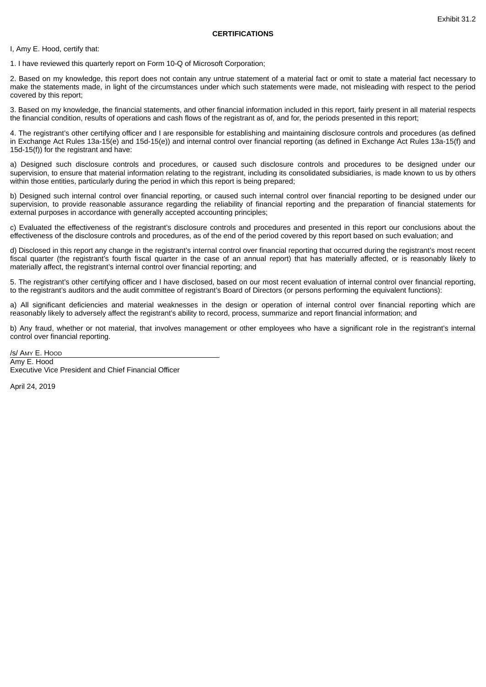<span id="page-66-0"></span>I, Amy E. Hood, certify that:

1. I have reviewed this quarterly report on Form 10-Q of Microsoft Corporation;

2. Based on my knowledge, this report does not contain any untrue statement of a material fact or omit to state a material fact necessary to make the statements made, in light of the circumstances under which such statements were made, not misleading with respect to the period covered by this report;

3. Based on my knowledge, the financial statements, and other financial information included in this report, fairly present in all material respects the financial condition, results of operations and cash flows of the registrant as of, and for, the periods presented in this report;

4. The registrant's other certifying officer and I are responsible for establishing and maintaining disclosure controls and procedures (as defined in Exchange Act Rules 13a-15(e) and 15d-15(e)) and internal control over financial reporting (as defined in Exchange Act Rules 13a-15(f) and 15d-15(f)) for the registrant and have:

a) Designed such disclosure controls and procedures, or caused such disclosure controls and procedures to be designed under our supervision, to ensure that material information relating to the registrant, including its consolidated subsidiaries, is made known to us by others within those entities, particularly during the period in which this report is being prepared;

b) Designed such internal control over financial reporting, or caused such internal control over financial reporting to be designed under our supervision, to provide reasonable assurance regarding the reliability of financial reporting and the preparation of financial statements for external purposes in accordance with generally accepted accounting principles;

c) Evaluated the effectiveness of the registrant's disclosure controls and procedures and presented in this report our conclusions about the effectiveness of the disclosure controls and procedures, as of the end of the period covered by this report based on such evaluation; and

d) Disclosed in this report any change in the registrant's internal control over financial reporting that occurred during the registrant's most recent fiscal quarter (the registrant's fourth fiscal quarter in the case of an annual report) that has materially affected, or is reasonably likely to materially affect, the registrant's internal control over financial reporting; and

5. The registrant's other certifying officer and I have disclosed, based on our most recent evaluation of internal control over financial reporting, to the registrant's auditors and the audit committee of registrant's Board of Directors (or persons performing the equivalent functions):

a) All significant deficiencies and material weaknesses in the design or operation of internal control over financial reporting which are reasonably likely to adversely affect the registrant's ability to record, process, summarize and report financial information; and

b) Any fraud, whether or not material, that involves management or other employees who have a significant role in the registrant's internal control over financial reporting.

/s/ AMY E. HOOD Amy E. Hood Executive Vice President and Chief Financial Officer

April 24, 2019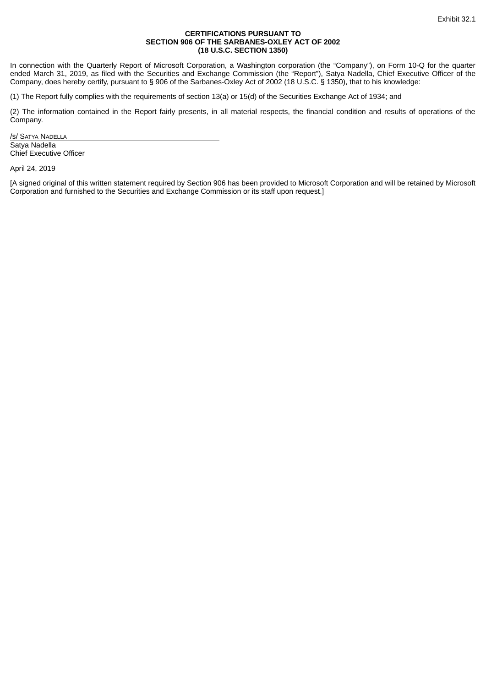#### **CERTIFICATIONS PURSUANT TO SECTION 906 OF THE SARBANES-OXLEY ACT OF 2002 (18 U.S.C. SECTION 1350)**

<span id="page-67-0"></span>In connection with the Quarterly Report of Microsoft Corporation, a Washington corporation (the "Company"), on Form 10-Q for the quarter ended March 31, 2019, as filed with the Securities and Exchange Commission (the "Report"), Satya Nadella, Chief Executive Officer of the Company, does hereby certify, pursuant to § 906 of the Sarbanes-Oxley Act of 2002 (18 U.S.C. § 1350), that to his knowledge:

(1) The Report fully complies with the requirements of section 13(a) or 15(d) of the Securities Exchange Act of 1934; and

(2) The information contained in the Report fairly presents, in all material respects, the financial condition and results of operations of the Company.

/s/ SATYA NADELLA

Satya Nadella Chief Executive Officer

April 24, 2019

[A signed original of this written statement required by Section 906 has been provided to Microsoft Corporation and will be retained by Microsoft Corporation and furnished to the Securities and Exchange Commission or its staff upon request.]